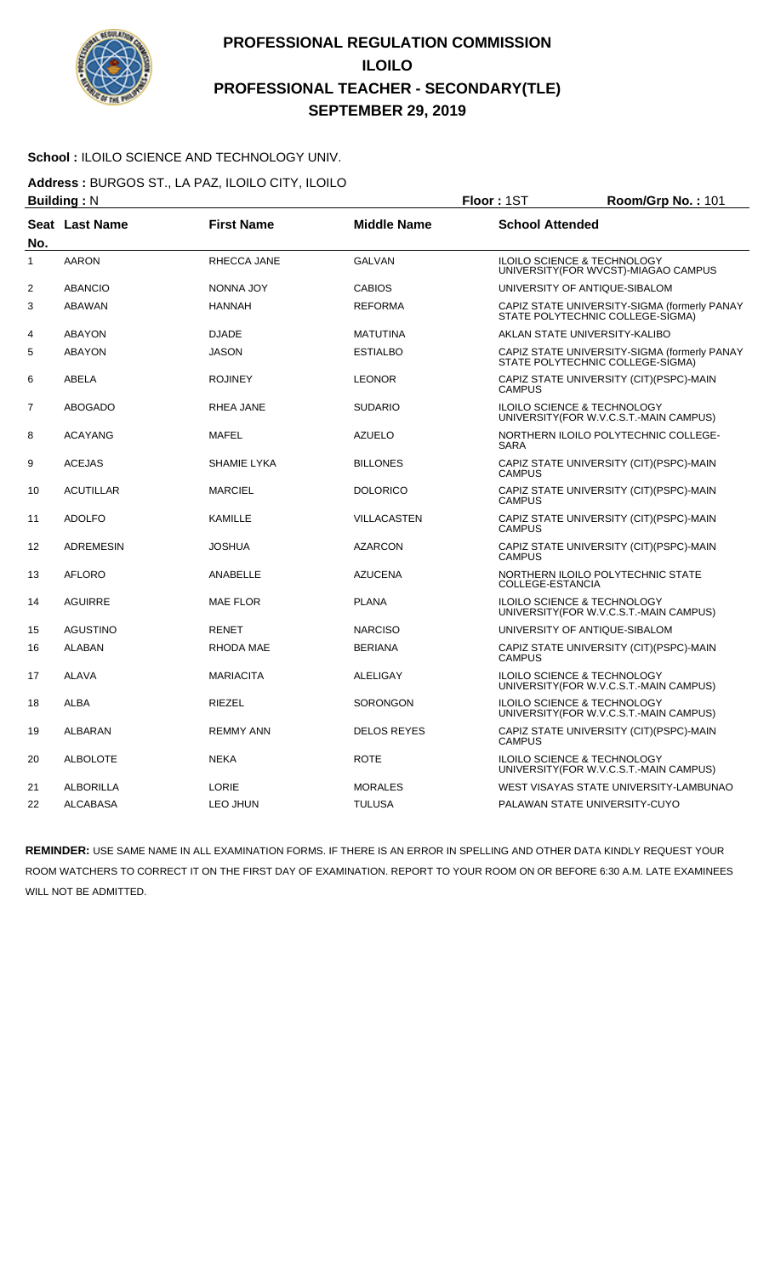

#### School : ILOILO SCIENCE AND TECHNOLOGY UNIV.

**Address :** BURGOS ST., LA PAZ, ILOILO CITY, ILOILO

|                | <b>Building: N</b> |                   |                    | Floor: 1ST                                                   | Room/Grp No.: 101                            |
|----------------|--------------------|-------------------|--------------------|--------------------------------------------------------------|----------------------------------------------|
| No.            | Seat Last Name     | <b>First Name</b> | <b>Middle Name</b> | <b>School Attended</b>                                       |                                              |
| $\mathbf{1}$   | <b>AARON</b>       | RHECCA JANE       | <b>GALVAN</b>      | <b>ILOILO SCIENCE &amp; TECHNOLOGY</b>                       | UNIVERSITY (FOR WVCST)-MIAGAO CAMPUS         |
| $\overline{2}$ | <b>ABANCIO</b>     | NONNA JOY         | <b>CABIOS</b>      | UNIVERSITY OF ANTIQUE-SIBALOM                                |                                              |
| 3              | <b>ABAWAN</b>      | <b>HANNAH</b>     | <b>REFORMA</b>     | STATE POLYTECHNIC COLLEGE-SIGMA)                             | CAPIZ STATE UNIVERSITY-SIGMA (formerly PANAY |
| $\overline{4}$ | <b>ABAYON</b>      | <b>DJADE</b>      | <b>MATUTINA</b>    | AKLAN STATE UNIVERSITY-KALIBO                                |                                              |
| 5              | <b>ABAYON</b>      | <b>JASON</b>      | <b>ESTIALBO</b>    | STATE POLYTECHNIC COLLEGE-SIGMA)                             | CAPIZ STATE UNIVERSITY-SIGMA (formerly PANAY |
| 6              | <b>ABELA</b>       | <b>ROJINEY</b>    | <b>LEONOR</b>      | <b>CAMPUS</b>                                                | CAPIZ STATE UNIVERSITY (CIT) (PSPC)-MAIN     |
| $\overline{7}$ | <b>ABOGADO</b>     | RHEA JANE         | <b>SUDARIO</b>     | ILOILO SCIENCE & TECHNOLOGY                                  | UNIVERSITY(FOR W.V.C.S.T.-MAIN CAMPUS)       |
| 8              | <b>ACAYANG</b>     | <b>MAFEL</b>      | <b>AZUELO</b>      | <b>SARA</b>                                                  | NORTHERN ILOILO POLYTECHNIC COLLEGE-         |
| 9              | <b>ACEJAS</b>      | SHAMIE LYKA       | <b>BILLONES</b>    | <b>CAMPUS</b>                                                | CAPIZ STATE UNIVERSITY (CIT) (PSPC)-MAIN     |
| 10             | <b>ACUTILLAR</b>   | <b>MARCIEL</b>    | <b>DOLORICO</b>    | <b>CAMPUS</b>                                                | CAPIZ STATE UNIVERSITY (CIT) (PSPC)-MAIN     |
| 11             | <b>ADOLFO</b>      | KAMILLE           | <b>VILLACASTEN</b> | <b>CAMPUS</b>                                                | CAPIZ STATE UNIVERSITY (CIT) (PSPC)-MAIN     |
| 12             | <b>ADREMESIN</b>   | <b>JOSHUA</b>     | <b>AZARCON</b>     | <b>CAMPUS</b>                                                | CAPIZ STATE UNIVERSITY (CIT)(PSPC)-MAIN      |
| 13             | <b>AFLORO</b>      | <b>ANABELLE</b>   | <b>AZUCENA</b>     | NORTHERN ILOILO POLYTECHNIC STATE<br><b>COLLEGE-ESTANCIA</b> |                                              |
| 14             | <b>AGUIRRE</b>     | <b>MAE FLOR</b>   | <b>PLANA</b>       | ILOILO SCIENCE & TECHNOLOGY                                  | UNIVERSITY(FOR W.V.C.S.T.-MAIN CAMPUS)       |
| 15             | <b>AGUSTINO</b>    | <b>RENET</b>      | <b>NARCISO</b>     | UNIVERSITY OF ANTIQUE-SIBALOM                                |                                              |
| 16             | <b>ALABAN</b>      | RHODA MAE         | <b>BERIANA</b>     | <b>CAMPUS</b>                                                | CAPIZ STATE UNIVERSITY (CIT)(PSPC)-MAIN      |
| 17             | <b>ALAVA</b>       | <b>MARIACITA</b>  | <b>ALELIGAY</b>    | ILOILO SCIENCE & TECHNOLOGY                                  | UNIVERSITY(FOR W.V.C.S.T.-MAIN CAMPUS)       |
| 18             | <b>ALBA</b>        | <b>RIEZEL</b>     | <b>SORONGON</b>    | <b>ILOILO SCIENCE &amp; TECHNOLOGY</b>                       | UNIVERSITY(FOR W.V.C.S.T.-MAIN CAMPUS)       |
| 19             | <b>ALBARAN</b>     | <b>REMMY ANN</b>  | <b>DELOS REYES</b> | <b>CAMPUS</b>                                                | CAPIZ STATE UNIVERSITY (CIT)(PSPC)-MAIN      |
| 20             | <b>ALBOLOTE</b>    | <b>NEKA</b>       | <b>ROTE</b>        | ILOILO SCIENCE & TECHNOLOGY                                  | UNIVERSITY(FOR W.V.C.S.T.-MAIN CAMPUS)       |
| 21             | <b>ALBORILLA</b>   | LORIE             | <b>MORALES</b>     |                                                              | WEST VISAYAS STATE UNIVERSITY-LAMBUNAO       |
| 22             | <b>ALCABASA</b>    | LEO JHUN          | <b>TULUSA</b>      | PALAWAN STATE UNIVERSITY-CUYO                                |                                              |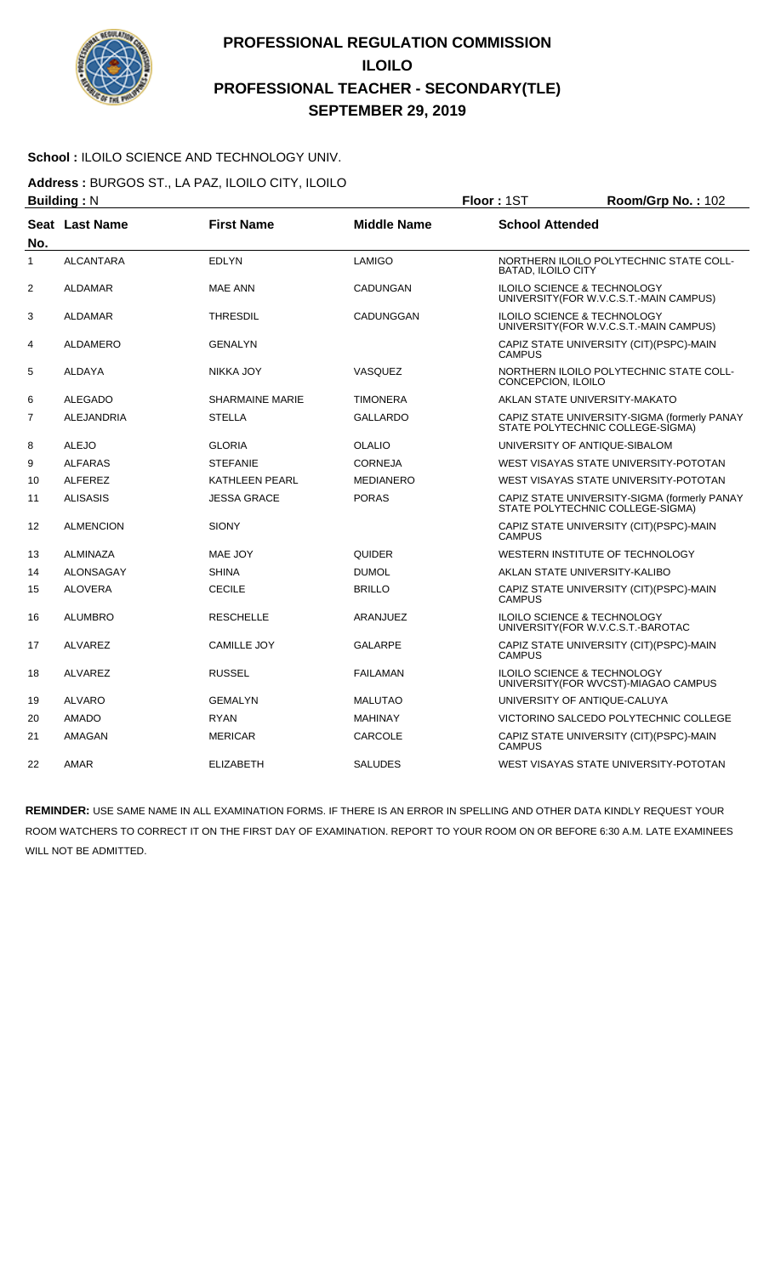

#### **School :** ILOILO SCIENCE AND TECHNOLOGY UNIV.

**Address :** BURGOS ST., LA PAZ, ILOILO CITY, ILOILO

|                | <b>Building: N</b> |                        |                    | Floor: 1ST                | Room/Grp No.: 102                                                                 |
|----------------|--------------------|------------------------|--------------------|---------------------------|-----------------------------------------------------------------------------------|
| No.            | Seat Last Name     | <b>First Name</b>      | <b>Middle Name</b> | <b>School Attended</b>    |                                                                                   |
| $\mathbf{1}$   | <b>ALCANTARA</b>   | <b>EDLYN</b>           | LAMIGO             | <b>BATAD, ILOILO CITY</b> | NORTHERN ILOILO POLYTECHNIC STATE COLL-                                           |
| $\overline{2}$ | <b>ALDAMAR</b>     | <b>MAE ANN</b>         | <b>CADUNGAN</b>    |                           | ILOILO SCIENCE & TECHNOLOGY<br>UNIVERSITY (FOR W.V.C.S.T.-MAIN CAMPUS)            |
| 3              | <b>ALDAMAR</b>     | <b>THRESDIL</b>        | CADUNGGAN          |                           | <b>ILOILO SCIENCE &amp; TECHNOLOGY</b><br>UNIVERSITY (FOR W.V.C.S.T.-MAIN CAMPUS) |
| 4              | <b>ALDAMERO</b>    | <b>GENALYN</b>         |                    | <b>CAMPUS</b>             | CAPIZ STATE UNIVERSITY (CIT)(PSPC)-MAIN                                           |
| 5              | <b>ALDAYA</b>      | NIKKA JOY              | <b>VASQUEZ</b>     | CONCEPCION, ILOILO        | NORTHERN ILOILO POLYTECHNIC STATE COLL-                                           |
| 6              | <b>ALEGADO</b>     | <b>SHARMAINE MARIE</b> | <b>TIMONERA</b>    |                           | AKLAN STATE UNIVERSITY-MAKATO                                                     |
| 7              | <b>ALEJANDRIA</b>  | <b>STELLA</b>          | <b>GALLARDO</b>    |                           | CAPIZ STATE UNIVERSITY-SIGMA (formerly PANAY<br>STATE POLYTECHNIC COLLEGE-SIGMA)  |
| 8              | <b>ALEJO</b>       | <b>GLORIA</b>          | <b>OLALIO</b>      |                           | UNIVERSITY OF ANTIQUE-SIBALOM                                                     |
| 9              | <b>ALFARAS</b>     | <b>STEFANIE</b>        | <b>CORNEJA</b>     |                           | WEST VISAYAS STATE UNIVERSITY-POTOTAN                                             |
| 10             | <b>ALFEREZ</b>     | <b>KATHLEEN PEARL</b>  | <b>MEDIANERO</b>   |                           | WEST VISAYAS STATE UNIVERSITY-POTOTAN                                             |
| 11             | <b>ALISASIS</b>    | <b>JESSA GRACE</b>     | <b>PORAS</b>       |                           | CAPIZ STATE UNIVERSITY-SIGMA (formerly PANAY<br>STATE POLYTECHNIC COLLEGE-SIGMA)  |
| 12             | <b>ALMENCION</b>   | <b>SIONY</b>           |                    | <b>CAMPUS</b>             | CAPIZ STATE UNIVERSITY (CIT) (PSPC)-MAIN                                          |
| 13             | <b>ALMINAZA</b>    | MAE JOY                | <b>QUIDER</b>      |                           | WESTERN INSTITUTE OF TECHNOLOGY                                                   |
| 14             | <b>ALONSAGAY</b>   | <b>SHINA</b>           | <b>DUMOL</b>       |                           | AKLAN STATE UNIVERSITY-KALIBO                                                     |
| 15             | <b>ALOVERA</b>     | <b>CECILE</b>          | <b>BRILLO</b>      | <b>CAMPUS</b>             | CAPIZ STATE UNIVERSITY (CIT) (PSPC)-MAIN                                          |
| 16             | <b>ALUMBRO</b>     | <b>RESCHELLE</b>       | ARANJUEZ           |                           | <b>ILOILO SCIENCE &amp; TECHNOLOGY</b><br>UNIVERSITY(FOR W.V.C.S.T.-BAROTAC       |
| 17             | <b>ALVAREZ</b>     | <b>CAMILLE JOY</b>     | <b>GALARPE</b>     | <b>CAMPUS</b>             | CAPIZ STATE UNIVERSITY (CIT)(PSPC)-MAIN                                           |
| 18             | <b>ALVAREZ</b>     | <b>RUSSEL</b>          | <b>FAILAMAN</b>    |                           | ILOILO SCIENCE & TECHNOLOGY<br>UNIVERSITY (FOR WVCST)-MIAGAO CAMPUS               |
| 19             | <b>ALVARO</b>      | <b>GEMALYN</b>         | <b>MALUTAO</b>     |                           | UNIVERSITY OF ANTIQUE-CALUYA                                                      |
| 20             | <b>AMADO</b>       | <b>RYAN</b>            | MAHINAY            |                           | VICTORINO SALCEDO POLYTECHNIC COLLEGE                                             |
| 21             | AMAGAN             | <b>MERICAR</b>         | CARCOLE            | <b>CAMPUS</b>             | CAPIZ STATE UNIVERSITY (CIT)(PSPC)-MAIN                                           |
| 22             | AMAR               | <b>ELIZABETH</b>       | <b>SALUDES</b>     |                           | WEST VISAYAS STATE UNIVERSITY-POTOTAN                                             |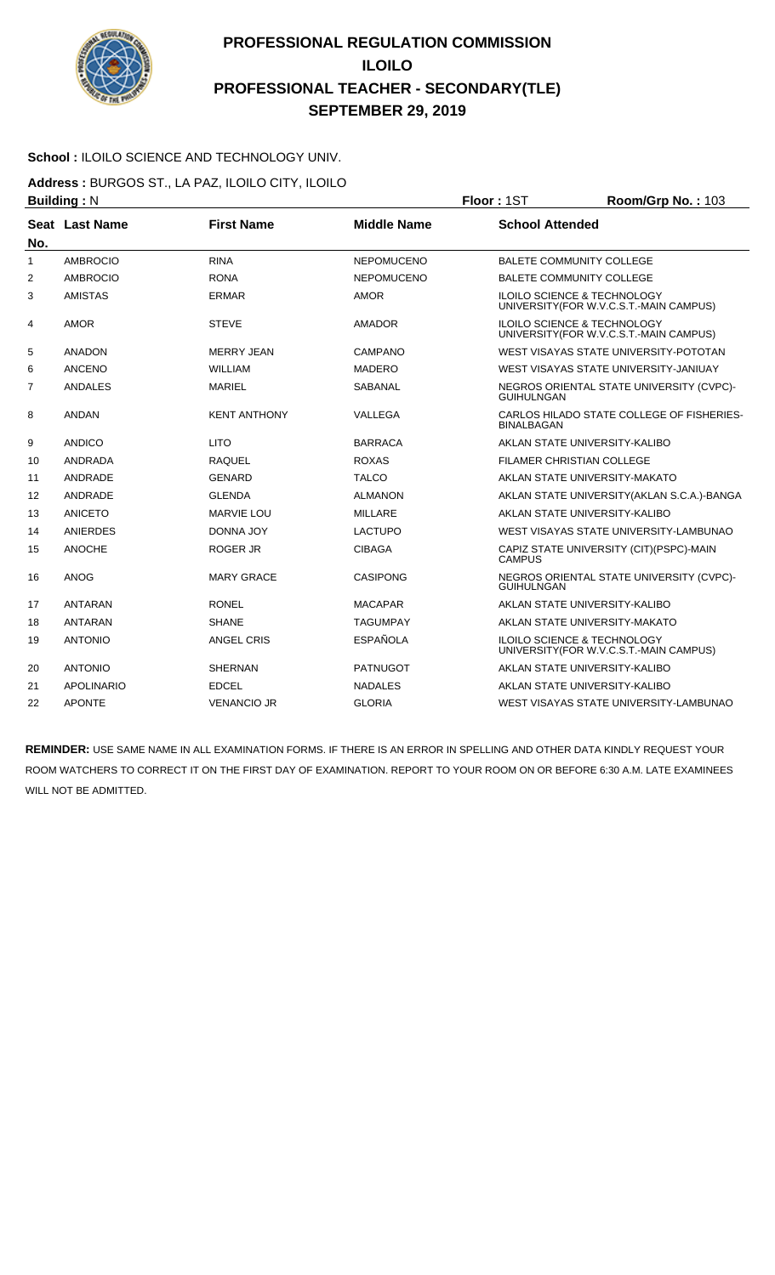

#### **School :** ILOILO SCIENCE AND TECHNOLOGY UNIV.

**Address :** BURGOS ST., LA PAZ, ILOILO CITY, ILOILO

| <b>Building: N</b> |                   |                     | Floor: 1ST         | Room/Grp No.: 103      |                                                                                   |
|--------------------|-------------------|---------------------|--------------------|------------------------|-----------------------------------------------------------------------------------|
| No.                | Seat Last Name    | <b>First Name</b>   | <b>Middle Name</b> | <b>School Attended</b> |                                                                                   |
| $\mathbf{1}$       | <b>AMBROCIO</b>   | <b>RINA</b>         | <b>NEPOMUCENO</b>  |                        | BALETE COMMUNITY COLLEGE                                                          |
| 2                  | <b>AMBROCIO</b>   | <b>RONA</b>         | <b>NEPOMUCENO</b>  |                        | <b>BALETE COMMUNITY COLLEGE</b>                                                   |
| 3                  | <b>AMISTAS</b>    | <b>ERMAR</b>        | <b>AMOR</b>        |                        | <b>ILOILO SCIENCE &amp; TECHNOLOGY</b><br>UNIVERSITY (FOR W.V.C.S.T.-MAIN CAMPUS) |
| 4                  | <b>AMOR</b>       | <b>STEVE</b>        | <b>AMADOR</b>      |                        | <b>ILOILO SCIENCE &amp; TECHNOLOGY</b><br>UNIVERSITY(FOR W.V.C.S.T.-MAIN CAMPUS)  |
| 5                  | <b>ANADON</b>     | <b>MERRY JEAN</b>   | CAMPANO            |                        | WEST VISAYAS STATE UNIVERSITY-POTOTAN                                             |
| 6                  | <b>ANCENO</b>     | <b>WILLIAM</b>      | <b>MADERO</b>      |                        | WEST VISAYAS STATE UNIVERSITY-JANIUAY                                             |
| 7                  | <b>ANDALES</b>    | <b>MARIEL</b>       | <b>SABANAL</b>     | <b>GUIHULNGAN</b>      | NEGROS ORIENTAL STATE UNIVERSITY (CVPC)-                                          |
| 8                  | <b>ANDAN</b>      | <b>KENT ANTHONY</b> | VALLEGA            | <b>BINALBAGAN</b>      | CARLOS HILADO STATE COLLEGE OF FISHERIES-                                         |
| 9                  | <b>ANDICO</b>     | <b>LITO</b>         | <b>BARRACA</b>     |                        | AKLAN STATE UNIVERSITY-KALIBO                                                     |
| 10                 | <b>ANDRADA</b>    | RAQUEL              | <b>ROXAS</b>       |                        | <b>FILAMER CHRISTIAN COLLEGE</b>                                                  |
| 11                 | ANDRADE           | <b>GENARD</b>       | <b>TALCO</b>       |                        | AKLAN STATE UNIVERSITY-MAKATO                                                     |
| 12                 | ANDRADE           | <b>GLENDA</b>       | <b>ALMANON</b>     |                        | AKLAN STATE UNIVERSITY (AKLAN S.C.A.)-BANGA                                       |
| 13                 | <b>ANICETO</b>    | <b>MARVIE LOU</b>   | <b>MILLARE</b>     |                        | AKLAN STATE UNIVERSITY-KALIBO                                                     |
| 14                 | <b>ANIERDES</b>   | <b>DONNA JOY</b>    | <b>LACTUPO</b>     |                        | WEST VISAYAS STATE UNIVERSITY-LAMBUNAO                                            |
| 15                 | <b>ANOCHE</b>     | <b>ROGER JR</b>     | <b>CIBAGA</b>      | <b>CAMPUS</b>          | CAPIZ STATE UNIVERSITY (CIT) (PSPC)-MAIN                                          |
| 16                 | <b>ANOG</b>       | <b>MARY GRACE</b>   | <b>CASIPONG</b>    | <b>GUIHULNGAN</b>      | NEGROS ORIENTAL STATE UNIVERSITY (CVPC)-                                          |
| 17                 | <b>ANTARAN</b>    | <b>RONEL</b>        | <b>MACAPAR</b>     |                        | AKLAN STATE UNIVERSITY-KALIBO                                                     |
| 18                 | <b>ANTARAN</b>    | <b>SHANE</b>        | <b>TAGUMPAY</b>    |                        | AKLAN STATE UNIVERSITY-MAKATO                                                     |
| 19                 | <b>ANTONIO</b>    | <b>ANGEL CRIS</b>   | <b>ESPAÑOLA</b>    |                        | <b>ILOILO SCIENCE &amp; TECHNOLOGY</b><br>UNIVERSITY (FOR W.V.C.S.T.-MAIN CAMPUS) |
| 20                 | <b>ANTONIO</b>    | <b>SHERNAN</b>      | <b>PATNUGOT</b>    |                        | AKLAN STATE UNIVERSITY-KALIBO                                                     |
| 21                 | <b>APOLINARIO</b> | <b>EDCEL</b>        | <b>NADALES</b>     |                        | AKLAN STATE UNIVERSITY-KALIBO                                                     |
| 22                 | <b>APONTE</b>     | <b>VENANCIO JR</b>  | <b>GLORIA</b>      |                        | WEST VISAYAS STATE UNIVERSITY-LAMBUNAO                                            |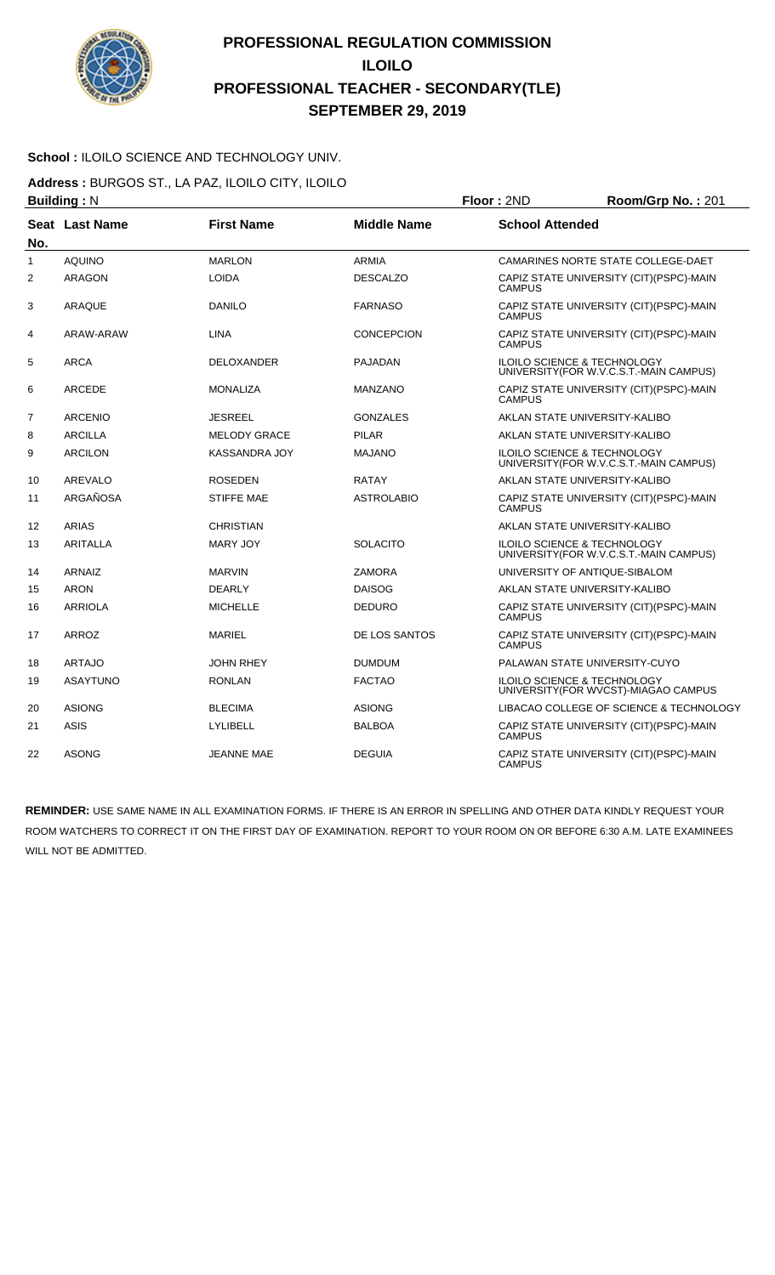

#### **School :** ILOILO SCIENCE AND TECHNOLOGY UNIV.

**Address :** BURGOS ST., LA PAZ, ILOILO CITY, ILOILO

|     | <b>Building: N</b> |                      |                    | Floor: 2ND             | Room/Grp No.: 201                                                                 |
|-----|--------------------|----------------------|--------------------|------------------------|-----------------------------------------------------------------------------------|
| No. | Seat Last Name     | <b>First Name</b>    | <b>Middle Name</b> | <b>School Attended</b> |                                                                                   |
| 1   | <b>AQUINO</b>      | <b>MARLON</b>        | <b>ARMIA</b>       |                        | CAMARINES NORTE STATE COLLEGE-DAET                                                |
| 2   | ARAGON             | <b>LOIDA</b>         | <b>DESCALZO</b>    | <b>CAMPUS</b>          | CAPIZ STATE UNIVERSITY (CIT) (PSPC)-MAIN                                          |
| 3   | <b>ARAQUE</b>      | <b>DANILO</b>        | <b>FARNASO</b>     | <b>CAMPUS</b>          | CAPIZ STATE UNIVERSITY (CIT) (PSPC)-MAIN                                          |
| 4   | ARAW-ARAW          | <b>LINA</b>          | <b>CONCEPCION</b>  | <b>CAMPUS</b>          | CAPIZ STATE UNIVERSITY (CIT)(PSPC)-MAIN                                           |
| 5   | <b>ARCA</b>        | <b>DELOXANDER</b>    | <b>PAJADAN</b>     |                        | <b>ILOILO SCIENCE &amp; TECHNOLOGY</b><br>UNIVERSITY (FOR W.V.C.S.T.-MAIN CAMPUS) |
| 6   | <b>ARCEDE</b>      | <b>MONALIZA</b>      | <b>MANZANO</b>     | <b>CAMPUS</b>          | CAPIZ STATE UNIVERSITY (CIT)(PSPC)-MAIN                                           |
| 7   | <b>ARCENIO</b>     | <b>JESREEL</b>       | <b>GONZALES</b>    |                        | AKLAN STATE UNIVERSITY-KALIBO                                                     |
| 8   | <b>ARCILLA</b>     | <b>MELODY GRACE</b>  | <b>PILAR</b>       |                        | AKLAN STATE UNIVERSITY-KALIBO                                                     |
| 9   | <b>ARCILON</b>     | <b>KASSANDRA JOY</b> | <b>MAJANO</b>      |                        | ILOILO SCIENCE & TECHNOLOGY<br>UNIVERSITY(FOR W.V.C.S.T.-MAIN CAMPUS)             |
| 10  | AREVALO            | <b>ROSEDEN</b>       | <b>RATAY</b>       |                        | AKLAN STATE UNIVERSITY-KALIBO                                                     |
| 11  | ARGAÑOSA           | <b>STIFFE MAE</b>    | <b>ASTROLABIO</b>  | <b>CAMPUS</b>          | CAPIZ STATE UNIVERSITY (CIT)(PSPC)-MAIN                                           |
| 12  | <b>ARIAS</b>       | <b>CHRISTIAN</b>     |                    |                        | AKLAN STATE UNIVERSITY-KALIBO                                                     |
| 13  | <b>ARITALLA</b>    | <b>MARY JOY</b>      | <b>SOLACITO</b>    |                        | ILOILO SCIENCE & TECHNOLOGY<br>UNIVERSITY (FOR W.V.C.S.T.-MAIN CAMPUS)            |
| 14  | ARNAIZ             | <b>MARVIN</b>        | <b>ZAMORA</b>      |                        | UNIVERSITY OF ANTIQUE-SIBALOM                                                     |
| 15  | <b>ARON</b>        | <b>DEARLY</b>        | <b>DAISOG</b>      |                        | AKLAN STATE UNIVERSITY-KALIBO                                                     |
| 16  | <b>ARRIOLA</b>     | <b>MICHELLE</b>      | <b>DEDURO</b>      | <b>CAMPUS</b>          | CAPIZ STATE UNIVERSITY (CIT)(PSPC)-MAIN                                           |
| 17  | ARROZ              | <b>MARIEL</b>        | DE LOS SANTOS      | <b>CAMPUS</b>          | CAPIZ STATE UNIVERSITY (CIT)(PSPC)-MAIN                                           |
| 18  | <b>ARTAJO</b>      | <b>JOHN RHEY</b>     | <b>DUMDUM</b>      |                        | PALAWAN STATE UNIVERSITY-CUYO                                                     |
| 19  | <b>ASAYTUNO</b>    | <b>RONLAN</b>        | <b>FACTAO</b>      |                        | <b>ILOILO SCIENCE &amp; TECHNOLOGY</b><br>UNIVERSITY(FOR WVCST)-MIAGAO CAMPUS     |
| 20  | <b>ASIONG</b>      | <b>BLECIMA</b>       | <b>ASIONG</b>      |                        | LIBACAO COLLEGE OF SCIENCE & TECHNOLOGY                                           |
| 21  | <b>ASIS</b>        | <b>LYLIBELL</b>      | <b>BALBOA</b>      | <b>CAMPUS</b>          | CAPIZ STATE UNIVERSITY (CIT) (PSPC)-MAIN                                          |
| 22  | <b>ASONG</b>       | <b>JEANNE MAE</b>    | <b>DEGUIA</b>      | <b>CAMPUS</b>          | CAPIZ STATE UNIVERSITY (CIT)(PSPC)-MAIN                                           |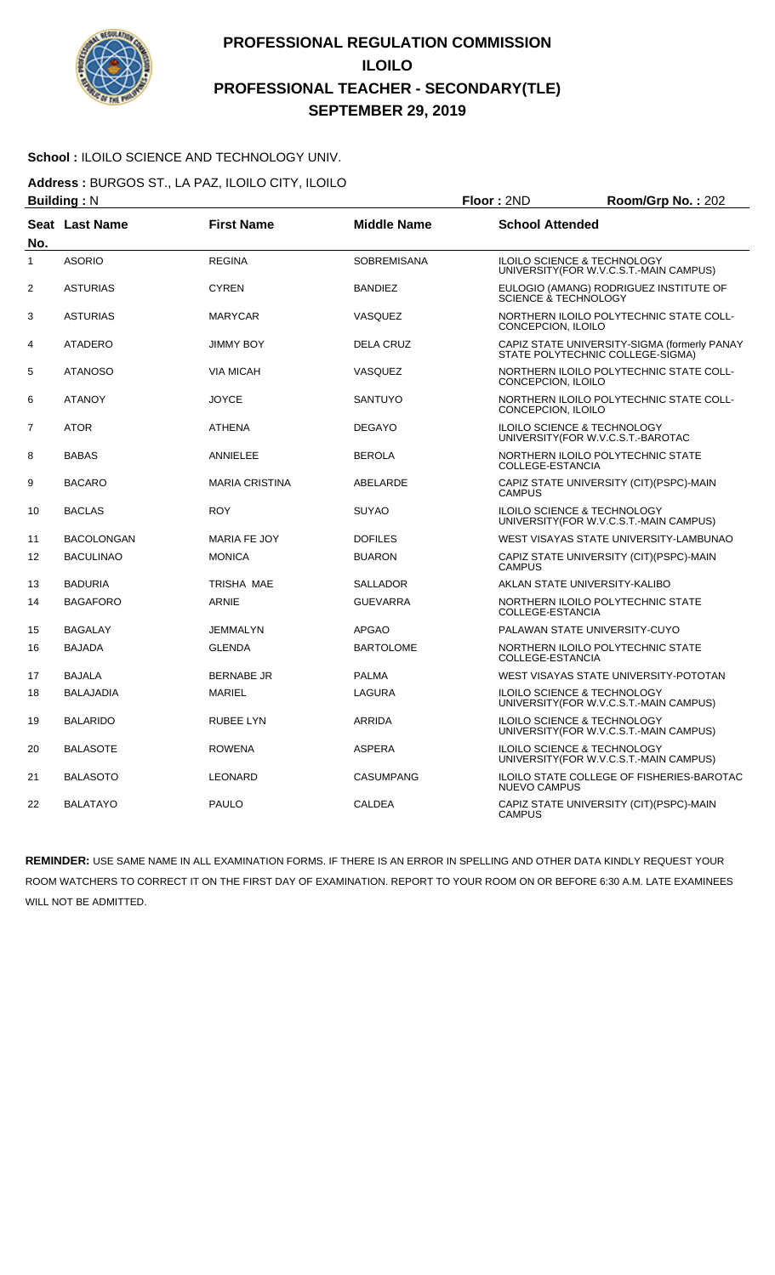

#### School : ILOILO SCIENCE AND TECHNOLOGY UNIV.

**Address :** BURGOS ST., LA PAZ, ILOILO CITY, ILOILO

| <b>Building: N</b> |                       |                       |                    | Floor: 2ND                             | Room/Grp No.: 202                                                                |
|--------------------|-----------------------|-----------------------|--------------------|----------------------------------------|----------------------------------------------------------------------------------|
| No.                | <b>Seat Last Name</b> | <b>First Name</b>     | <b>Middle Name</b> | <b>School Attended</b>                 |                                                                                  |
| 1                  | <b>ASORIO</b>         | <b>REGINA</b>         | <b>SOBREMISANA</b> | ILOILO SCIENCE & TECHNOLOGY            | UNIVERSITY (FOR W.V.C.S.T.-MAIN CAMPUS)                                          |
| 2                  | <b>ASTURIAS</b>       | <b>CYREN</b>          | <b>BANDIEZ</b>     | SCIENCE & TECHNOLOGY                   | EULOGIO (AMANG) RODRIGUEZ INSTITUTE OF                                           |
| 3                  | <b>ASTURIAS</b>       | <b>MARYCAR</b>        | VASQUEZ            | CONCEPCION, ILOILO                     | NORTHERN ILOILO POLYTECHNIC STATE COLL-                                          |
| 4                  | <b>ATADERO</b>        | <b>JIMMY BOY</b>      | <b>DELA CRUZ</b>   |                                        | CAPIZ STATE UNIVERSITY-SIGMA (formerly PANAY<br>STATE POLYTECHNIC COLLEGE-SIGMA) |
| 5                  | <b>ATANOSO</b>        | <b>VIA MICAH</b>      | VASQUEZ            | CONCEPCION, ILOILO                     | NORTHERN ILOILO POLYTECHNIC STATE COLL-                                          |
| 6                  | <b>ATANOY</b>         | <b>JOYCE</b>          | <b>SANTUYO</b>     | CONCEPCION, ILOILO                     | NORTHERN ILOILO POLYTECHNIC STATE COLL-                                          |
| 7                  | <b>ATOR</b>           | <b>ATHENA</b>         | <b>DEGAYO</b>      | ILOILO SCIENCE & TECHNOLOGY            | UNIVERSITY (FOR W.V.C.S.T.-BAROTAC                                               |
| 8                  | <b>BABAS</b>          | <b>ANNIELEE</b>       | <b>BEROLA</b>      | COLLEGE-ESTANCIA                       | NORTHERN ILOILO POLYTECHNIC STATE                                                |
| 9                  | <b>BACARO</b>         | <b>MARIA CRISTINA</b> | ABELARDE           | CAMPUS                                 | CAPIZ STATE UNIVERSITY (CIT)(PSPC)-MAIN                                          |
| 10                 | <b>BACLAS</b>         | <b>ROY</b>            | <b>SUYAO</b>       | <b>ILOILO SCIENCE &amp; TECHNOLOGY</b> | UNIVERSITY (FOR W.V.C.S.T.-MAIN CAMPUS)                                          |
| 11                 | <b>BACOLONGAN</b>     | <b>MARIA FE JOY</b>   | <b>DOFILES</b>     |                                        | WEST VISAYAS STATE UNIVERSITY-LAMBUNAO                                           |
| 12                 | <b>BACULINAO</b>      | <b>MONICA</b>         | <b>BUARON</b>      | <b>CAMPUS</b>                          | CAPIZ STATE UNIVERSITY (CIT)(PSPC)-MAIN                                          |
| 13                 | <b>BADURIA</b>        | TRISHA MAE            | <b>SALLADOR</b>    | AKLAN STATE UNIVERSITY-KALIBO          |                                                                                  |
| 14                 | <b>BAGAFORO</b>       | <b>ARNIE</b>          | <b>GUEVARRA</b>    | COLLEGE-ESTANCIA                       | NORTHERN ILOILO POLYTECHNIC STATE                                                |
| 15                 | <b>BAGALAY</b>        | <b>JEMMALYN</b>       | <b>APGAO</b>       | PALAWAN STATE UNIVERSITY-CUYO          |                                                                                  |
| 16                 | <b>BAJADA</b>         | <b>GLENDA</b>         | <b>BARTOLOME</b>   | COLLEGE-ESTANCIA                       | NORTHERN ILOILO POLYTECHNIC STATE                                                |
| 17                 | <b>BAJALA</b>         | <b>BERNABE JR</b>     | <b>PALMA</b>       |                                        | WEST VISAYAS STATE UNIVERSITY-POTOTAN                                            |
| 18                 | <b>BALAJADIA</b>      | <b>MARIEL</b>         | <b>LAGURA</b>      | ILOILO SCIENCE & TECHNOLOGY            | UNIVERSITY (FOR W.V.C.S.T.-MAIN CAMPUS)                                          |
| 19                 | <b>BALARIDO</b>       | <b>RUBEE LYN</b>      | ARRIDA             | ILOILO SCIENCE & TECHNOLOGY            | UNIVERSITY(FOR W.V.C.S.T.-MAIN CAMPUS)                                           |
| 20                 | <b>BALASOTE</b>       | <b>ROWENA</b>         | <b>ASPERA</b>      | ILOILO SCIENCE & TECHNOLOGY            | UNIVERSITY(FOR W.V.C.S.T.-MAIN CAMPUS)                                           |
| 21                 | <b>BALASOTO</b>       | <b>LEONARD</b>        | <b>CASUMPANG</b>   | <b>NUEVO CAMPUS</b>                    | <b>ILOILO STATE COLLEGE OF FISHERIES-BAROTAC</b>                                 |
| 22                 | <b>BALATAYO</b>       | <b>PAULO</b>          | <b>CALDEA</b>      | <b>CAMPUS</b>                          | CAPIZ STATE UNIVERSITY (CIT)(PSPC)-MAIN                                          |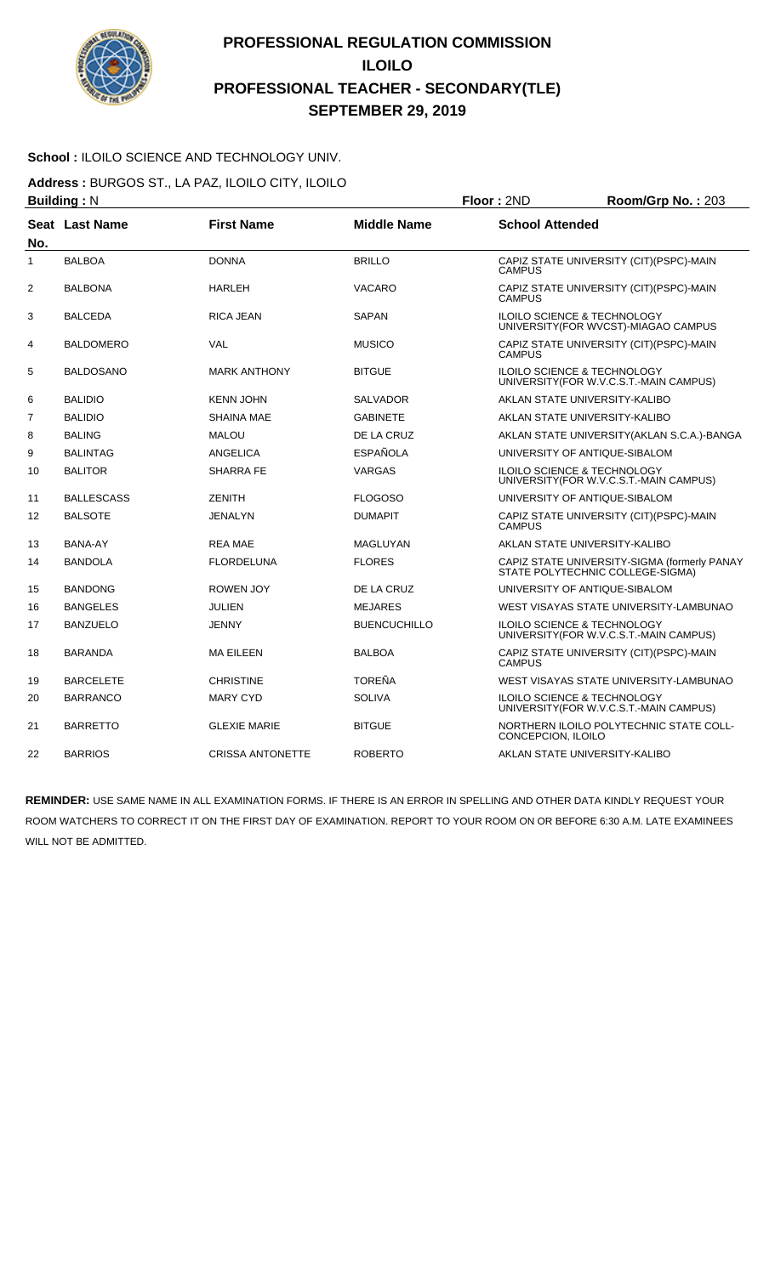

#### **School :** ILOILO SCIENCE AND TECHNOLOGY UNIV.

**Address :** BURGOS ST., LA PAZ, ILOILO CITY, ILOILO

|                | <b>Building: N</b> |                         |                     | Floor: 2ND             | Room/Grp No.: 203                                                                 |
|----------------|--------------------|-------------------------|---------------------|------------------------|-----------------------------------------------------------------------------------|
| No.            | Seat Last Name     | <b>First Name</b>       | <b>Middle Name</b>  | <b>School Attended</b> |                                                                                   |
| 1              | <b>BALBOA</b>      | <b>DONNA</b>            | <b>BRILLO</b>       | <b>CAMPUS</b>          | CAPIZ STATE UNIVERSITY (CIT)(PSPC)-MAIN                                           |
| 2              | <b>BALBONA</b>     | <b>HARLEH</b>           | <b>VACARO</b>       | <b>CAMPUS</b>          | CAPIZ STATE UNIVERSITY (CIT)(PSPC)-MAIN                                           |
| 3              | <b>BALCEDA</b>     | <b>RICA JEAN</b>        | SAPAN               |                        | <b>ILOILO SCIENCE &amp; TECHNOLOGY</b><br>UNIVERSITY(FOR WVCST)-MIAGAO CAMPUS     |
| 4              | <b>BALDOMERO</b>   | <b>VAL</b>              | <b>MUSICO</b>       | <b>CAMPUS</b>          | CAPIZ STATE UNIVERSITY (CIT)(PSPC)-MAIN                                           |
| 5              | <b>BALDOSANO</b>   | <b>MARK ANTHONY</b>     | <b>BITGUE</b>       |                        | ILOILO SCIENCE & TECHNOLOGY<br>UNIVERSITY (FOR W.V.C.S.T.-MAIN CAMPUS)            |
| 6              | <b>BALIDIO</b>     | <b>KENN JOHN</b>        | <b>SALVADOR</b>     |                        | AKLAN STATE UNIVERSITY-KALIBO                                                     |
| $\overline{7}$ | <b>BALIDIO</b>     | <b>SHAINA MAE</b>       | <b>GABINETE</b>     |                        | AKLAN STATE UNIVERSITY-KALIBO                                                     |
| 8              | <b>BALING</b>      | <b>MALOU</b>            | DE LA CRUZ          |                        | AKLAN STATE UNIVERSITY (AKLAN S.C.A.)-BANGA                                       |
| 9              | <b>BALINTAG</b>    | <b>ANGELICA</b>         | <b>ESPAÑOLA</b>     |                        | UNIVERSITY OF ANTIQUE-SIBALOM                                                     |
| 10             | <b>BALITOR</b>     | <b>SHARRA FE</b>        | <b>VARGAS</b>       |                        | ILOILO SCIENCE & TECHNOLOGY<br>UNIVERSITY(FOR W.V.C.S.T.-MAIN CAMPUS)             |
| 11             | <b>BALLESCASS</b>  | <b>ZENITH</b>           | <b>FLOGOSO</b>      |                        | UNIVERSITY OF ANTIQUE-SIBALOM                                                     |
| 12             | <b>BALSOTE</b>     | <b>JENALYN</b>          | <b>DUMAPIT</b>      | <b>CAMPUS</b>          | CAPIZ STATE UNIVERSITY (CIT)(PSPC)-MAIN                                           |
| 13             | BANA-AY            | <b>REA MAE</b>          | MAGLUYAN            |                        | AKLAN STATE UNIVERSITY-KALIBO                                                     |
| 14             | <b>BANDOLA</b>     | <b>FLORDELUNA</b>       | <b>FLORES</b>       |                        | CAPIZ STATE UNIVERSITY-SIGMA (formerly PANAY<br>STATE POLYTECHNIC COLLEGE-SIGMA)  |
| 15             | <b>BANDONG</b>     | <b>ROWEN JOY</b>        | DE LA CRUZ          |                        | UNIVERSITY OF ANTIQUE-SIBALOM                                                     |
| 16             | <b>BANGELES</b>    | <b>JULIEN</b>           | <b>MEJARES</b>      |                        | WEST VISAYAS STATE UNIVERSITY-LAMBUNAO                                            |
| 17             | <b>BANZUELO</b>    | JENNY                   | <b>BUENCUCHILLO</b> |                        | <b>ILOILO SCIENCE &amp; TECHNOLOGY</b><br>UNIVERSITY (FOR W.V.C.S.T.-MAIN CAMPUS) |
| 18             | <b>BARANDA</b>     | <b>MA EILEEN</b>        | <b>BALBOA</b>       | <b>CAMPUS</b>          | CAPIZ STATE UNIVERSITY (CIT)(PSPC)-MAIN                                           |
| 19             | <b>BARCELETE</b>   | <b>CHRISTINE</b>        | <b>TOREÑA</b>       |                        | WEST VISAYAS STATE UNIVERSITY-LAMBUNAO                                            |
| 20             | <b>BARRANCO</b>    | <b>MARY CYD</b>         | <b>SOLIVA</b>       |                        | <b>ILOILO SCIENCE &amp; TECHNOLOGY</b><br>UNIVERSITY(FOR W.V.C.S.T.-MAIN CAMPUS)  |
| 21             | BARRETTO           | <b>GLEXIE MARIE</b>     | <b>BITGUE</b>       | CONCEPCION, ILOILO     | NORTHERN ILOILO POLYTECHNIC STATE COLL-                                           |
| 22             | <b>BARRIOS</b>     | <b>CRISSA ANTONETTE</b> | <b>ROBERTO</b>      |                        | AKLAN STATE UNIVERSITY-KALIBO                                                     |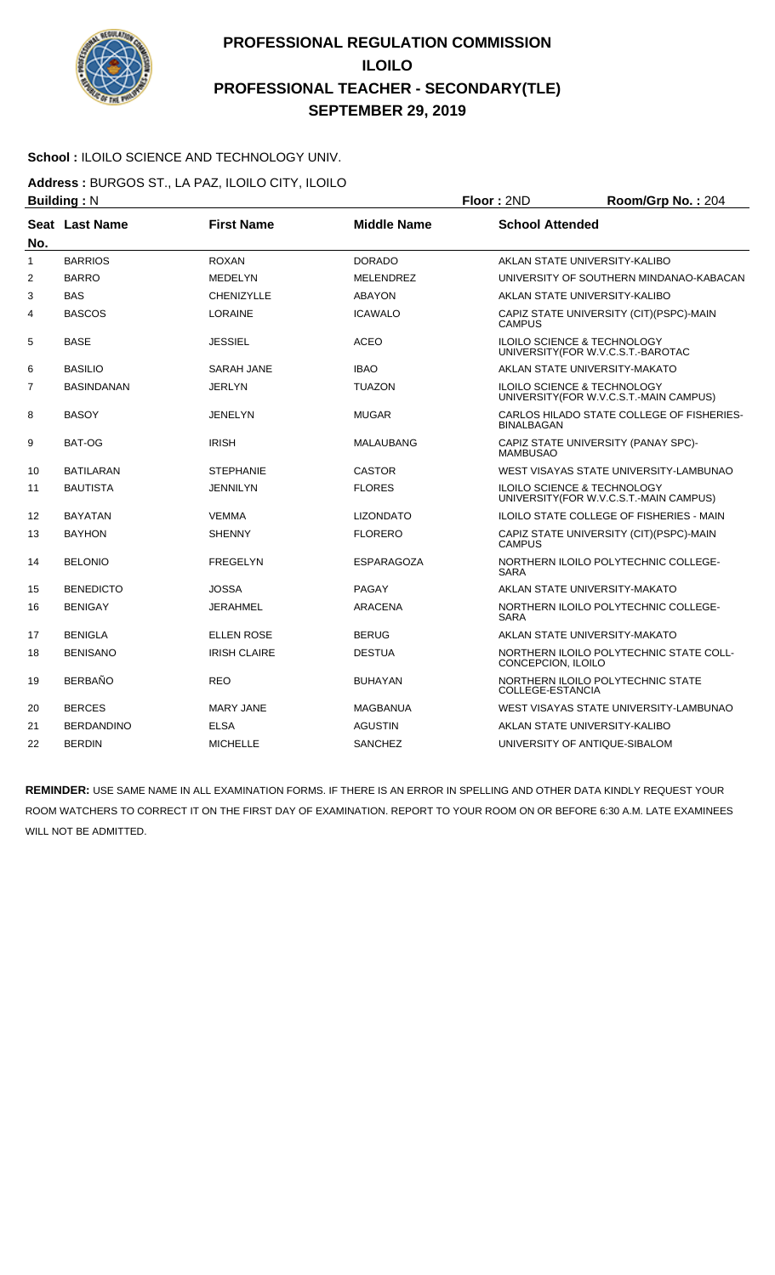

#### School : ILOILO SCIENCE AND TECHNOLOGY UNIV.

**Address :** BURGOS ST., LA PAZ, ILOILO CITY, ILOILO

|                | <b>Building: N</b> |                     |                    | Floor: 2ND              | Room/Grp No.: 204                                                                 |
|----------------|--------------------|---------------------|--------------------|-------------------------|-----------------------------------------------------------------------------------|
| No.            | Seat Last Name     | <b>First Name</b>   | <b>Middle Name</b> | <b>School Attended</b>  |                                                                                   |
| $\mathbf{1}$   | <b>BARRIOS</b>     | <b>ROXAN</b>        | <b>DORADO</b>      |                         | AKLAN STATE UNIVERSITY-KALIBO                                                     |
| $\overline{2}$ | <b>BARRO</b>       | <b>MEDELYN</b>      | <b>MELENDREZ</b>   |                         | UNIVERSITY OF SOUTHERN MINDANAO-KABACAN                                           |
| 3              | <b>BAS</b>         | <b>CHENIZYLLE</b>   | <b>ABAYON</b>      |                         | AKLAN STATE UNIVERSITY-KALIBO                                                     |
| 4              | <b>BASCOS</b>      | <b>LORAINE</b>      | <b>ICAWALO</b>     | <b>CAMPUS</b>           | CAPIZ STATE UNIVERSITY (CIT) (PSPC)-MAIN                                          |
| 5              | <b>BASE</b>        | <b>JESSIEL</b>      | <b>ACEO</b>        |                         | ILOILO SCIENCE & TECHNOLOGY<br>UNIVERSITY(FOR W.V.C.S.T.-BAROTAC                  |
| 6              | <b>BASILIO</b>     | SARAH JANE          | <b>IBAO</b>        |                         | AKLAN STATE UNIVERSITY-MAKATO                                                     |
| $\overline{7}$ | <b>BASINDANAN</b>  | <b>JERLYN</b>       | <b>TUAZON</b>      |                         | <b>ILOILO SCIENCE &amp; TECHNOLOGY</b><br>UNIVERSITY (FOR W.V.C.S.T.-MAIN CAMPUS) |
| 8              | <b>BASOY</b>       | <b>JENELYN</b>      | <b>MUGAR</b>       | <b>BINALBAGAN</b>       | CARLOS HILADO STATE COLLEGE OF FISHERIES-                                         |
| 9              | BAT-OG             | <b>IRISH</b>        | <b>MALAUBANG</b>   | <b>MAMBUSAO</b>         | CAPIZ STATE UNIVERSITY (PANAY SPC)-                                               |
| 10             | <b>BATILARAN</b>   | <b>STEPHANIE</b>    | <b>CASTOR</b>      |                         | WEST VISAYAS STATE UNIVERSITY-LAMBUNAO                                            |
| 11             | <b>BAUTISTA</b>    | <b>JENNILYN</b>     | <b>FLORES</b>      |                         | ILOILO SCIENCE & TECHNOLOGY<br>UNIVERSITY (FOR W.V.C.S.T.-MAIN CAMPUS)            |
| 12             | <b>BAYATAN</b>     | <b>VEMMA</b>        | <b>LIZONDATO</b>   |                         | <b>ILOILO STATE COLLEGE OF FISHERIES - MAIN</b>                                   |
| 13             | <b>BAYHON</b>      | <b>SHENNY</b>       | <b>FLORERO</b>     | <b>CAMPUS</b>           | CAPIZ STATE UNIVERSITY (CIT)(PSPC)-MAIN                                           |
| 14             | <b>BELONIO</b>     | <b>FREGELYN</b>     | ESPARAGOZA         | <b>SARA</b>             | NORTHERN ILOILO POLYTECHNIC COLLEGE-                                              |
| 15             | <b>BENEDICTO</b>   | <b>JOSSA</b>        | PAGAY              |                         | AKLAN STATE UNIVERSITY-MAKATO                                                     |
| 16             | <b>BENIGAY</b>     | <b>JERAHMEL</b>     | <b>ARACENA</b>     | <b>SARA</b>             | NORTHERN ILOILO POLYTECHNIC COLLEGE-                                              |
| 17             | <b>BENIGLA</b>     | <b>ELLEN ROSE</b>   | <b>BERUG</b>       |                         | AKLAN STATE UNIVERSITY-MAKATO                                                     |
| 18             | <b>BENISANO</b>    | <b>IRISH CLAIRE</b> | <b>DESTUA</b>      | CONCEPCION, ILOILO      | NORTHERN ILOILO POLYTECHNIC STATE COLL-                                           |
| 19             | <b>BERBAÑO</b>     | REO                 | <b>BUHAYAN</b>     | <b>COLLEGE-ESTANCIA</b> | NORTHERN ILOILO POLYTECHNIC STATE                                                 |
| 20             | <b>BERCES</b>      | <b>MARY JANE</b>    | <b>MAGBANUA</b>    |                         | WEST VISAYAS STATE UNIVERSITY-LAMBUNAO                                            |
| 21             | <b>BERDANDINO</b>  | <b>ELSA</b>         | <b>AGUSTIN</b>     |                         | AKLAN STATE UNIVERSITY-KALIBO                                                     |
| 22             | <b>BERDIN</b>      | <b>MICHELLE</b>     | <b>SANCHEZ</b>     |                         | UNIVERSITY OF ANTIQUE-SIBALOM                                                     |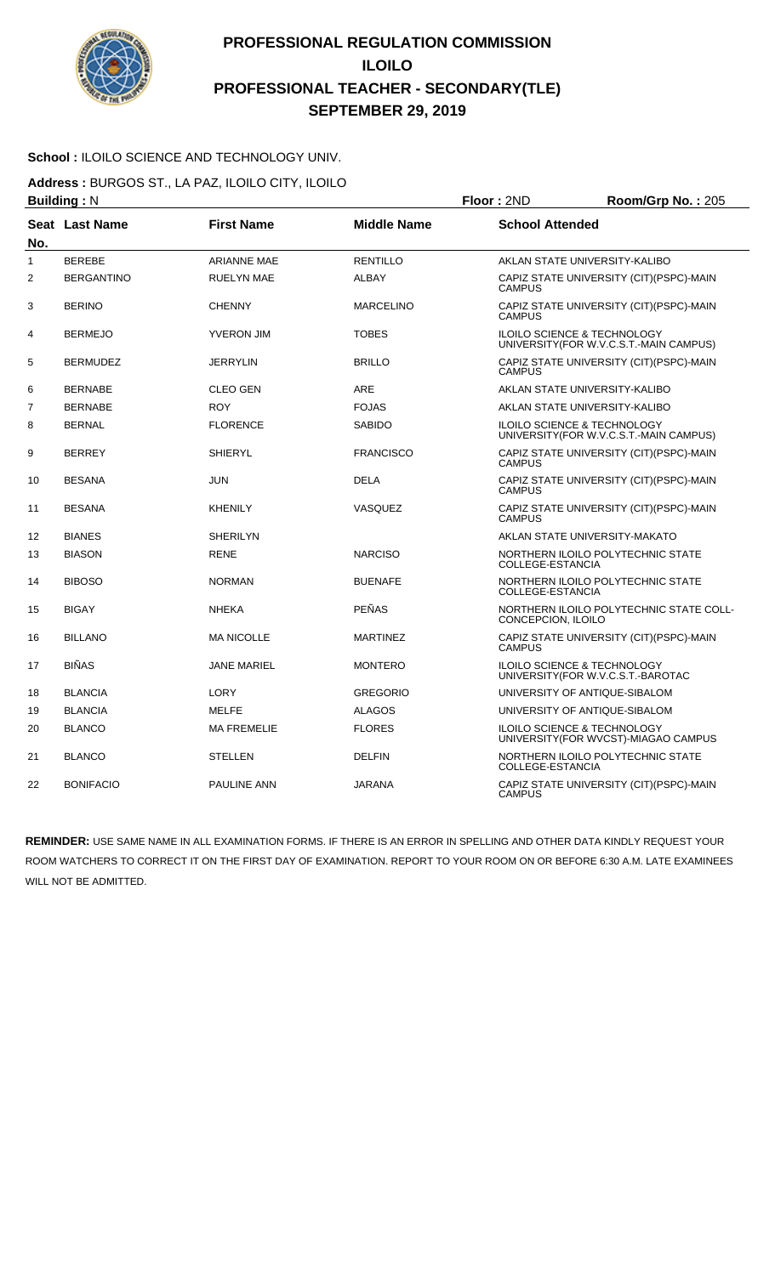

#### **School :** ILOILO SCIENCE AND TECHNOLOGY UNIV.

**Address :** BURGOS ST., LA PAZ, ILOILO CITY, ILOILO

|                | <b>Building: N</b>    |                    |                    | Floor: 2ND             | Room/Grp No.: 205                                                              |
|----------------|-----------------------|--------------------|--------------------|------------------------|--------------------------------------------------------------------------------|
| No.            | <b>Seat Last Name</b> | <b>First Name</b>  | <b>Middle Name</b> | <b>School Attended</b> |                                                                                |
| 1              | <b>BEREBE</b>         | <b>ARIANNE MAE</b> | <b>RENTILLO</b>    |                        | AKLAN STATE UNIVERSITY-KALIBO                                                  |
| $\overline{2}$ | <b>BERGANTINO</b>     | <b>RUELYN MAE</b>  | <b>ALBAY</b>       | <b>CAMPUS</b>          | CAPIZ STATE UNIVERSITY (CIT) (PSPC)-MAIN                                       |
| 3              | <b>BERINO</b>         | <b>CHENNY</b>      | <b>MARCELINO</b>   | <b>CAMPUS</b>          | CAPIZ STATE UNIVERSITY (CIT) (PSPC)-MAIN                                       |
| 4              | <b>BERMEJO</b>        | <b>YVERON JIM</b>  | <b>TOBES</b>       |                        | ILOILO SCIENCE & TECHNOLOGY<br>UNIVERSITY(FOR W.V.C.S.T.-MAIN CAMPUS)          |
| 5              | <b>BERMUDEZ</b>       | <b>JERRYLIN</b>    | <b>BRILLO</b>      | <b>CAMPUS</b>          | CAPIZ STATE UNIVERSITY (CIT)(PSPC)-MAIN                                        |
| 6              | <b>BERNABE</b>        | <b>CLEO GEN</b>    | <b>ARE</b>         |                        | AKLAN STATE UNIVERSITY-KALIBO                                                  |
| $\overline{7}$ | <b>BERNABE</b>        | <b>ROY</b>         | <b>FOJAS</b>       |                        | AKLAN STATE UNIVERSITY-KALIBO                                                  |
| 8              | <b>BERNAL</b>         | <b>FLORENCE</b>    | <b>SABIDO</b>      |                        | ILOILO SCIENCE & TECHNOLOGY<br>UNIVERSITY (FOR W.V.C.S.T.-MAIN CAMPUS)         |
| 9              | <b>BERREY</b>         | <b>SHIERYL</b>     | <b>FRANCISCO</b>   | <b>CAMPUS</b>          | CAPIZ STATE UNIVERSITY (CIT)(PSPC)-MAIN                                        |
| 10             | <b>BESANA</b>         | <b>JUN</b>         | <b>DELA</b>        | <b>CAMPUS</b>          | CAPIZ STATE UNIVERSITY (CIT)(PSPC)-MAIN                                        |
| 11             | <b>BESANA</b>         | <b>KHENILY</b>     | VASQUEZ            | <b>CAMPUS</b>          | CAPIZ STATE UNIVERSITY (CIT)(PSPC)-MAIN                                        |
| 12             | <b>BIANES</b>         | <b>SHERILYN</b>    |                    |                        | AKLAN STATE UNIVERSITY-MAKATO                                                  |
| 13             | <b>BIASON</b>         | <b>RENE</b>        | <b>NARCISO</b>     | COLLEGE-ESTANCIA       | NORTHERN ILOILO POLYTECHNIC STATE                                              |
| 14             | <b>BIBOSO</b>         | <b>NORMAN</b>      | <b>BUENAFE</b>     | COLLEGE-ESTANCIA       | NORTHERN ILOILO POLYTECHNIC STATE                                              |
| 15             | <b>BIGAY</b>          | <b>NHEKA</b>       | <b>PEÑAS</b>       | CONCEPCION, ILOILO     | NORTHERN ILOILO POLYTECHNIC STATE COLL-                                        |
| 16             | <b>BILLANO</b>        | <b>MA NICOLLE</b>  | <b>MARTINEZ</b>    | <b>CAMPUS</b>          | CAPIZ STATE UNIVERSITY (CIT) (PSPC)-MAIN                                       |
| 17             | <b>BIÑAS</b>          | <b>JANE MARIEL</b> | <b>MONTERO</b>     |                        | <b>ILOILO SCIENCE &amp; TECHNOLOGY</b><br>UNIVERSITY(FOR W.V.C.S.T.-BAROTAC    |
| 18             | <b>BLANCIA</b>        | LORY               | <b>GREGORIO</b>    |                        | UNIVERSITY OF ANTIQUE-SIBALOM                                                  |
| 19             | <b>BLANCIA</b>        | <b>MELFE</b>       | <b>ALAGOS</b>      |                        | UNIVERSITY OF ANTIQUE-SIBALOM                                                  |
| 20             | <b>BLANCO</b>         | <b>MA FREMELIE</b> | <b>FLORES</b>      |                        | <b>ILOILO SCIENCE &amp; TECHNOLOGY</b><br>UNIVERSITY (FOR WVCST)-MIAGAO CAMPUS |
| 21             | <b>BLANCO</b>         | <b>STELLEN</b>     | <b>DELFIN</b>      | COLLEGE-ESTANCIA       | NORTHERN ILOILO POLYTECHNIC STATE                                              |
| 22             | <b>BONIFACIO</b>      | <b>PAULINE ANN</b> | <b>JARANA</b>      | <b>CAMPUS</b>          | CAPIZ STATE UNIVERSITY (CIT) (PSPC)-MAIN                                       |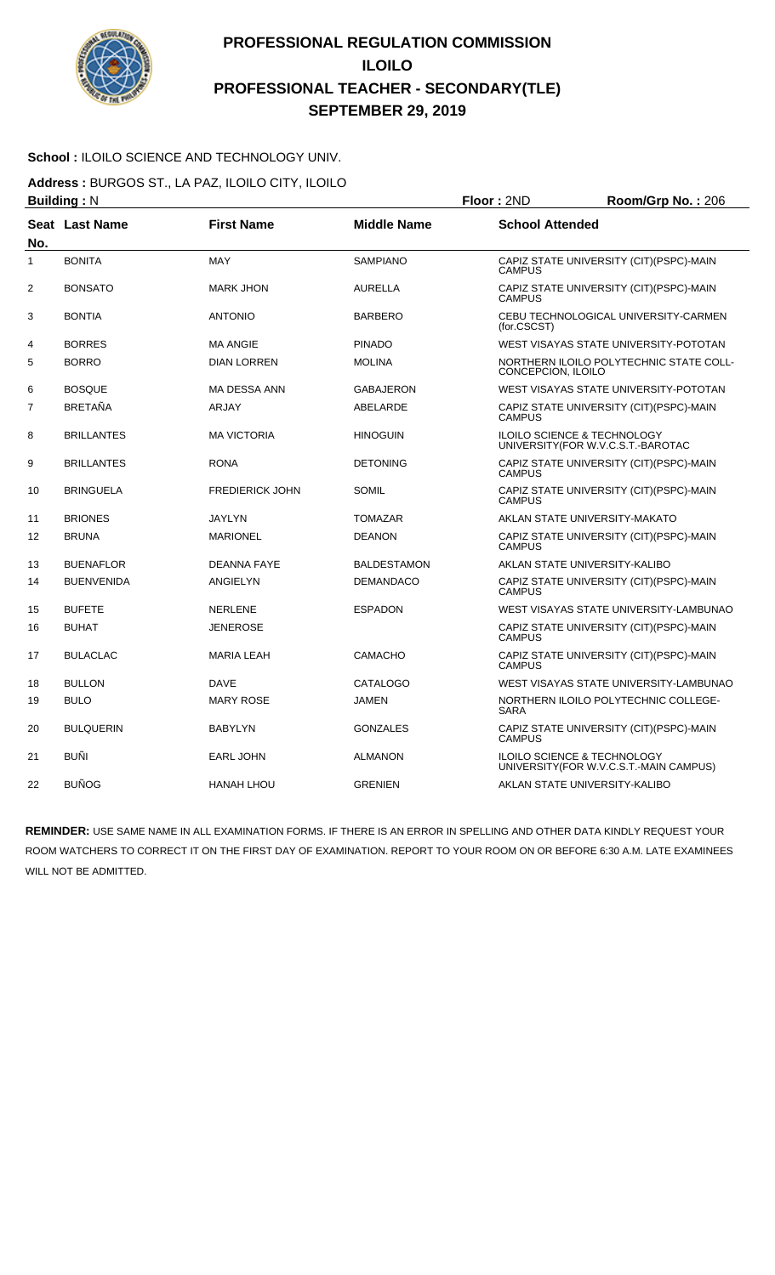

#### School : ILOILO SCIENCE AND TECHNOLOGY UNIV.

**Address :** BURGOS ST., LA PAZ, ILOILO CITY, ILOILO

|                | <b>Building: N</b> |                        |                    | Floor: 2ND                                                                   | Room/Grp No.: 206                        |
|----------------|--------------------|------------------------|--------------------|------------------------------------------------------------------------------|------------------------------------------|
| No.            | Seat Last Name     | <b>First Name</b>      | <b>Middle Name</b> | <b>School Attended</b>                                                       |                                          |
| $\mathbf{1}$   | <b>BONITA</b>      | <b>MAY</b>             | <b>SAMPIANO</b>    | <b>CAMPUS</b>                                                                | CAPIZ STATE UNIVERSITY (CIT)(PSPC)-MAIN  |
| $\overline{2}$ | <b>BONSATO</b>     | <b>MARK JHON</b>       | <b>AURELLA</b>     | <b>CAMPUS</b>                                                                | CAPIZ STATE UNIVERSITY (CIT)(PSPC)-MAIN  |
| 3              | <b>BONTIA</b>      | <b>ANTONIO</b>         | <b>BARBERO</b>     | (for.CSCST)                                                                  | CEBU TECHNOLOGICAL UNIVERSITY-CARMEN     |
| 4              | <b>BORRES</b>      | <b>MA ANGIE</b>        | <b>PINADO</b>      |                                                                              | WEST VISAYAS STATE UNIVERSITY-POTOTAN    |
| 5              | <b>BORRO</b>       | <b>DIAN LORREN</b>     | <b>MOLINA</b>      | CONCEPCION, ILOILO                                                           | NORTHERN ILOILO POLYTECHNIC STATE COLL-  |
| 6              | <b>BOSQUE</b>      | MA DESSA ANN           | GABAJERON          |                                                                              | WEST VISAYAS STATE UNIVERSITY-POTOTAN    |
| $\overline{7}$ | <b>BRETAÑA</b>     | <b>ARJAY</b>           | ABELARDE           | <b>CAMPUS</b>                                                                | CAPIZ STATE UNIVERSITY (CIT) (PSPC)-MAIN |
| 8              | <b>BRILLANTES</b>  | <b>MA VICTORIA</b>     | <b>HINOGUIN</b>    | <b>ILOILO SCIENCE &amp; TECHNOLOGY</b><br>UNIVERSITY (FOR W.V.C.S.T.-BAROTAC |                                          |
| 9              | <b>BRILLANTES</b>  | <b>RONA</b>            | <b>DETONING</b>    | <b>CAMPUS</b>                                                                | CAPIZ STATE UNIVERSITY (CIT)(PSPC)-MAIN  |
| 10             | <b>BRINGUELA</b>   | <b>FREDIERICK JOHN</b> | <b>SOMIL</b>       | <b>CAMPUS</b>                                                                | CAPIZ STATE UNIVERSITY (CIT)(PSPC)-MAIN  |
| 11             | <b>BRIONES</b>     | <b>JAYLYN</b>          | <b>TOMAZAR</b>     | AKLAN STATE UNIVERSITY-MAKATO                                                |                                          |
| 12             | <b>BRUNA</b>       | <b>MARIONEL</b>        | <b>DEANON</b>      | <b>CAMPUS</b>                                                                | CAPIZ STATE UNIVERSITY (CIT)(PSPC)-MAIN  |
| 13             | <b>BUENAFLOR</b>   | <b>DEANNA FAYE</b>     | <b>BALDESTAMON</b> | AKLAN STATE UNIVERSITY-KALIBO                                                |                                          |
| 14             | <b>BUENVENIDA</b>  | <b>ANGIELYN</b>        | <b>DEMANDACO</b>   | <b>CAMPUS</b>                                                                | CAPIZ STATE UNIVERSITY (CIT)(PSPC)-MAIN  |
| 15             | <b>BUFETE</b>      | <b>NERLENE</b>         | <b>ESPADON</b>     |                                                                              | WEST VISAYAS STATE UNIVERSITY-LAMBUNAO   |
| 16             | <b>BUHAT</b>       | JENEROSE               |                    | <b>CAMPUS</b>                                                                | CAPIZ STATE UNIVERSITY (CIT) (PSPC)-MAIN |
| 17             | <b>BULACLAC</b>    | <b>MARIA LEAH</b>      | <b>CAMACHO</b>     | <b>CAMPUS</b>                                                                | CAPIZ STATE UNIVERSITY (CIT)(PSPC)-MAIN  |
| 18             | <b>BULLON</b>      | <b>DAVE</b>            | <b>CATALOGO</b>    |                                                                              | WEST VISAYAS STATE UNIVERSITY-LAMBUNAO   |
| 19             | <b>BULO</b>        | <b>MARY ROSE</b>       | <b>JAMEN</b>       | <b>SARA</b>                                                                  | NORTHERN ILOILO POLYTECHNIC COLLEGE-     |
| 20             | <b>BULQUERIN</b>   | <b>BABYLYN</b>         | <b>GONZALES</b>    | <b>CAMPUS</b>                                                                | CAPIZ STATE UNIVERSITY (CIT)(PSPC)-MAIN  |
| 21             | <b>BUÑI</b>        | <b>EARL JOHN</b>       | <b>ALMANON</b>     | <b>ILOILO SCIENCE &amp; TECHNOLOGY</b>                                       | UNIVERSITY(FOR W.V.C.S.T.-MAIN CAMPUS)   |
| 22             | <b>BUÑOG</b>       | <b>HANAH LHOU</b>      | <b>GRENIEN</b>     | AKLAN STATE UNIVERSITY-KALIBO                                                |                                          |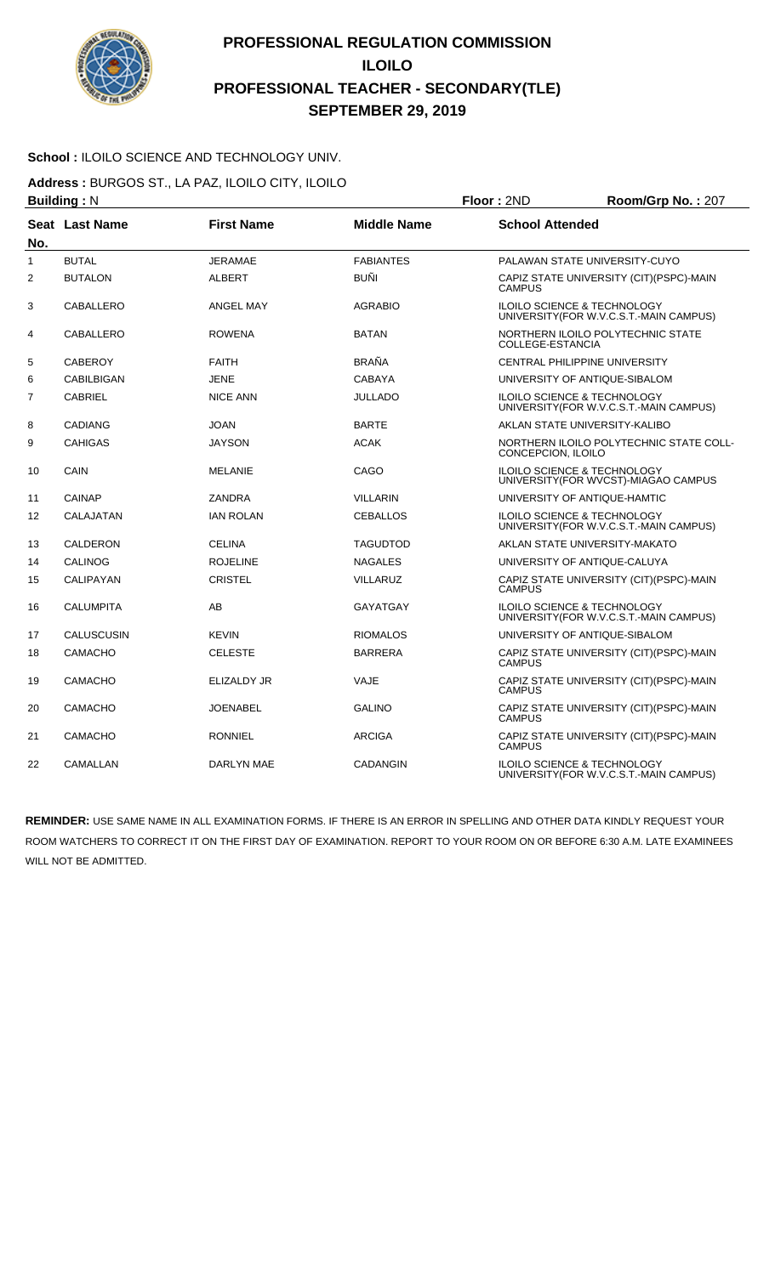

#### School : ILOILO SCIENCE AND TECHNOLOGY UNIV.

**Address :** BURGOS ST., LA PAZ, ILOILO CITY, ILOILO

|                | <b>Building: N</b>    |                   |                    | Floor: 2ND             | Room/Grp No.: 207                                                                 |
|----------------|-----------------------|-------------------|--------------------|------------------------|-----------------------------------------------------------------------------------|
| No.            | <b>Seat Last Name</b> | <b>First Name</b> | <b>Middle Name</b> | <b>School Attended</b> |                                                                                   |
| 1              | <b>BUTAL</b>          | JERAMAE           | <b>FABIANTES</b>   |                        | PALAWAN STATE UNIVERSITY-CUYO                                                     |
| $\overline{2}$ | <b>BUTALON</b>        | <b>ALBERT</b>     | BUÑI               | <b>CAMPUS</b>          | CAPIZ STATE UNIVERSITY (CIT)(PSPC)-MAIN                                           |
| 3              | CABALLERO             | <b>ANGEL MAY</b>  | <b>AGRABIO</b>     |                        | <b>ILOILO SCIENCE &amp; TECHNOLOGY</b><br>UNIVERSITY (FOR W.V.C.S.T.-MAIN CAMPUS) |
| 4              | CABALLERO             | <b>ROWENA</b>     | <b>BATAN</b>       | COLLEGE-ESTANCIA       | NORTHERN ILOILO POLYTECHNIC STATE                                                 |
| 5              | <b>CABEROY</b>        | <b>FAITH</b>      | BRAÑA              |                        | CENTRAL PHILIPPINE UNIVERSITY                                                     |
| 6              | <b>CABILBIGAN</b>     | <b>JENE</b>       | <b>CABAYA</b>      |                        | UNIVERSITY OF ANTIQUE-SIBALOM                                                     |
| $\overline{7}$ | <b>CABRIEL</b>        | <b>NICE ANN</b>   | <b>JULLADO</b>     |                        | ILOILO SCIENCE & TECHNOLOGY<br>UNIVERSITY (FOR W.V.C.S.T.-MAIN CAMPUS)            |
| 8              | <b>CADIANG</b>        | <b>JOAN</b>       | <b>BARTE</b>       |                        | AKLAN STATE UNIVERSITY-KALIBO                                                     |
| 9              | <b>CAHIGAS</b>        | <b>JAYSON</b>     | <b>ACAK</b>        | CONCEPCION, ILOILO     | NORTHERN ILOILO POLYTECHNIC STATE COLL-                                           |
| 10             | CAIN                  | <b>MELANIE</b>    | CAGO               |                        | ILOILO SCIENCE & TECHNOLOGY<br>UNIVERSITY(FOR WVCST)-MIAGAO CAMPUS                |
| 11             | <b>CAINAP</b>         | <b>ZANDRA</b>     | <b>VILLARIN</b>    |                        | UNIVERSITY OF ANTIQUE-HAMTIC                                                      |
| 12             | CALAJATAN             | <b>IAN ROLAN</b>  | <b>CEBALLOS</b>    |                        | ILOILO SCIENCE & TECHNOLOGY<br>UNIVERSITY (FOR W.V.C.S.T.-MAIN CAMPUS)            |
| 13             | <b>CALDERON</b>       | <b>CELINA</b>     | <b>TAGUDTOD</b>    |                        | AKLAN STATE UNIVERSITY-MAKATO                                                     |
| 14             | <b>CALINOG</b>        | <b>ROJELINE</b>   | <b>NAGALES</b>     |                        | UNIVERSITY OF ANTIQUE-CALUYA                                                      |
| 15             | CALIPAYAN             | <b>CRISTEL</b>    | <b>VILLARUZ</b>    | <b>CAMPUS</b>          | CAPIZ STATE UNIVERSITY (CIT)(PSPC)-MAIN                                           |
| 16             | <b>CALUMPITA</b>      | AB                | <b>GAYATGAY</b>    |                        | <b>ILOILO SCIENCE &amp; TECHNOLOGY</b><br>UNIVERSITY(FOR W.V.C.S.T.-MAIN CAMPUS)  |
| 17             | <b>CALUSCUSIN</b>     | <b>KEVIN</b>      | <b>RIOMALOS</b>    |                        | UNIVERSITY OF ANTIQUE-SIBALOM                                                     |
| 18             | <b>CAMACHO</b>        | <b>CELESTE</b>    | <b>BARRERA</b>     | <b>CAMPUS</b>          | CAPIZ STATE UNIVERSITY (CIT)(PSPC)-MAIN                                           |
| 19             | <b>CAMACHO</b>        | ELIZALDY JR       | VAJE               | <b>CAMPUS</b>          | CAPIZ STATE UNIVERSITY (CIT)(PSPC)-MAIN                                           |
| 20             | <b>CAMACHO</b>        | <b>JOENABEL</b>   | <b>GALINO</b>      | <b>CAMPUS</b>          | CAPIZ STATE UNIVERSITY (CIT)(PSPC)-MAIN                                           |
| 21             | <b>CAMACHO</b>        | <b>RONNIEL</b>    | <b>ARCIGA</b>      | <b>CAMPUS</b>          | CAPIZ STATE UNIVERSITY (CIT)(PSPC)-MAIN                                           |
| 22             | CAMALLAN              | DARLYN MAE        | <b>CADANGIN</b>    |                        | ILOILO SCIENCE & TECHNOLOGY<br>UNIVERSITY (FOR W.V.C.S.T.-MAIN CAMPUS)            |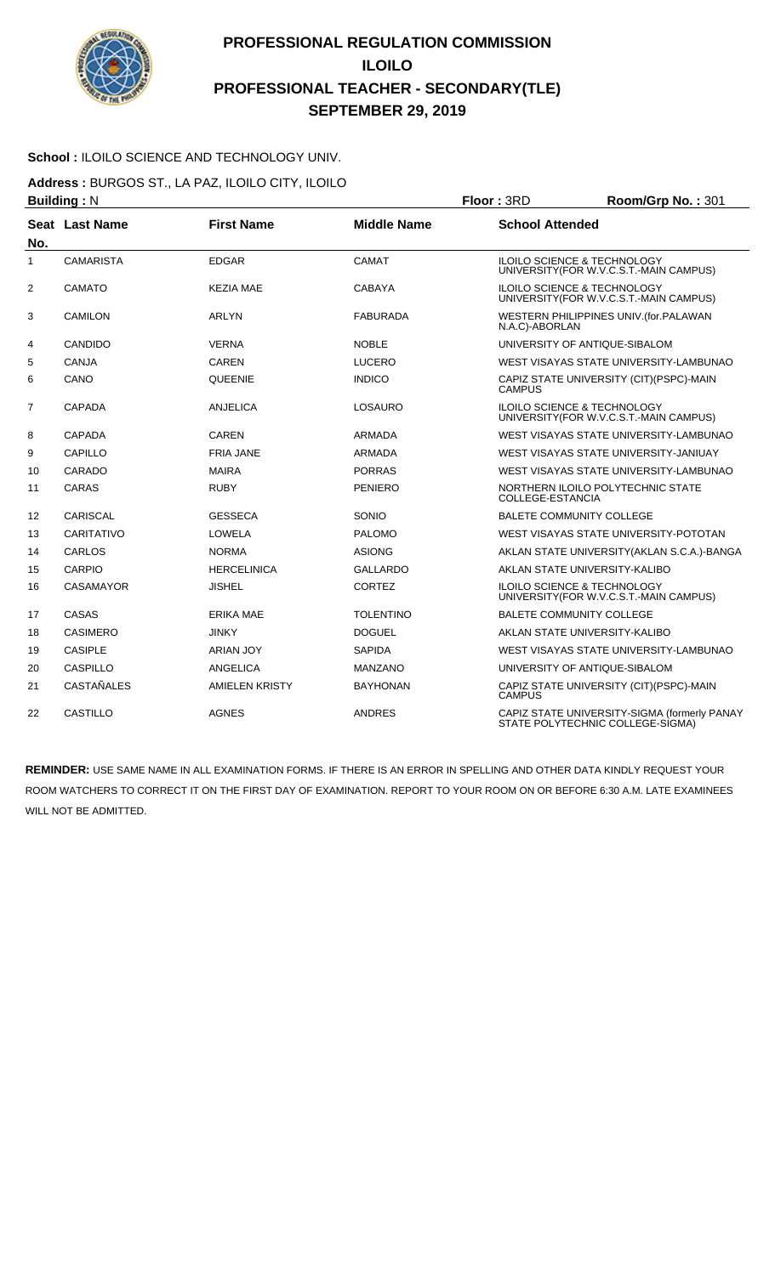

#### School : ILOILO SCIENCE AND TECHNOLOGY UNIV.

**Address :** BURGOS ST., LA PAZ, ILOILO CITY, ILOILO

|                   | <b>Building: N</b> |                       |                    | Floor: 3RD             | Room/Grp No.: 301                                                                 |
|-------------------|--------------------|-----------------------|--------------------|------------------------|-----------------------------------------------------------------------------------|
| No.               | Seat Last Name     | <b>First Name</b>     | <b>Middle Name</b> | <b>School Attended</b> |                                                                                   |
| 1                 | <b>CAMARISTA</b>   | <b>EDGAR</b>          | CAMAT              |                        | <b>ILOILO SCIENCE &amp; TECHNOLOGY</b><br>UNIVERSITY (FOR W.V.C.S.T.-MAIN CAMPUS) |
| 2                 | CAMATO             | <b>KEZIA MAE</b>      | <b>CABAYA</b>      |                        | <b>ILOILO SCIENCE &amp; TECHNOLOGY</b><br>UNIVERSITY (FOR W.V.C.S.T.-MAIN CAMPUS) |
| 3                 | <b>CAMILON</b>     | <b>ARLYN</b>          | <b>FABURADA</b>    | N.A.C)-ABORLAN         | WESTERN PHILIPPINES UNIV. (for. PALAWAN                                           |
| 4                 | CANDIDO            | <b>VERNA</b>          | <b>NOBLE</b>       |                        | UNIVERSITY OF ANTIQUE-SIBALOM                                                     |
| 5                 | <b>CANJA</b>       | <b>CAREN</b>          | LUCERO             |                        | WEST VISAYAS STATE UNIVERSITY-LAMBUNAO                                            |
| 6                 | CANO               | QUEENIE               | <b>INDICO</b>      | <b>CAMPUS</b>          | CAPIZ STATE UNIVERSITY (CIT) (PSPC)-MAIN                                          |
| $\overline{7}$    | <b>CAPADA</b>      | <b>ANJELICA</b>       | <b>LOSAURO</b>     |                        | <b>ILOILO SCIENCE &amp; TECHNOLOGY</b><br>UNIVERSITY (FOR W.V.C.S.T.-MAIN CAMPUS) |
| 8                 | <b>CAPADA</b>      | <b>CAREN</b>          | ARMADA             |                        | WEST VISAYAS STATE UNIVERSITY-LAMBUNAO                                            |
| 9                 | CAPILLO            | <b>FRIA JANE</b>      | <b>ARMADA</b>      |                        | WEST VISAYAS STATE UNIVERSITY-JANIUAY                                             |
| 10                | CARADO             | <b>MAIRA</b>          | <b>PORRAS</b>      |                        | WEST VISAYAS STATE UNIVERSITY-LAMBUNAO                                            |
| 11                | CARAS              | <b>RUBY</b>           | <b>PENIERO</b>     | COLLEGE-ESTANCIA       | NORTHERN ILOILO POLYTECHNIC STATE                                                 |
| $12 \overline{ }$ | <b>CARISCAL</b>    | <b>GESSECA</b>        | SONIO              |                        | <b>BALETE COMMUNITY COLLEGE</b>                                                   |
| 13                | CARITATIVO         | LOWELA                | <b>PALOMO</b>      |                        | WEST VISAYAS STATE UNIVERSITY-POTOTAN                                             |
| 14                | CARLOS             | <b>NORMA</b>          | <b>ASIONG</b>      |                        | AKLAN STATE UNIVERSITY (AKLAN S.C.A.)-BANGA                                       |
| 15                | <b>CARPIO</b>      | <b>HERCELINICA</b>    | <b>GALLARDO</b>    |                        | AKLAN STATE UNIVERSITY-KALIBO                                                     |
| 16                | <b>CASAMAYOR</b>   | <b>JISHEL</b>         | <b>CORTEZ</b>      |                        | <b>ILOILO SCIENCE &amp; TECHNOLOGY</b><br>UNIVERSITY (FOR W.V.C.S.T.-MAIN CAMPUS) |
| 17                | CASAS              | <b>ERIKA MAE</b>      | <b>TOLENTINO</b>   |                        | <b>BALETE COMMUNITY COLLEGE</b>                                                   |
| 18                | <b>CASIMERO</b>    | <b>JINKY</b>          | <b>DOGUEL</b>      |                        | AKLAN STATE UNIVERSITY-KALIBO                                                     |
| 19                | <b>CASIPLE</b>     | <b>ARIAN JOY</b>      | <b>SAPIDA</b>      |                        | WEST VISAYAS STATE UNIVERSITY-LAMBUNAO                                            |
| 20                | <b>CASPILLO</b>    | ANGELICA              | <b>MANZANO</b>     |                        | UNIVERSITY OF ANTIQUE-SIBALOM                                                     |
| 21                | CASTAÑALES         | <b>AMIELEN KRISTY</b> | <b>BAYHONAN</b>    | <b>CAMPUS</b>          | CAPIZ STATE UNIVERSITY (CIT) (PSPC)-MAIN                                          |
| 22                | <b>CASTILLO</b>    | <b>AGNES</b>          | <b>ANDRES</b>      |                        | CAPIZ STATE UNIVERSITY-SIGMA (formerly PANAY<br>STATE POLYTECHNIC COLLEGE-SIGMA)  |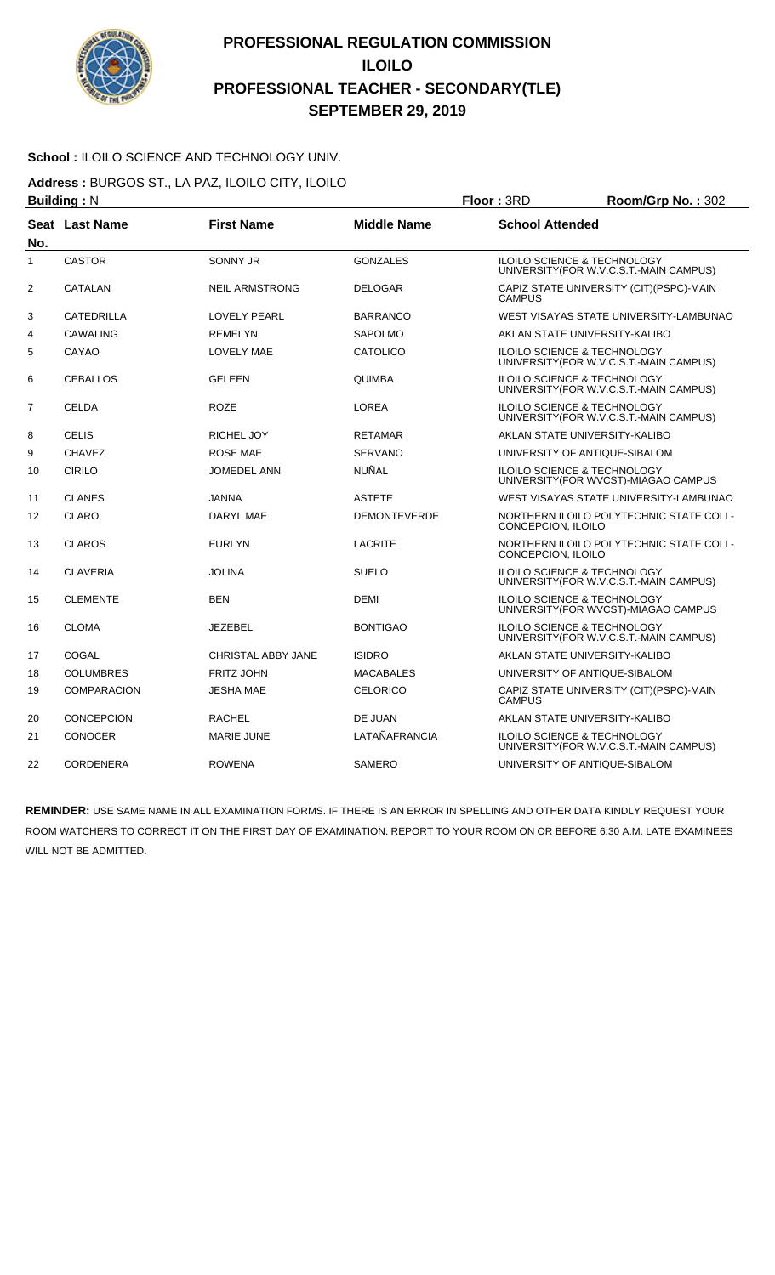

#### **School :** ILOILO SCIENCE AND TECHNOLOGY UNIV.

**Address :** BURGOS ST., LA PAZ, ILOILO CITY, ILOILO

|                | <b>Building: N</b> |                           |                     | Floor: 3RD             | Room/Grp No.: 302                                                                 |
|----------------|--------------------|---------------------------|---------------------|------------------------|-----------------------------------------------------------------------------------|
| No.            | Seat Last Name     | <b>First Name</b>         | <b>Middle Name</b>  | <b>School Attended</b> |                                                                                   |
| $\mathbf{1}$   | <b>CASTOR</b>      | SONNY JR                  | <b>GONZALES</b>     |                        | <b>ILOILO SCIENCE &amp; TECHNOLOGY</b><br>UNIVERSITY(FOR W.V.C.S.T.-MAIN CAMPUS)  |
| 2              | CATALAN            | <b>NEIL ARMSTRONG</b>     | <b>DELOGAR</b>      | <b>CAMPUS</b>          | CAPIZ STATE UNIVERSITY (CIT)(PSPC)-MAIN                                           |
| 3              | <b>CATEDRILLA</b>  | <b>LOVELY PEARL</b>       | <b>BARRANCO</b>     |                        | WEST VISAYAS STATE UNIVERSITY-LAMBUNAO                                            |
| 4              | <b>CAWALING</b>    | <b>REMELYN</b>            | <b>SAPOLMO</b>      |                        | AKLAN STATE UNIVERSITY-KALIBO                                                     |
| 5              | CAYAO              | <b>LOVELY MAE</b>         | <b>CATOLICO</b>     |                        | <b>ILOILO SCIENCE &amp; TECHNOLOGY</b><br>UNIVERSITY (FOR W.V.C.S.T.-MAIN CAMPUS) |
| 6              | <b>CEBALLOS</b>    | GELEEN                    | <b>QUIMBA</b>       |                        | ILOILO SCIENCE & TECHNOLOGY<br>UNIVERSITY (FOR W.V.C.S.T.-MAIN CAMPUS)            |
| $\overline{7}$ | <b>CELDA</b>       | <b>ROZE</b>               | <b>LOREA</b>        |                        | <b>ILOILO SCIENCE &amp; TECHNOLOGY</b><br>UNIVERSITY (FOR W.V.C.S.T.-MAIN CAMPUS) |
| 8              | <b>CELIS</b>       | <b>RICHEL JOY</b>         | <b>RETAMAR</b>      |                        | AKLAN STATE UNIVERSITY-KALIBO                                                     |
| 9              | <b>CHAVEZ</b>      | <b>ROSE MAE</b>           | <b>SERVANO</b>      |                        | UNIVERSITY OF ANTIQUE-SIBALOM                                                     |
| 10             | <b>CIRILO</b>      | JOMEDEL ANN               | NUÑAL               |                        | <b>ILOILO SCIENCE &amp; TECHNOLOGY</b><br>UNIVERSITY(FOR WVCST)-MIAGAO CAMPUS     |
| 11             | <b>CLANES</b>      | JANNA                     | <b>ASTETE</b>       |                        | WEST VISAYAS STATE UNIVERSITY-LAMBUNAO                                            |
| 12             | <b>CLARO</b>       | DARYL MAE                 | <b>DEMONTEVERDE</b> | CONCEPCION, ILOILO     | NORTHERN ILOILO POLYTECHNIC STATE COLL-                                           |
| 13             | <b>CLAROS</b>      | <b>EURLYN</b>             | <b>LACRITE</b>      | CONCEPCION, ILOILO     | NORTHERN ILOILO POLYTECHNIC STATE COLL-                                           |
| 14             | <b>CLAVERIA</b>    | <b>JOLINA</b>             | <b>SUELO</b>        |                        | ILOILO SCIENCE & TECHNOLOGY<br>UNIVERSITY(FOR W.V.C.S.T.-MAIN CAMPUS)             |
| 15             | <b>CLEMENTE</b>    | <b>BEN</b>                | <b>DEMI</b>         |                        | ILOILO SCIENCE & TECHNOLOGY<br>UNIVERSITY(FOR WVCST)-MIAGAO CAMPUS                |
| 16             | <b>CLOMA</b>       | <b>JEZEBEL</b>            | <b>BONTIGAO</b>     |                        | <b>ILOILO SCIENCE &amp; TECHNOLOGY</b><br>UNIVERSITY (FOR W.V.C.S.T.-MAIN CAMPUS) |
| 17             | COGAL              | <b>CHRISTAL ABBY JANE</b> | <b>ISIDRO</b>       |                        | AKLAN STATE UNIVERSITY-KALIBO                                                     |
| 18             | <b>COLUMBRES</b>   | <b>FRITZ JOHN</b>         | <b>MACABALES</b>    |                        | UNIVERSITY OF ANTIQUE-SIBALOM                                                     |
| 19             | <b>COMPARACION</b> | JESHA MAE                 | <b>CELORICO</b>     | <b>CAMPUS</b>          | CAPIZ STATE UNIVERSITY (CIT)(PSPC)-MAIN                                           |
| 20             | <b>CONCEPCION</b>  | <b>RACHEL</b>             | DE JUAN             |                        | AKLAN STATE UNIVERSITY-KALIBO                                                     |
| 21             | <b>CONOCER</b>     | <b>MARIE JUNE</b>         | LATAÑAFRANCIA       |                        | <b>ILOILO SCIENCE &amp; TECHNOLOGY</b><br>UNIVERSITY(FOR W.V.C.S.T.-MAIN CAMPUS)  |
| 22             | <b>CORDENERA</b>   | <b>ROWENA</b>             | <b>SAMERO</b>       |                        | UNIVERSITY OF ANTIQUE-SIBALOM                                                     |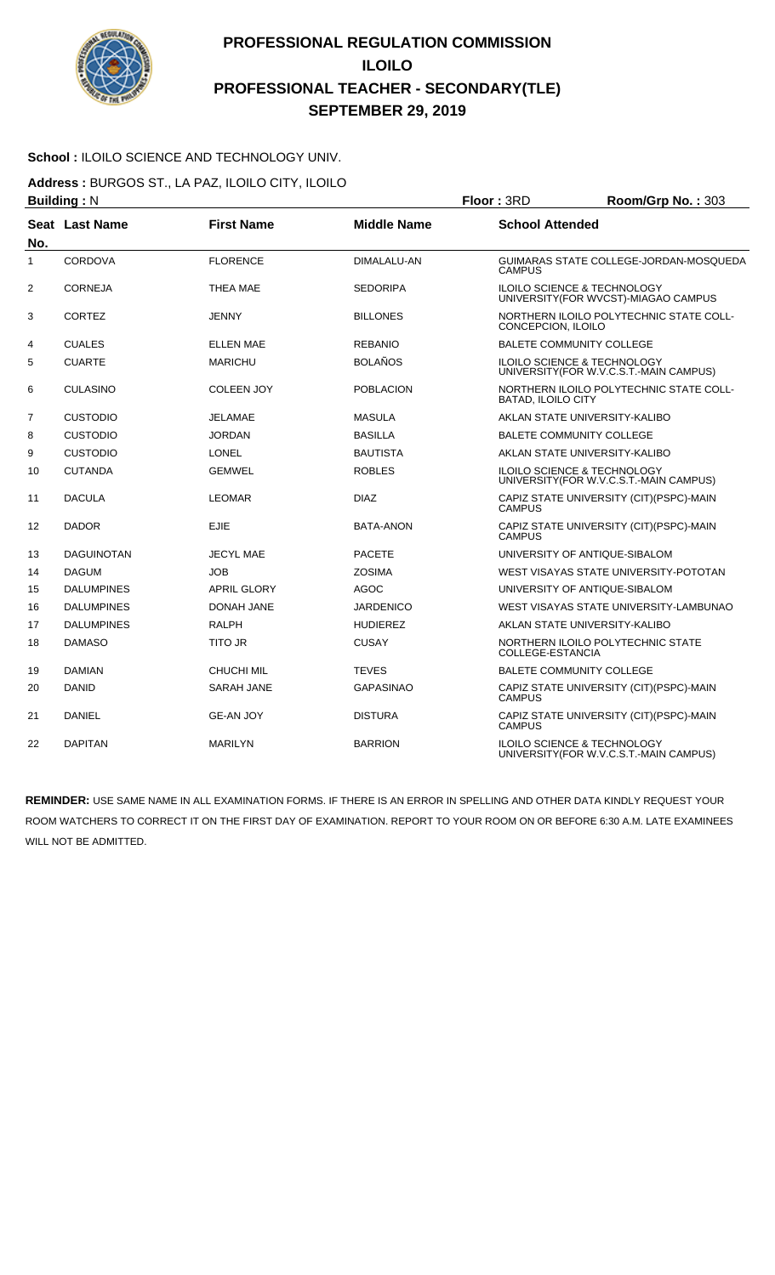

#### **School :** ILOILO SCIENCE AND TECHNOLOGY UNIV.

**Address :** BURGOS ST., LA PAZ, ILOILO CITY, ILOILO

|                | <b>Building: N</b> |                    | Floor: 3RD         | Room/Grp No.: 303         |                                                                                   |
|----------------|--------------------|--------------------|--------------------|---------------------------|-----------------------------------------------------------------------------------|
| No.            | Seat Last Name     | <b>First Name</b>  | <b>Middle Name</b> | <b>School Attended</b>    |                                                                                   |
| $\mathbf{1}$   | CORDOVA            | <b>FLORENCE</b>    | <b>DIMALALU-AN</b> | <b>CAMPUS</b>             | GUIMARAS STATE COLLEGE-JORDAN-MOSQUEDA                                            |
| $\overline{2}$ | <b>CORNEJA</b>     | <b>THEA MAE</b>    | <b>SEDORIPA</b>    |                           | <b>ILOILO SCIENCE &amp; TECHNOLOGY</b><br>UNIVERSITY (FOR WVCST)-MIAGAO CAMPUS    |
| 3              | CORTEZ             | JENNY              | <b>BILLONES</b>    | CONCEPCION, ILOILO        | NORTHERN ILOILO POLYTECHNIC STATE COLL-                                           |
| 4              | <b>CUALES</b>      | <b>ELLEN MAE</b>   | <b>REBANIO</b>     |                           | <b>BALETE COMMUNITY COLLEGE</b>                                                   |
| 5              | <b>CUARTE</b>      | <b>MARICHU</b>     | <b>BOLAÑOS</b>     |                           | <b>ILOILO SCIENCE &amp; TECHNOLOGY</b><br>UNIVERSITY (FOR W.V.C.S.T.-MAIN CAMPUS) |
| 6              | <b>CULASINO</b>    | <b>COLEEN JOY</b>  | <b>POBLACION</b>   | <b>BATAD, ILOILO CITY</b> | NORTHERN ILOILO POLYTECHNIC STATE COLL-                                           |
| 7              | <b>CUSTODIO</b>    | <b>JELAMAE</b>     | <b>MASULA</b>      |                           | AKLAN STATE UNIVERSITY-KALIBO                                                     |
| 8              | <b>CUSTODIO</b>    | <b>JORDAN</b>      | <b>BASILLA</b>     |                           | BALETE COMMUNITY COLLEGE                                                          |
| 9              | <b>CUSTODIO</b>    | <b>LONEL</b>       | <b>BAUTISTA</b>    |                           | AKLAN STATE UNIVERSITY-KALIBO                                                     |
| 10             | <b>CUTANDA</b>     | <b>GEMWEL</b>      | <b>ROBLES</b>      |                           | <b>ILOILO SCIENCE &amp; TECHNOLOGY</b><br>UNIVERSITY (FOR W.V.C.S.T.-MAIN CAMPUS) |
| 11             | <b>DACULA</b>      | <b>LEOMAR</b>      | <b>DIAZ</b>        | <b>CAMPUS</b>             | CAPIZ STATE UNIVERSITY (CIT)(PSPC)-MAIN                                           |
| 12             | <b>DADOR</b>       | <b>EJIE</b>        | <b>BATA-ANON</b>   | <b>CAMPUS</b>             | CAPIZ STATE UNIVERSITY (CIT)(PSPC)-MAIN                                           |
| 13             | <b>DAGUINOTAN</b>  | <b>JECYL MAE</b>   | <b>PACETE</b>      |                           | UNIVERSITY OF ANTIQUE-SIBALOM                                                     |
| 14             | <b>DAGUM</b>       | <b>JOB</b>         | <b>ZOSIMA</b>      |                           | WEST VISAYAS STATE UNIVERSITY-POTOTAN                                             |
| 15             | <b>DALUMPINES</b>  | <b>APRIL GLORY</b> | <b>AGOC</b>        |                           | UNIVERSITY OF ANTIQUE-SIBALOM                                                     |
| 16             | <b>DALUMPINES</b>  | <b>DONAH JANE</b>  | <b>JARDENICO</b>   |                           | WEST VISAYAS STATE UNIVERSITY-LAMBUNAO                                            |
| 17             | <b>DALUMPINES</b>  | <b>RALPH</b>       | <b>HUDIEREZ</b>    |                           | AKLAN STATE UNIVERSITY-KALIBO                                                     |
| 18             | <b>DAMASO</b>      | <b>TITO JR</b>     | <b>CUSAY</b>       | COLLEGE-ESTANCIA          | NORTHERN ILOILO POLYTECHNIC STATE                                                 |
| 19             | <b>DAMIAN</b>      | <b>CHUCHI MIL</b>  | <b>TEVES</b>       |                           | <b>BALETE COMMUNITY COLLEGE</b>                                                   |
| 20             | <b>DANID</b>       | SARAH JANE         | <b>GAPASINAO</b>   | <b>CAMPUS</b>             | CAPIZ STATE UNIVERSITY (CIT)(PSPC)-MAIN                                           |
| 21             | <b>DANIEL</b>      | <b>GE-AN JOY</b>   | <b>DISTURA</b>     | <b>CAMPUS</b>             | CAPIZ STATE UNIVERSITY (CIT)(PSPC)-MAIN                                           |
| 22             | <b>DAPITAN</b>     | <b>MARILYN</b>     | <b>BARRION</b>     |                           | ILOILO SCIENCE & TECHNOLOGY<br>UNIVERSITY (FOR W.V.C.S.T.-MAIN CAMPUS)            |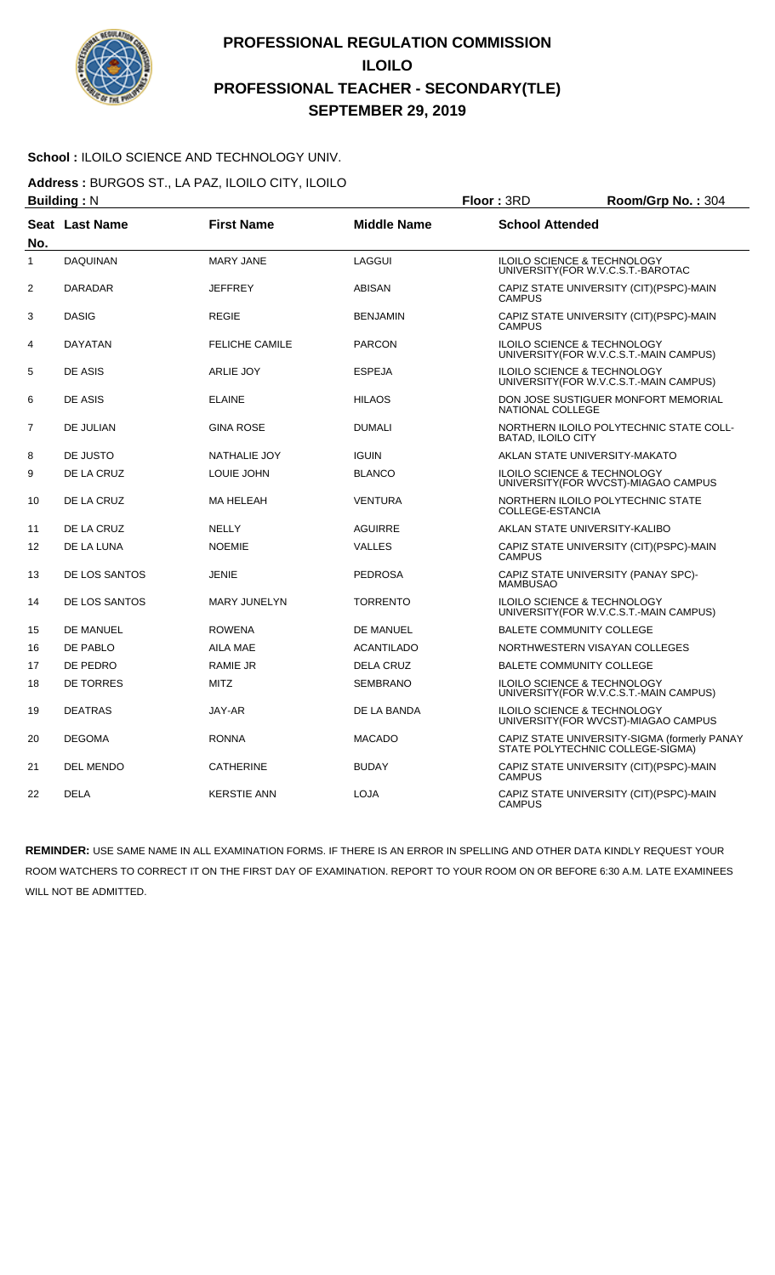

#### School : ILOILO SCIENCE AND TECHNOLOGY UNIV.

**Address :** BURGOS ST., LA PAZ, ILOILO CITY, ILOILO

|                     | <b>Building: N</b>    |                       | Floor: 3RD         | Room/Grp No.: 304         |                                                                                   |
|---------------------|-----------------------|-----------------------|--------------------|---------------------------|-----------------------------------------------------------------------------------|
|                     | <b>Seat Last Name</b> | <b>First Name</b>     | <b>Middle Name</b> | <b>School Attended</b>    |                                                                                   |
| No.<br>$\mathbf{1}$ | <b>DAQUINAN</b>       | <b>MARY JANE</b>      | <b>LAGGUI</b>      |                           | <b>ILOILO SCIENCE &amp; TECHNOLOGY</b>                                            |
|                     |                       |                       |                    |                           | UNIVERSITY (FOR W.V.C.S.T.-BAROTAC                                                |
| $\overline{c}$      | <b>DARADAR</b>        | <b>JEFFREY</b>        | <b>ABISAN</b>      | <b>CAMPUS</b>             | CAPIZ STATE UNIVERSITY (CIT)(PSPC)-MAIN                                           |
| 3                   | <b>DASIG</b>          | <b>REGIE</b>          | <b>BENJAMIN</b>    | <b>CAMPUS</b>             | CAPIZ STATE UNIVERSITY (CIT) (PSPC)-MAIN                                          |
| 4                   | <b>DAYATAN</b>        | <b>FELICHE CAMILE</b> | <b>PARCON</b>      |                           | ILOILO SCIENCE & TECHNOLOGY<br>UNIVERSITY (FOR W.V.C.S.T.-MAIN CAMPUS)            |
| 5                   | DE ASIS               | <b>ARLIE JOY</b>      | <b>ESPEJA</b>      |                           | <b>ILOILO SCIENCE &amp; TECHNOLOGY</b><br>UNIVERSITY (FOR W.V.C.S.T.-MAIN CAMPUS) |
| 6                   | DE ASIS               | <b>ELAINE</b>         | <b>HILAOS</b>      | NATIONAL COLLEGE          | DON JOSE SUSTIGUER MONFORT MEMORIAL                                               |
| $\overline{7}$      | <b>DE JULIAN</b>      | <b>GINA ROSE</b>      | <b>DUMALI</b>      | <b>BATAD, ILOILO CITY</b> | NORTHERN ILOILO POLYTECHNIC STATE COLL-                                           |
| 8                   | DE JUSTO              | NATHALIE JOY          | <b>IGUIN</b>       |                           | AKLAN STATE UNIVERSITY-MAKATO                                                     |
| 9                   | DE LA CRUZ            | LOUIE JOHN            | <b>BLANCO</b>      |                           | <b>ILOILO SCIENCE &amp; TECHNOLOGY</b><br>UNIVERSITY (FOR WVCST)-MIAGAO CAMPUS    |
| 10                  | DE LA CRUZ            | MA HELEAH             | <b>VENTURA</b>     | COLLEGE-ESTANCIA          | NORTHERN ILOILO POLYTECHNIC STATE                                                 |
| 11                  | DE LA CRUZ            | <b>NELLY</b>          | <b>AGUIRRE</b>     |                           | AKLAN STATE UNIVERSITY-KALIBO                                                     |
| 12                  | DE LA LUNA            | <b>NOEMIE</b>         | <b>VALLES</b>      | <b>CAMPUS</b>             | CAPIZ STATE UNIVERSITY (CIT) (PSPC)-MAIN                                          |
| 13                  | DE LOS SANTOS         | <b>JENIE</b>          | <b>PEDROSA</b>     | <b>MAMBUSAO</b>           | CAPIZ STATE UNIVERSITY (PANAY SPC)-                                               |
| 14                  | DE LOS SANTOS         | <b>MARY JUNELYN</b>   | <b>TORRENTO</b>    |                           | <b>ILOILO SCIENCE &amp; TECHNOLOGY</b><br>UNIVERSITY (FOR W.V.C.S.T.-MAIN CAMPUS) |
| 15                  | DE MANUEL             | <b>ROWENA</b>         | DE MANUEL          |                           | <b>BALETE COMMUNITY COLLEGE</b>                                                   |
| 16                  | DE PABLO              | AILA MAE              | <b>ACANTILADO</b>  |                           | NORTHWESTERN VISAYAN COLLEGES                                                     |
| 17                  | DE PEDRO              | <b>RAMIE JR</b>       | <b>DELA CRUZ</b>   |                           | <b>BALETE COMMUNITY COLLEGE</b>                                                   |
| 18                  | <b>DE TORRES</b>      | <b>MITZ</b>           | <b>SEMBRANO</b>    |                           | ILOILO SCIENCE & TECHNOLOGY<br>UNIVERSITY(FOR W.V.C.S.T.-MAIN CAMPUS)             |
| 19                  | <b>DEATRAS</b>        | JAY-AR                | DE LA BANDA        |                           | ILOILO SCIENCE & TECHNOLOGY<br>UNIVERSITY(FOR WVCST)-MIAGAO CAMPUS                |
| 20                  | <b>DEGOMA</b>         | <b>RONNA</b>          | <b>MACADO</b>      |                           | CAPIZ STATE UNIVERSITY-SIGMA (formerly PANAY<br>STATE POLYTECHNIC COLLEGE-SIGMA)  |
| 21                  | DEL MENDO             | CATHERINE             | <b>BUDAY</b>       | <b>CAMPUS</b>             | CAPIZ STATE UNIVERSITY (CIT) (PSPC)-MAIN                                          |
| 22                  | <b>DELA</b>           | <b>KERSTIE ANN</b>    | <b>LOJA</b>        | <b>CAMPUS</b>             | CAPIZ STATE UNIVERSITY (CIT)(PSPC)-MAIN                                           |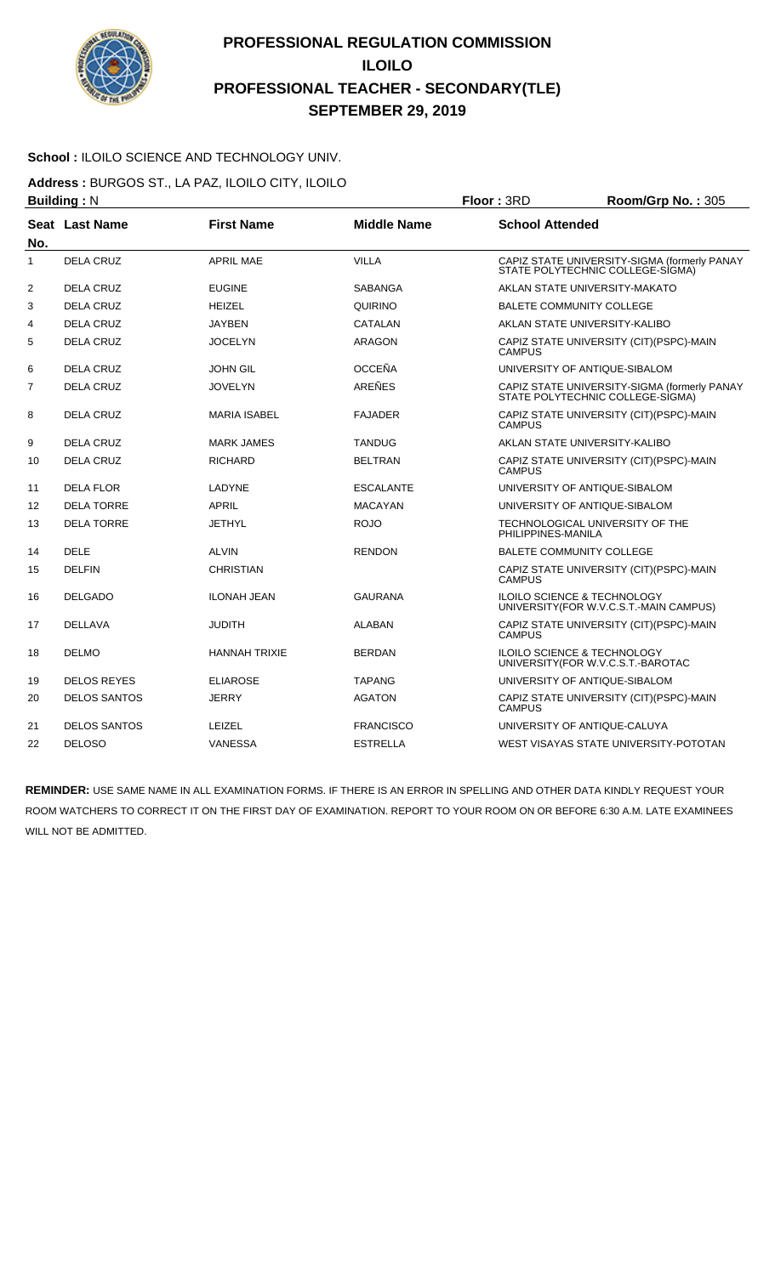

#### **School :** ILOILO SCIENCE AND TECHNOLOGY UNIV.

**Address :** BURGOS ST., LA PAZ, ILOILO CITY, ILOILO

|                | <b>Building: N</b>    |                      | Floor: 3RD         | Room/Grp No.: 305      |                                                                                  |
|----------------|-----------------------|----------------------|--------------------|------------------------|----------------------------------------------------------------------------------|
| No.            | <b>Seat Last Name</b> | <b>First Name</b>    | <b>Middle Name</b> | <b>School Attended</b> |                                                                                  |
| $\mathbf{1}$   | <b>DELA CRUZ</b>      | <b>APRIL MAE</b>     | <b>VILLA</b>       |                        | CAPIZ STATE UNIVERSITY-SIGMA (formerly PANAY<br>STATE POLYTECHNIC COLLEGE-SIGMA) |
| $\overline{2}$ | <b>DELA CRUZ</b>      | <b>EUGINE</b>        | <b>SABANGA</b>     |                        | AKLAN STATE UNIVERSITY-MAKATO                                                    |
| 3              | <b>DELA CRUZ</b>      | <b>HEIZEL</b>        | QUIRINO            |                        | <b>BALETE COMMUNITY COLLEGE</b>                                                  |
| 4              | <b>DELA CRUZ</b>      | <b>JAYBEN</b>        | CATALAN            |                        | AKLAN STATE UNIVERSITY-KALIBO                                                    |
| 5              | <b>DELA CRUZ</b>      | <b>JOCELYN</b>       | <b>ARAGON</b>      | <b>CAMPUS</b>          | CAPIZ STATE UNIVERSITY (CIT)(PSPC)-MAIN                                          |
| 6              | <b>DELA CRUZ</b>      | <b>JOHN GIL</b>      | <b>OCCEÑA</b>      |                        | UNIVERSITY OF ANTIQUE-SIBALOM                                                    |
| 7              | DELA CRUZ             | <b>JOVELYN</b>       | AREÑES             |                        | CAPIZ STATE UNIVERSITY-SIGMA (formerly PANAY<br>STATE POLYTECHNIC COLLEGE-SIGMA) |
| 8              | <b>DELA CRUZ</b>      | <b>MARIA ISABEL</b>  | <b>FAJADER</b>     | <b>CAMPUS</b>          | CAPIZ STATE UNIVERSITY (CIT)(PSPC)-MAIN                                          |
| 9              | DELA CRUZ             | <b>MARK JAMES</b>    | <b>TANDUG</b>      |                        | AKLAN STATE UNIVERSITY-KALIBO                                                    |
| 10             | <b>DELA CRUZ</b>      | <b>RICHARD</b>       | <b>BELTRAN</b>     | <b>CAMPUS</b>          | CAPIZ STATE UNIVERSITY (CIT)(PSPC)-MAIN                                          |
| 11             | <b>DELA FLOR</b>      | <b>LADYNE</b>        | <b>ESCALANTE</b>   |                        | UNIVERSITY OF ANTIQUE-SIBALOM                                                    |
| 12             | <b>DELA TORRE</b>     | <b>APRIL</b>         | <b>MACAYAN</b>     |                        | UNIVERSITY OF ANTIQUE-SIBALOM                                                    |
| 13             | <b>DELA TORRE</b>     | <b>JETHYL</b>        | <b>ROJO</b>        | PHILIPPINES-MANILA     | TECHNOLOGICAL UNIVERSITY OF THE                                                  |
| 14             | <b>DELE</b>           | <b>ALVIN</b>         | <b>RENDON</b>      |                        | <b>BALETE COMMUNITY COLLEGE</b>                                                  |
| 15             | <b>DELFIN</b>         | <b>CHRISTIAN</b>     |                    | <b>CAMPUS</b>          | CAPIZ STATE UNIVERSITY (CIT)(PSPC)-MAIN                                          |
| 16             | <b>DELGADO</b>        | <b>ILONAH JEAN</b>   | <b>GAURANA</b>     |                        | ILOILO SCIENCE & TECHNOLOGY<br>UNIVERSITY (FOR W.V.C.S.T.-MAIN CAMPUS)           |
| 17             | <b>DELLAVA</b>        | <b>JUDITH</b>        | <b>ALABAN</b>      | <b>CAMPUS</b>          | CAPIZ STATE UNIVERSITY (CIT)(PSPC)-MAIN                                          |
| 18             | <b>DELMO</b>          | <b>HANNAH TRIXIE</b> | <b>BERDAN</b>      |                        | <b>ILOILO SCIENCE &amp; TECHNOLOGY</b><br>UNIVERSITY (FOR W.V.C.S.T.-BAROTAC     |
| 19             | <b>DELOS REYES</b>    | <b>ELIAROSE</b>      | <b>TAPANG</b>      |                        | UNIVERSITY OF ANTIQUE-SIBALOM                                                    |
| 20             | <b>DELOS SANTOS</b>   | <b>JERRY</b>         | <b>AGATON</b>      | <b>CAMPUS</b>          | CAPIZ STATE UNIVERSITY (CIT)(PSPC)-MAIN                                          |
| 21             | <b>DELOS SANTOS</b>   | LEIZEL               | <b>FRANCISCO</b>   |                        | UNIVERSITY OF ANTIQUE-CALUYA                                                     |
| 22             | <b>DELOSO</b>         | VANESSA              | <b>ESTRELLA</b>    |                        | WEST VISAYAS STATE UNIVERSITY-POTOTAN                                            |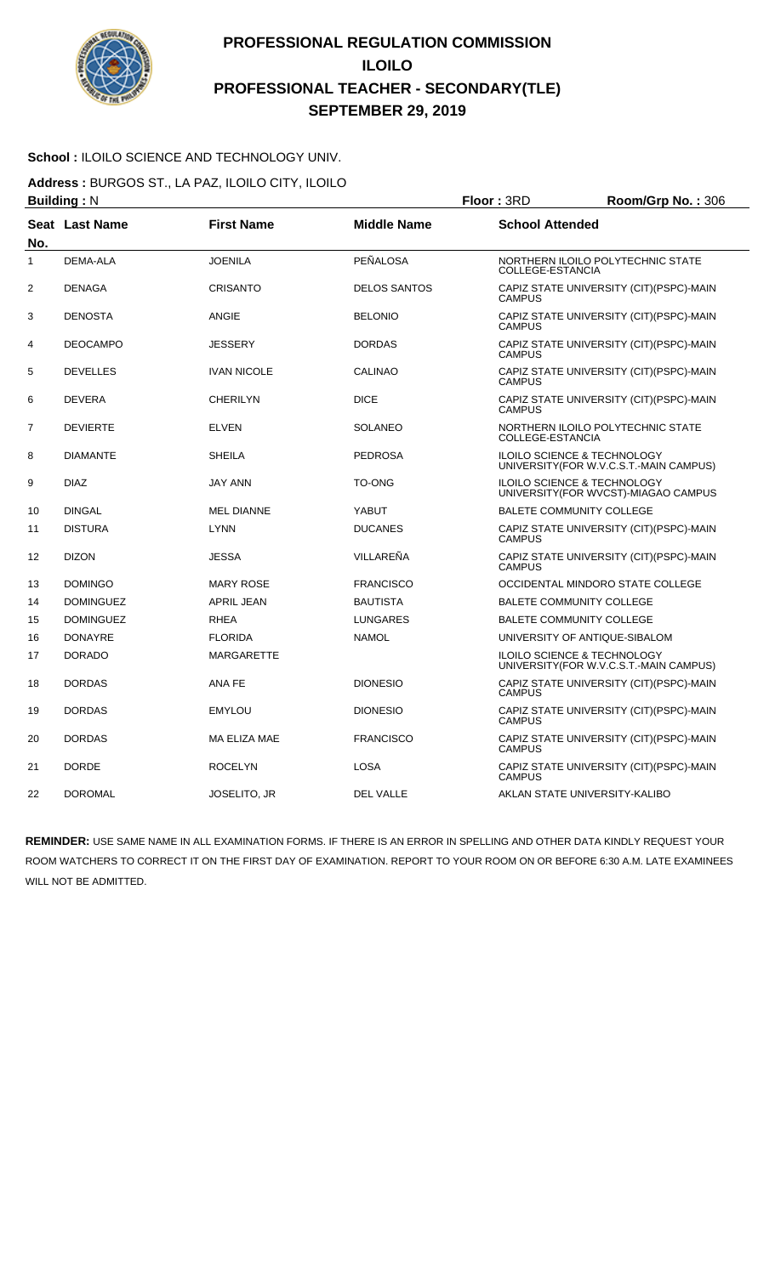

#### **School :** ILOILO SCIENCE AND TECHNOLOGY UNIV.

**Address :** BURGOS ST., LA PAZ, ILOILO CITY, ILOILO

|                | <b>Building: N</b> |                     | Floor: 3RD          | Room/Grp No.: 306      |                                                                                   |
|----------------|--------------------|---------------------|---------------------|------------------------|-----------------------------------------------------------------------------------|
| No.            | Seat Last Name     | <b>First Name</b>   | <b>Middle Name</b>  | <b>School Attended</b> |                                                                                   |
| 1              | <b>DEMA-ALA</b>    | <b>JOENILA</b>      | PEÑALOSA            | COLLEGE-ESTANCIA       | NORTHERN ILOILO POLYTECHNIC STATE                                                 |
| 2              | <b>DENAGA</b>      | <b>CRISANTO</b>     | <b>DELOS SANTOS</b> | <b>CAMPUS</b>          | CAPIZ STATE UNIVERSITY (CIT) (PSPC)-MAIN                                          |
| 3              | <b>DENOSTA</b>     | <b>ANGIE</b>        | <b>BELONIO</b>      | <b>CAMPUS</b>          | CAPIZ STATE UNIVERSITY (CIT)(PSPC)-MAIN                                           |
| 4              | <b>DEOCAMPO</b>    | <b>JESSERY</b>      | <b>DORDAS</b>       | <b>CAMPUS</b>          | CAPIZ STATE UNIVERSITY (CIT)(PSPC)-MAIN                                           |
| 5              | <b>DEVELLES</b>    | <b>IVAN NICOLE</b>  | <b>CALINAO</b>      | <b>CAMPUS</b>          | CAPIZ STATE UNIVERSITY (CIT) (PSPC)-MAIN                                          |
| 6              | <b>DEVERA</b>      | <b>CHERILYN</b>     | <b>DICE</b>         | <b>CAMPUS</b>          | CAPIZ STATE UNIVERSITY (CIT)(PSPC)-MAIN                                           |
| $\overline{7}$ | <b>DEVIERTE</b>    | <b>ELVEN</b>        | <b>SOLANEO</b>      | COLLEGE-ESTANCIA       | NORTHERN ILOILO POLYTECHNIC STATE                                                 |
| 8              | <b>DIAMANTE</b>    | <b>SHEILA</b>       | <b>PEDROSA</b>      |                        | <b>ILOILO SCIENCE &amp; TECHNOLOGY</b><br>UNIVERSITY (FOR W.V.C.S.T.-MAIN CAMPUS) |
| 9              | <b>DIAZ</b>        | <b>JAY ANN</b>      | TO-ONG              |                        | ILOILO SCIENCE & TECHNOLOGY<br>UNIVERSITY (FOR WVCST)-MIAGAO CAMPUS               |
| 10             | <b>DINGAL</b>      | <b>MEL DIANNE</b>   | YABUT               |                        | <b>BALETE COMMUNITY COLLEGE</b>                                                   |
| 11             | <b>DISTURA</b>     | <b>LYNN</b>         | <b>DUCANES</b>      | <b>CAMPUS</b>          | CAPIZ STATE UNIVERSITY (CIT)(PSPC)-MAIN                                           |
| 12             | <b>DIZON</b>       | <b>JESSA</b>        | VILLAREÑA           | <b>CAMPUS</b>          | CAPIZ STATE UNIVERSITY (CIT)(PSPC)-MAIN                                           |
| 13             | <b>DOMINGO</b>     | <b>MARY ROSE</b>    | <b>FRANCISCO</b>    |                        | OCCIDENTAL MINDORO STATE COLLEGE                                                  |
| 14             | <b>DOMINGUEZ</b>   | <b>APRIL JEAN</b>   | <b>BAUTISTA</b>     |                        | <b>BALETE COMMUNITY COLLEGE</b>                                                   |
| 15             | <b>DOMINGUEZ</b>   | <b>RHEA</b>         | <b>LUNGARES</b>     |                        | <b>BALETE COMMUNITY COLLEGE</b>                                                   |
| 16             | <b>DONAYRE</b>     | <b>FLORIDA</b>      | <b>NAMOL</b>        |                        | UNIVERSITY OF ANTIQUE-SIBALOM                                                     |
| 17             | <b>DORADO</b>      | <b>MARGARETTE</b>   |                     |                        | ILOILO SCIENCE & TECHNOLOGY<br>UNIVERSITY (FOR W.V.C.S.T.-MAIN CAMPUS)            |
| 18             | <b>DORDAS</b>      | ANA FE              | <b>DIONESIO</b>     | <b>CAMPUS</b>          | CAPIZ STATE UNIVERSITY (CIT)(PSPC)-MAIN                                           |
| 19             | <b>DORDAS</b>      | <b>EMYLOU</b>       | <b>DIONESIO</b>     | <b>CAMPUS</b>          | CAPIZ STATE UNIVERSITY (CIT) (PSPC)-MAIN                                          |
| 20             | <b>DORDAS</b>      | MA ELIZA MAE        | <b>FRANCISCO</b>    | <b>CAMPUS</b>          | CAPIZ STATE UNIVERSITY (CIT) (PSPC)-MAIN                                          |
| 21             | <b>DORDE</b>       | <b>ROCELYN</b>      | <b>LOSA</b>         | <b>CAMPUS</b>          | CAPIZ STATE UNIVERSITY (CIT) (PSPC)-MAIN                                          |
| 22             | <b>DOROMAL</b>     | <b>JOSELITO, JR</b> | <b>DEL VALLE</b>    |                        | AKLAN STATE UNIVERSITY-KALIBO                                                     |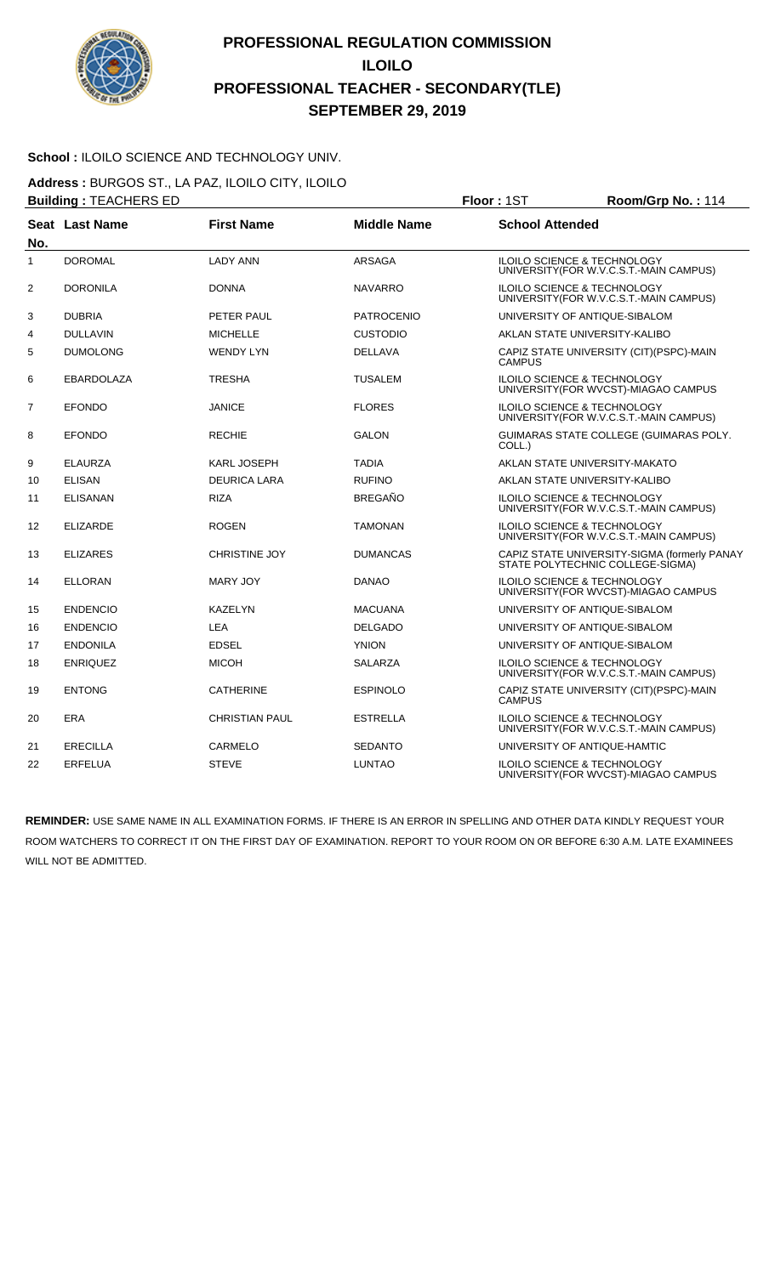

#### School : ILOILO SCIENCE AND TECHNOLOGY UNIV.

**Address :** BURGOS ST., LA PAZ, ILOILO CITY, ILOILO **Building : TEACHERS ED Floor : 1ST Room/Grp No. : 114** 

| <b>Pananig</b> L. toricito LD<br>. |                   |                       |                    |                                                                                   |
|------------------------------------|-------------------|-----------------------|--------------------|-----------------------------------------------------------------------------------|
| No.                                | Seat Last Name    | <b>First Name</b>     | <b>Middle Name</b> | <b>School Attended</b>                                                            |
| 1                                  | <b>DOROMAL</b>    | <b>LADY ANN</b>       | ARSAGA             | ILOILO SCIENCE & TECHNOLOGY<br>UNIVERSITY (FOR W.V.C.S.T.-MAIN CAMPUS)            |
| $\overline{2}$                     | <b>DORONILA</b>   | <b>DONNA</b>          | <b>NAVARRO</b>     | <b>ILOILO SCIENCE &amp; TECHNOLOGY</b><br>UNIVERSITY (FOR W.V.C.S.T.-MAIN CAMPUS) |
| 3                                  | <b>DUBRIA</b>     | PETER PAUL            | <b>PATROCENIO</b>  | UNIVERSITY OF ANTIQUE-SIBALOM                                                     |
| 4                                  | <b>DULLAVIN</b>   | <b>MICHELLE</b>       | <b>CUSTODIO</b>    | AKLAN STATE UNIVERSITY-KALIBO                                                     |
| 5                                  | <b>DUMOLONG</b>   | <b>WENDY LYN</b>      | <b>DELLAVA</b>     | CAPIZ STATE UNIVERSITY (CIT)(PSPC)-MAIN<br><b>CAMPUS</b>                          |
| 6                                  | <b>EBARDOLAZA</b> | <b>TRESHA</b>         | <b>TUSALEM</b>     | ILOILO SCIENCE & TECHNOLOGY<br>UNIVERSITY(FOR WVCST)-MIAGAO CAMPUS                |
| $\overline{7}$                     | <b>EFONDO</b>     | <b>JANICE</b>         | <b>FLORES</b>      | ILOILO SCIENCE & TECHNOLOGY<br>UNIVERSITY (FOR W.V.C.S.T.-MAIN CAMPUS)            |
| 8                                  | <b>EFONDO</b>     | <b>RECHIE</b>         | <b>GALON</b>       | GUIMARAS STATE COLLEGE (GUIMARAS POLY.<br>COLL.)                                  |
| 9                                  | <b>ELAURZA</b>    | <b>KARL JOSEPH</b>    | <b>TADIA</b>       | AKLAN STATE UNIVERSITY-MAKATO                                                     |
| 10                                 | <b>ELISAN</b>     | <b>DEURICA LARA</b>   | <b>RUFINO</b>      | AKLAN STATE UNIVERSITY-KALIBO                                                     |
| 11                                 | <b>ELISANAN</b>   | <b>RIZA</b>           | <b>BREGAÑO</b>     | ILOILO SCIENCE & TECHNOLOGY<br>UNIVERSITY (FOR W.V.C.S.T.-MAIN CAMPUS)            |
| 12                                 | <b>ELIZARDE</b>   | <b>ROGEN</b>          | <b>TAMONAN</b>     | <b>ILOILO SCIENCE &amp; TECHNOLOGY</b><br>UNIVERSITY (FOR W.V.C.S.T.-MAIN CAMPUS) |
| 13                                 | <b>ELIZARES</b>   | <b>CHRISTINE JOY</b>  | <b>DUMANCAS</b>    | CAPIZ STATE UNIVERSITY-SIGMA (formerly PANAY<br>STATE POLYTECHNIC COLLEGE-SIGMA)  |
| 14                                 | <b>ELLORAN</b>    | <b>MARY JOY</b>       | <b>DANAO</b>       | ILOILO SCIENCE & TECHNOLOGY<br>UNIVERSITY (FOR WVCST)-MIAGAO CAMPUS               |
| 15                                 | <b>ENDENCIO</b>   | <b>KAZELYN</b>        | <b>MACUANA</b>     | UNIVERSITY OF ANTIQUE-SIBALOM                                                     |
| 16                                 | <b>ENDENCIO</b>   | <b>LEA</b>            | <b>DELGADO</b>     | UNIVERSITY OF ANTIQUE-SIBALOM                                                     |
| 17                                 | <b>ENDONILA</b>   | <b>EDSEL</b>          | <b>YNION</b>       | UNIVERSITY OF ANTIQUE-SIBALOM                                                     |
| 18                                 | <b>ENRIQUEZ</b>   | <b>MICOH</b>          | SALARZA            | ILOILO SCIENCE & TECHNOLOGY<br>UNIVERSITY (FOR W.V.C.S.T.-MAIN CAMPUS)            |
| 19                                 | <b>ENTONG</b>     | <b>CATHERINE</b>      | <b>ESPINOLO</b>    | CAPIZ STATE UNIVERSITY (CIT)(PSPC)-MAIN<br><b>CAMPUS</b>                          |
| 20                                 | <b>ERA</b>        | <b>CHRISTIAN PAUL</b> | <b>ESTRELLA</b>    | ILOILO SCIENCE & TECHNOLOGY<br>UNIVERSITY(FOR W.V.C.S.T.-MAIN CAMPUS)             |
| 21                                 | <b>ERECILLA</b>   | <b>CARMELO</b>        | <b>SEDANTO</b>     | UNIVERSITY OF ANTIQUE-HAMTIC                                                      |
| 22                                 | <b>ERFELUA</b>    | <b>STEVE</b>          | <b>LUNTAO</b>      | ILOILO SCIENCE & TECHNOLOGY<br>UNIVERSITY (FOR WVCST)-MIAGAO CAMPUS               |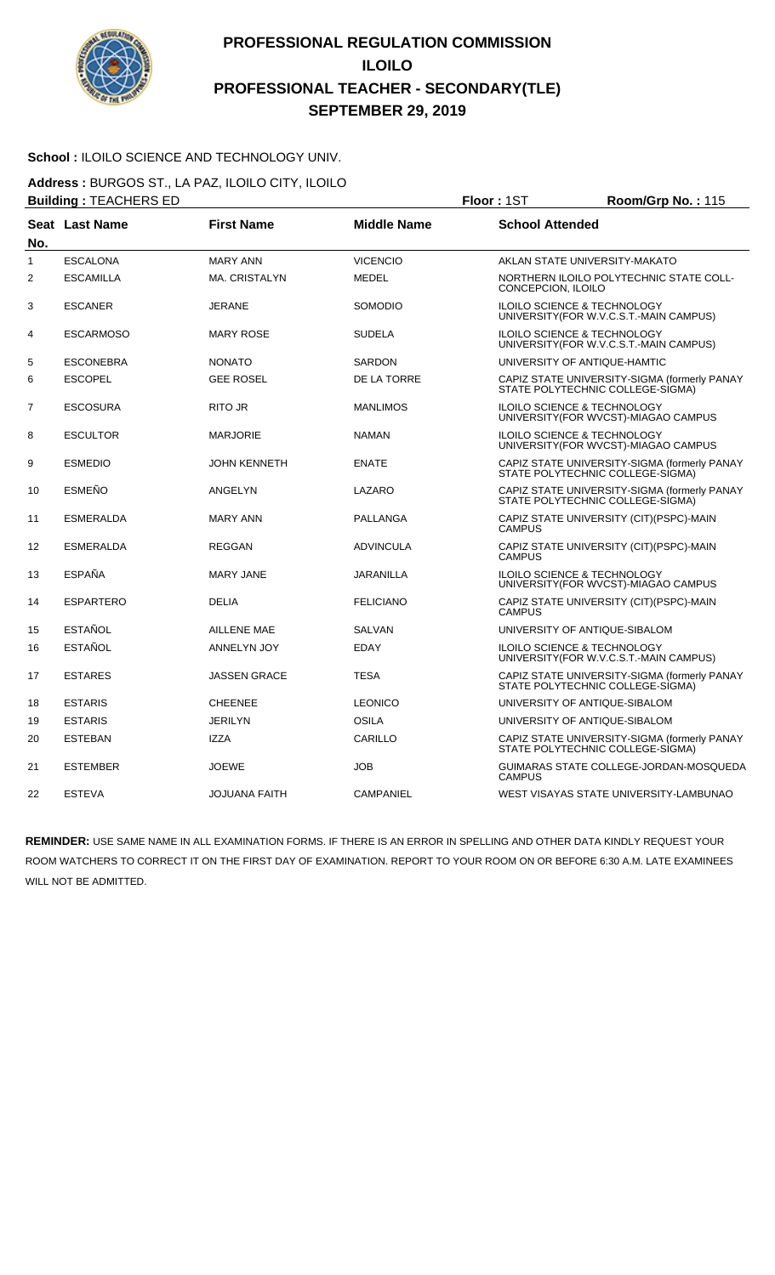

#### School : ILOILO SCIENCE AND TECHNOLOGY UNIV.

**Address :** BURGOS ST., LA PAZ, ILOILO CITY, ILOILO **Building :** TEACHERS ED **Floor :** 1ST **Room/Grp No. :** 115

|                | <u> Bananig</u> : 12/10112110 22<br>. |                      |                    |                                                                                  |  |
|----------------|---------------------------------------|----------------------|--------------------|----------------------------------------------------------------------------------|--|
| No.            | Seat Last Name                        | <b>First Name</b>    | <b>Middle Name</b> | <b>School Attended</b>                                                           |  |
| 1              | <b>ESCALONA</b>                       | <b>MARY ANN</b>      | <b>VICENCIO</b>    | AKLAN STATE UNIVERSITY-MAKATO                                                    |  |
| 2              | <b>ESCAMILLA</b>                      | <b>MA. CRISTALYN</b> | <b>MEDEL</b>       | NORTHERN ILOILO POLYTECHNIC STATE COLL-<br>CONCEPCION, ILOILO                    |  |
| 3              | <b>ESCANER</b>                        | <b>JERANE</b>        | <b>SOMODIO</b>     | <b>ILOILO SCIENCE &amp; TECHNOLOGY</b><br>UNIVERSITY(FOR W.V.C.S.T.-MAIN CAMPUS) |  |
| 4              | <b>ESCARMOSO</b>                      | <b>MARY ROSE</b>     | <b>SUDELA</b>      | ILOILO SCIENCE & TECHNOLOGY<br>UNIVERSITY (FOR W.V.C.S.T.-MAIN CAMPUS)           |  |
| 5              | <b>ESCONEBRA</b>                      | <b>NONATO</b>        | <b>SARDON</b>      | UNIVERSITY OF ANTIQUE-HAMTIC                                                     |  |
| 6              | <b>ESCOPEL</b>                        | <b>GEE ROSEL</b>     | DE LA TORRE        | CAPIZ STATE UNIVERSITY-SIGMA (formerly PANAY<br>STATE POLYTECHNIC COLLEGE-SIGMA) |  |
| $\overline{7}$ | <b>ESCOSURA</b>                       | <b>RITO JR</b>       | <b>MANLIMOS</b>    | ILOILO SCIENCE & TECHNOLOGY<br>UNIVERSITY(FOR WVCST)-MIAGAO CAMPUS               |  |
| 8              | <b>ESCULTOR</b>                       | <b>MARJORIE</b>      | <b>NAMAN</b>       | ILOILO SCIENCE & TECHNOLOGY<br>UNIVERSITY (FOR WVCST)-MIAGAO CAMPUS              |  |
| 9              | <b>ESMEDIO</b>                        | <b>JOHN KENNETH</b>  | <b>ENATE</b>       | CAPIZ STATE UNIVERSITY-SIGMA (formerly PANAY<br>STATE POLYTECHNIC COLLEGE-SIGMA) |  |
| 10             | <b>ESMEÑO</b>                         | ANGELYN              | LAZARO             | CAPIZ STATE UNIVERSITY-SIGMA (formerly PANAY<br>STATE POLYTECHNIC COLLEGE-SIGMA) |  |
| 11             | <b>ESMERALDA</b>                      | <b>MARY ANN</b>      | <b>PALLANGA</b>    | CAPIZ STATE UNIVERSITY (CIT)(PSPC)-MAIN<br><b>CAMPUS</b>                         |  |
| 12             | <b>ESMERALDA</b>                      | <b>REGGAN</b>        | <b>ADVINCULA</b>   | CAPIZ STATE UNIVERSITY (CIT) (PSPC)-MAIN<br><b>CAMPUS</b>                        |  |
| 13             | <b>ESPAÑA</b>                         | <b>MARY JANE</b>     | <b>JARANILLA</b>   | ILOILO SCIENCE & TECHNOLOGY<br>UNIVERSITY(FOR WVCST)-MIAGAO CAMPUS               |  |
| 14             | <b>ESPARTERO</b>                      | <b>DELIA</b>         | <b>FELICIANO</b>   | CAPIZ STATE UNIVERSITY (CIT) (PSPC)-MAIN<br><b>CAMPUS</b>                        |  |
| 15             | <b>ESTAÑOL</b>                        | <b>AILLENE MAE</b>   | <b>SALVAN</b>      | UNIVERSITY OF ANTIQUE-SIBALOM                                                    |  |
| 16             | <b>ESTAÑOL</b>                        | ANNELYN JOY          | <b>EDAY</b>        | ILOILO SCIENCE & TECHNOLOGY<br>UNIVERSITY (FOR W.V.C.S.T.-MAIN CAMPUS)           |  |
| 17             | <b>ESTARES</b>                        | <b>JASSEN GRACE</b>  | <b>TESA</b>        | CAPIZ STATE UNIVERSITY-SIGMA (formerly PANAY<br>STATE POLYTECHNIC COLLEGE-SIGMA) |  |
| 18             | <b>ESTARIS</b>                        | <b>CHEENEE</b>       | <b>LEONICO</b>     | UNIVERSITY OF ANTIQUE-SIBALOM                                                    |  |
| 19             | <b>ESTARIS</b>                        | <b>JERILYN</b>       | <b>OSILA</b>       | UNIVERSITY OF ANTIQUE-SIBALOM                                                    |  |
| 20             | <b>ESTEBAN</b>                        | <b>IZZA</b>          | CARILLO            | CAPIZ STATE UNIVERSITY-SIGMA (formerly PANAY<br>STATE POLYTECHNIC COLLEGE-SIGMA) |  |
| 21             | <b>ESTEMBER</b>                       | <b>JOEWE</b>         | <b>JOB</b>         | GUIMARAS STATE COLLEGE-JORDAN-MOSQUEDA<br><b>CAMPUS</b>                          |  |
| 22             | <b>ESTEVA</b>                         | <b>JOJUANA FAITH</b> | <b>CAMPANIEL</b>   | WEST VISAYAS STATE UNIVERSITY-LAMBUNAO                                           |  |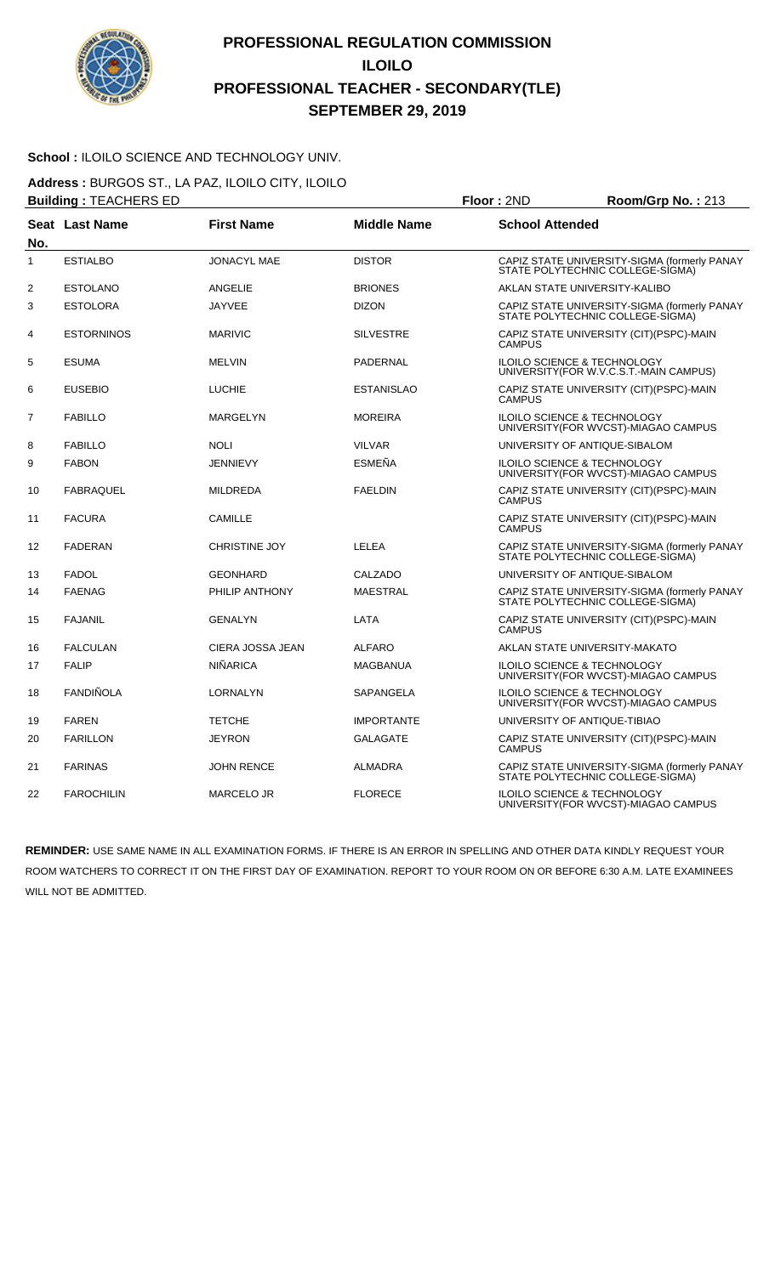

#### School : ILOILO SCIENCE AND TECHNOLOGY UNIV.

**Address :** BURGOS ST., LA PAZ, ILOILO CITY, ILOILO **Building :** TEACHERS ED **Floor :** 2ND **Room/Grp No. :** 213

|                | <b>Danality</b> . I LAOI ILITO LD<br>שיוג ויטשו<br>ישטיי<br>PIVLIV |                      |                    |                                                                                  |  |
|----------------|--------------------------------------------------------------------|----------------------|--------------------|----------------------------------------------------------------------------------|--|
| No.            | Seat Last Name                                                     | <b>First Name</b>    | <b>Middle Name</b> | <b>School Attended</b>                                                           |  |
| 1              | <b>ESTIALBO</b>                                                    | <b>JONACYL MAE</b>   | <b>DISTOR</b>      | CAPIZ STATE UNIVERSITY-SIGMA (formerly PANAY<br>STATE POLYTECHNIC COLLEGE-SIGMA) |  |
| $\overline{2}$ | <b>ESTOLANO</b>                                                    | <b>ANGELIE</b>       | <b>BRIONES</b>     | AKLAN STATE UNIVERSITY-KALIBO                                                    |  |
| 3              | <b>ESTOLORA</b>                                                    | <b>JAYVEE</b>        | <b>DIZON</b>       | CAPIZ STATE UNIVERSITY-SIGMA (formerly PANAY<br>STATE POLYTECHNIC COLLEGE-SIGMA) |  |
| 4              | <b>ESTORNINOS</b>                                                  | <b>MARIVIC</b>       | <b>SILVESTRE</b>   | CAPIZ STATE UNIVERSITY (CIT)(PSPC)-MAIN<br><b>CAMPUS</b>                         |  |
| 5              | <b>ESUMA</b>                                                       | <b>MELVIN</b>        | <b>PADERNAL</b>    | ILOILO SCIENCE & TECHNOLOGY<br>UNIVERSITY (FOR W.V.C.S.T.-MAIN CAMPUS)           |  |
| 6              | <b>EUSEBIO</b>                                                     | <b>LUCHIE</b>        | <b>ESTANISLAO</b>  | CAPIZ STATE UNIVERSITY (CIT)(PSPC)-MAIN<br><b>CAMPUS</b>                         |  |
| 7              | <b>FABILLO</b>                                                     | MARGELYN             | <b>MOREIRA</b>     | ILOILO SCIENCE & TECHNOLOGY<br>UNIVERSITY(FOR WVCST)-MIAGAO CAMPUS               |  |
| 8              | <b>FABILLO</b>                                                     | <b>NOLI</b>          | <b>VILVAR</b>      | UNIVERSITY OF ANTIQUE-SIBALOM                                                    |  |
| 9              | <b>FABON</b>                                                       | <b>JENNIEVY</b>      | <b>ESMEÑA</b>      | ILOILO SCIENCE & TECHNOLOGY<br>UNIVERSITY(FOR WVCST)-MIAGAO CAMPUS               |  |
| 10             | <b>FABRAQUEL</b>                                                   | <b>MILDREDA</b>      | <b>FAELDIN</b>     | CAPIZ STATE UNIVERSITY (CIT)(PSPC)-MAIN<br><b>CAMPUS</b>                         |  |
| 11             | <b>FACURA</b>                                                      | <b>CAMILLE</b>       |                    | CAPIZ STATE UNIVERSITY (CIT) (PSPC)-MAIN<br><b>CAMPUS</b>                        |  |
| 12             | <b>FADERAN</b>                                                     | <b>CHRISTINE JOY</b> | <b>LELEA</b>       | CAPIZ STATE UNIVERSITY-SIGMA (formerly PANAY<br>STATE POLYTECHNIC COLLEGE-SIGMA) |  |
| 13             | <b>FADOL</b>                                                       | <b>GEONHARD</b>      | CALZADO            | UNIVERSITY OF ANTIQUE-SIBALOM                                                    |  |
| 14             | <b>FAENAG</b>                                                      | PHILIP ANTHONY       | <b>MAESTRAL</b>    | CAPIZ STATE UNIVERSITY-SIGMA (formerly PANAY<br>STATE POLYTECHNIC COLLEGE-SIGMA) |  |
| 15             | <b>FAJANIL</b>                                                     | <b>GENALYN</b>       | LATA               | CAPIZ STATE UNIVERSITY (CIT)(PSPC)-MAIN<br><b>CAMPUS</b>                         |  |
| 16             | <b>FALCULAN</b>                                                    | CIERA JOSSA JEAN     | <b>ALFARO</b>      | AKLAN STATE UNIVERSITY-MAKATO                                                    |  |
| 17             | <b>FALIP</b>                                                       | <b>NIÑARICA</b>      | <b>MAGBANUA</b>    | ILOILO SCIENCE & TECHNOLOGY<br>UNIVERSITY(FOR WVCST)-MIAGAO CAMPUS               |  |
| 18             | <b>FANDIÑOLA</b>                                                   | LORNALYN             | SAPANGELA          | ILOILO SCIENCE & TECHNOLOGY<br>UNIVERSITY (FOR WVCST)-MIAGAO CAMPUS              |  |
| 19             | <b>FAREN</b>                                                       | <b>TETCHE</b>        | <b>IMPORTANTE</b>  | UNIVERSITY OF ANTIQUE-TIBIAO                                                     |  |
| 20             | <b>FARILLON</b>                                                    | <b>JEYRON</b>        | <b>GALAGATE</b>    | CAPIZ STATE UNIVERSITY (CIT)(PSPC)-MAIN<br><b>CAMPUS</b>                         |  |
| 21             | <b>FARINAS</b>                                                     | <b>JOHN RENCE</b>    | <b>ALMADRA</b>     | CAPIZ STATE UNIVERSITY-SIGMA (formerly PANAY<br>STATE POLYTECHNIC COLLEGE-SIGMA) |  |
| 22             | <b>FAROCHILIN</b>                                                  | <b>MARCELO JR</b>    | <b>FLORECE</b>     | ILOILO SCIENCE & TECHNOLOGY<br>UNIVERSITY(FOR WVCST)-MIAGAO CAMPUS               |  |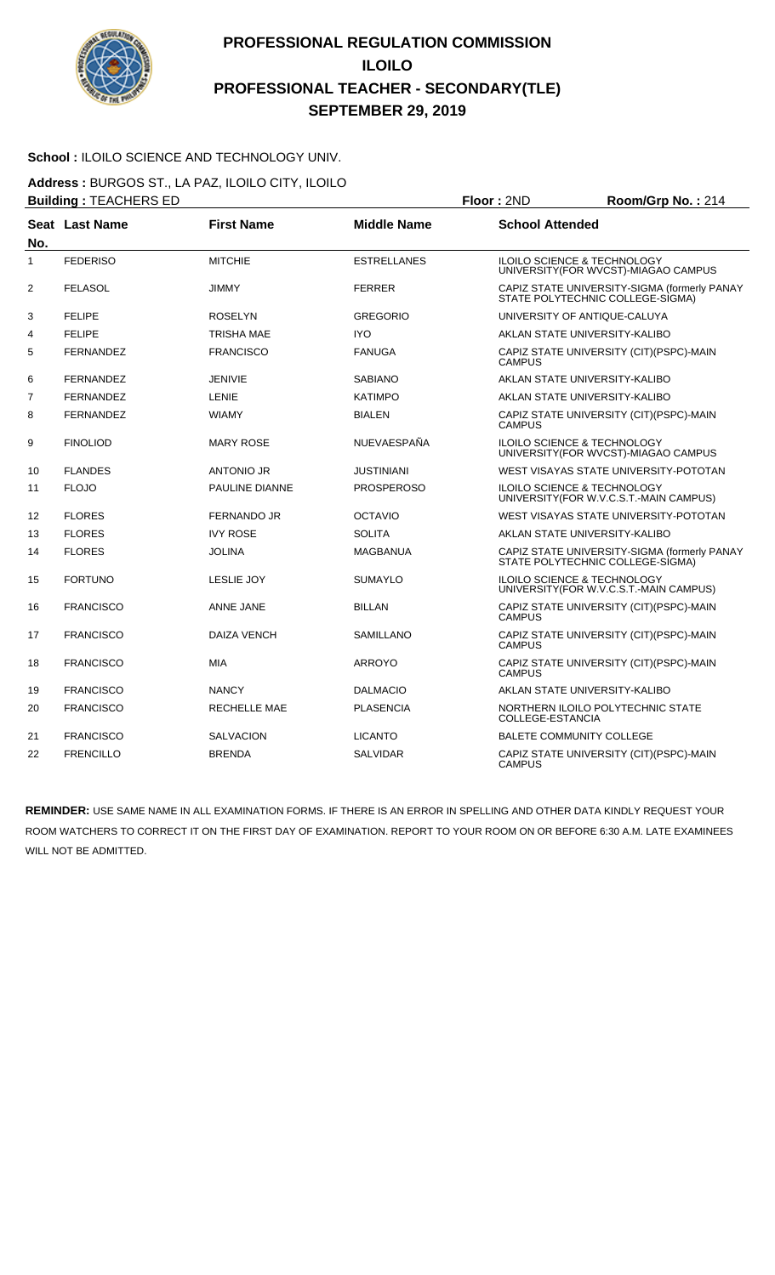

#### School : ILOILO SCIENCE AND TECHNOLOGY UNIV.

**Address :** BURGOS ST., LA PAZ, ILOILO CITY, ILOILO **Building :** TEACHERS ED **Floor :** 2ND **Room/Grp No. :** 214

| No.            | <b>Seat Last Name</b> | <b>First Name</b>     | <b>Middle Name</b> | <b>School Attended</b>                                                            |
|----------------|-----------------------|-----------------------|--------------------|-----------------------------------------------------------------------------------|
| 1              | <b>FEDERISO</b>       | <b>MITCHIE</b>        | <b>ESTRELLANES</b> | <b>ILOILO SCIENCE &amp; TECHNOLOGY</b><br>UNIVERSITY (FOR WVCST)-MIAGAO CAMPUS    |
| $\overline{2}$ | <b>FELASOL</b>        | <b>JIMMY</b>          | <b>FERRER</b>      | CAPIZ STATE UNIVERSITY-SIGMA (formerly PANAY<br>STATE POLYTECHNIC COLLEGE-SIGMA)  |
| 3              | <b>FELIPE</b>         | <b>ROSELYN</b>        | <b>GREGORIO</b>    | UNIVERSITY OF ANTIQUE-CALUYA                                                      |
| 4              | <b>FELIPE</b>         | TRISHA MAE            | <b>IYO</b>         | AKLAN STATE UNIVERSITY-KALIBO                                                     |
| 5              | <b>FERNANDEZ</b>      | <b>FRANCISCO</b>      | <b>FANUGA</b>      | CAPIZ STATE UNIVERSITY (CIT)(PSPC)-MAIN<br><b>CAMPUS</b>                          |
| 6              | <b>FERNANDEZ</b>      | <b>JENIVIE</b>        | <b>SABIANO</b>     | AKLAN STATE UNIVERSITY-KALIBO                                                     |
| $\overline{7}$ | <b>FERNANDEZ</b>      | LENIE                 | <b>KATIMPO</b>     | AKLAN STATE UNIVERSITY-KALIBO                                                     |
| 8              | <b>FERNANDEZ</b>      | <b>WIAMY</b>          | <b>BIALEN</b>      | CAPIZ STATE UNIVERSITY (CIT)(PSPC)-MAIN<br><b>CAMPUS</b>                          |
| 9              | <b>FINOLIOD</b>       | <b>MARY ROSE</b>      | NUEVAESPAÑA        | <b>ILOILO SCIENCE &amp; TECHNOLOGY</b><br>UNIVERSITY(FOR WVCST)-MIAGAO CAMPUS     |
| 10             | <b>FLANDES</b>        | <b>ANTONIO JR</b>     | <b>JUSTINIANI</b>  | WEST VISAYAS STATE UNIVERSITY-POTOTAN                                             |
| 11             | <b>FLOJO</b>          | <b>PAULINE DIANNE</b> | <b>PROSPEROSO</b>  | <b>ILOILO SCIENCE &amp; TECHNOLOGY</b><br>UNIVERSITY (FOR W.V.C.S.T.-MAIN CAMPUS) |
| 12             | <b>FLORES</b>         | <b>FERNANDO JR</b>    | <b>OCTAVIO</b>     | WEST VISAYAS STATE UNIVERSITY-POTOTAN                                             |
| 13             | <b>FLORES</b>         | <b>IVY ROSE</b>       | <b>SOLITA</b>      | AKLAN STATE UNIVERSITY-KALIBO                                                     |
| 14             | <b>FLORES</b>         | <b>JOLINA</b>         | <b>MAGBANUA</b>    | CAPIZ STATE UNIVERSITY-SIGMA (formerly PANAY<br>STATE POLYTECHNIC COLLEGE-SIGMA)  |
| 15             | <b>FORTUNO</b>        | <b>LESLIE JOY</b>     | <b>SUMAYLO</b>     | <b>ILOILO SCIENCE &amp; TECHNOLOGY</b><br>UNIVERSITY (FOR W.V.C.S.T.-MAIN CAMPUS) |
| 16             | <b>FRANCISCO</b>      | <b>ANNE JANE</b>      | <b>BILLAN</b>      | CAPIZ STATE UNIVERSITY (CIT)(PSPC)-MAIN<br><b>CAMPUS</b>                          |
| 17             | <b>FRANCISCO</b>      | <b>DAIZA VENCH</b>    | SAMILLANO          | CAPIZ STATE UNIVERSITY (CIT)(PSPC)-MAIN<br><b>CAMPUS</b>                          |
| 18             | <b>FRANCISCO</b>      | <b>MIA</b>            | <b>ARROYO</b>      | CAPIZ STATE UNIVERSITY (CIT)(PSPC)-MAIN<br><b>CAMPUS</b>                          |
| 19             | <b>FRANCISCO</b>      | <b>NANCY</b>          | <b>DALMACIO</b>    | AKLAN STATE UNIVERSITY-KALIBO                                                     |
| 20             | <b>FRANCISCO</b>      | <b>RECHELLE MAE</b>   | <b>PLASENCIA</b>   | NORTHERN ILOILO POLYTECHNIC STATE<br>COLLEGE-ESTANCIA                             |
| 21             | <b>FRANCISCO</b>      | <b>SALVACION</b>      | <b>LICANTO</b>     | <b>BALETE COMMUNITY COLLEGE</b>                                                   |
| 22             | <b>FRENCILLO</b>      | <b>BRENDA</b>         | <b>SALVIDAR</b>    | CAPIZ STATE UNIVERSITY (CIT)(PSPC)-MAIN<br><b>CAMPUS</b>                          |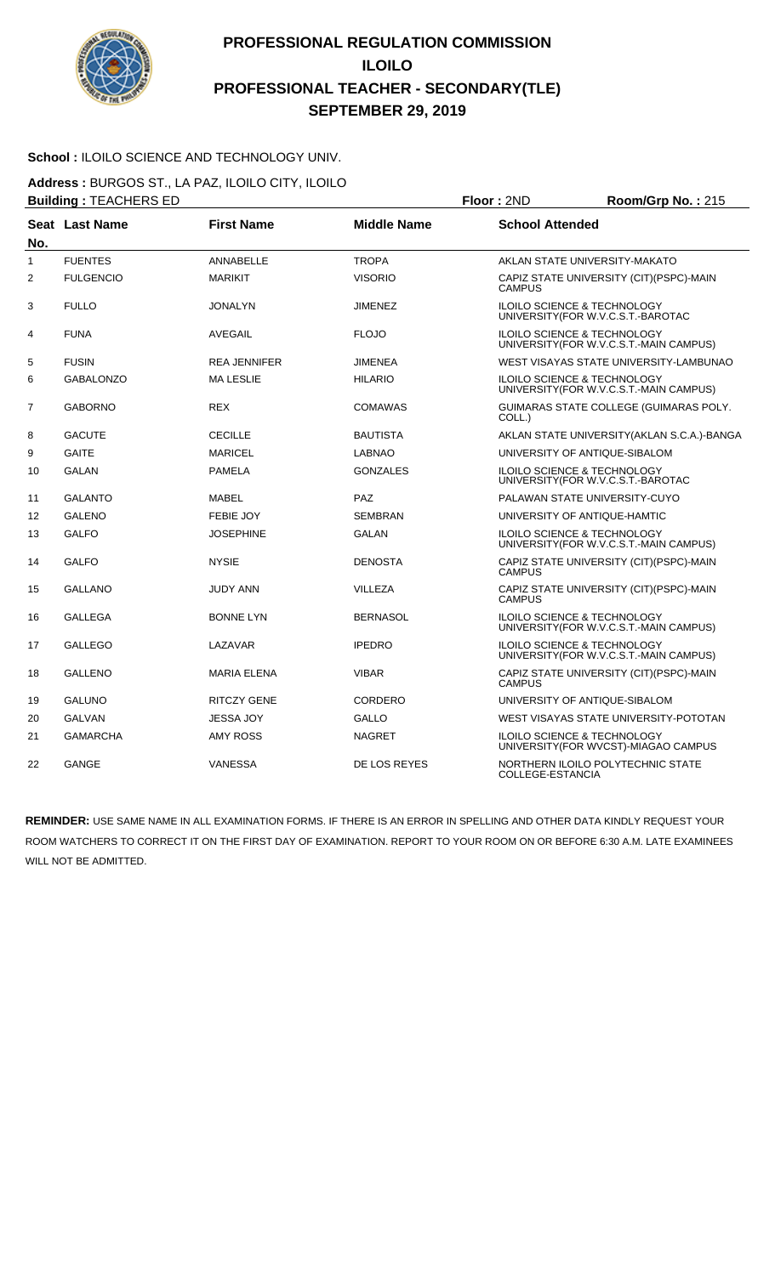

#### School : ILOILO SCIENCE AND TECHNOLOGY UNIV.

**Address :** BURGOS ST., LA PAZ, ILOILO CITY, ILOILO **Building :** TEACHERS ED **Floor :** 2ND **Room/Grp No. :** 215

| No.            | <b>Seat Last Name</b> | <b>First Name</b>   | <b>Middle Name</b> | <b>School Attended</b>                                                            |  |
|----------------|-----------------------|---------------------|--------------------|-----------------------------------------------------------------------------------|--|
| 1              | <b>FUENTES</b>        | <b>ANNABELLE</b>    | <b>TROPA</b>       | AKLAN STATE UNIVERSITY-MAKATO                                                     |  |
| $\overline{2}$ | <b>FULGENCIO</b>      | <b>MARIKIT</b>      | <b>VISORIO</b>     | CAPIZ STATE UNIVERSITY (CIT)(PSPC)-MAIN<br><b>CAMPUS</b>                          |  |
| 3              | <b>FULLO</b>          | <b>JONALYN</b>      | <b>JIMENEZ</b>     | ILOILO SCIENCE & TECHNOLOGY<br>UNIVERSITY(FOR W.V.C.S.T.-BAROTAC                  |  |
| 4              | <b>FUNA</b>           | AVEGAIL             | <b>FLOJO</b>       | ILOILO SCIENCE & TECHNOLOGY<br>UNIVERSITY (FOR W.V.C.S.T.-MAIN CAMPUS)            |  |
| 5              | <b>FUSIN</b>          | <b>REA JENNIFER</b> | <b>JIMENEA</b>     | WEST VISAYAS STATE UNIVERSITY-LAMBUNAO                                            |  |
| 6              | <b>GABALONZO</b>      | <b>MALESLIE</b>     | <b>HILARIO</b>     | ILOILO SCIENCE & TECHNOLOGY<br>UNIVERSITY(FOR W.V.C.S.T.-MAIN CAMPUS)             |  |
| $\overline{7}$ | <b>GABORNO</b>        | <b>REX</b>          | <b>COMAWAS</b>     | GUIMARAS STATE COLLEGE (GUIMARAS POLY.<br>COLL.)                                  |  |
| 8              | <b>GACUTE</b>         | <b>CECILLE</b>      | <b>BAUTISTA</b>    | AKLAN STATE UNIVERSITY (AKLAN S.C.A.)-BANGA                                       |  |
| 9              | <b>GAITE</b>          | <b>MARICEL</b>      | <b>LABNAO</b>      | UNIVERSITY OF ANTIQUE-SIBALOM                                                     |  |
| 10             | <b>GALAN</b>          | <b>PAMELA</b>       | <b>GONZALES</b>    | ILOILO SCIENCE & TECHNOLOGY<br>UNIVERSITY(FOR W.V.C.S.T.-BAROTAC                  |  |
| 11             | <b>GALANTO</b>        | <b>MABEL</b>        | <b>PAZ</b>         | PALAWAN STATE UNIVERSITY-CUYO                                                     |  |
| 12             | <b>GALENO</b>         | <b>FEBIE JOY</b>    | <b>SEMBRAN</b>     | UNIVERSITY OF ANTIQUE-HAMTIC                                                      |  |
| 13             | <b>GALFO</b>          | <b>JOSEPHINE</b>    | <b>GALAN</b>       | <b>ILOILO SCIENCE &amp; TECHNOLOGY</b><br>UNIVERSITY(FOR W.V.C.S.T.-MAIN CAMPUS)  |  |
| 14             | <b>GALFO</b>          | <b>NYSIE</b>        | <b>DENOSTA</b>     | CAPIZ STATE UNIVERSITY (CIT)(PSPC)-MAIN<br><b>CAMPUS</b>                          |  |
| 15             | <b>GALLANO</b>        | <b>JUDY ANN</b>     | VILLEZA            | CAPIZ STATE UNIVERSITY (CIT)(PSPC)-MAIN<br><b>CAMPUS</b>                          |  |
| 16             | <b>GALLEGA</b>        | <b>BONNE LYN</b>    | <b>BERNASOL</b>    | ILOILO SCIENCE & TECHNOLOGY<br>UNIVERSITY(FOR W.V.C.S.T.-MAIN CAMPUS)             |  |
| 17             | <b>GALLEGO</b>        | LAZAVAR             | <b>IPEDRO</b>      | <b>ILOILO SCIENCE &amp; TECHNOLOGY</b><br>UNIVERSITY (FOR W.V.C.S.T.-MAIN CAMPUS) |  |
| 18             | <b>GALLENO</b>        | <b>MARIA ELENA</b>  | <b>VIBAR</b>       | CAPIZ STATE UNIVERSITY (CIT)(PSPC)-MAIN<br><b>CAMPUS</b>                          |  |
| 19             | <b>GALUNO</b>         | <b>RITCZY GENE</b>  | CORDERO            | UNIVERSITY OF ANTIQUE-SIBALOM                                                     |  |
| 20             | <b>GALVAN</b>         | <b>JESSA JOY</b>    | <b>GALLO</b>       | WEST VISAYAS STATE UNIVERSITY-POTOTAN                                             |  |
| 21             | <b>GAMARCHA</b>       | <b>AMY ROSS</b>     | <b>NAGRET</b>      | <b>ILOILO SCIENCE &amp; TECHNOLOGY</b><br>UNIVERSITY (FOR WVCST)-MIAGAO CAMPUS    |  |
| 22             | <b>GANGE</b>          | VANESSA             | DE LOS REYES       | NORTHERN ILOILO POLYTECHNIC STATE<br>COLLEGE-ESTANCIA                             |  |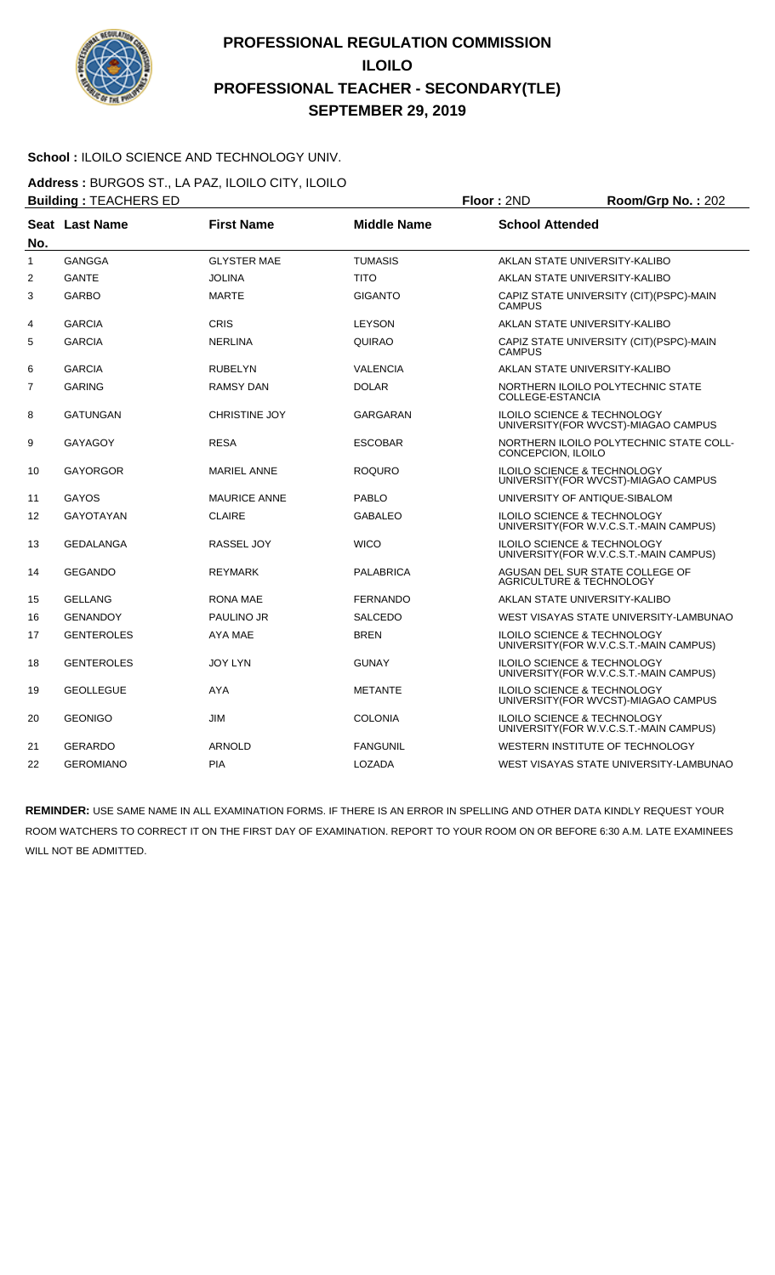

#### School : ILOILO SCIENCE AND TECHNOLOGY UNIV.

**Address :** BURGOS ST., LA PAZ, ILOILO CITY, ILOILO **Building :** TEACHERS ED **Floor :** 2ND **Room/Grp No. :** 202

|     | _________________________________ |                      |                    |                                                                                   |  |
|-----|-----------------------------------|----------------------|--------------------|-----------------------------------------------------------------------------------|--|
| No. | <b>Seat Last Name</b>             | <b>First Name</b>    | <b>Middle Name</b> | <b>School Attended</b>                                                            |  |
| 1   | <b>GANGGA</b>                     | <b>GLYSTER MAE</b>   | <b>TUMASIS</b>     | AKLAN STATE UNIVERSITY-KALIBO                                                     |  |
| 2   | <b>GANTE</b>                      | <b>JOLINA</b>        | <b>TITO</b>        | AKLAN STATE UNIVERSITY-KALIBO                                                     |  |
| 3   | <b>GARBO</b>                      | <b>MARTE</b>         | <b>GIGANTO</b>     | CAPIZ STATE UNIVERSITY (CIT)(PSPC)-MAIN<br><b>CAMPUS</b>                          |  |
| 4   | <b>GARCIA</b>                     | <b>CRIS</b>          | <b>LEYSON</b>      | AKLAN STATE UNIVERSITY-KALIBO                                                     |  |
| 5   | <b>GARCIA</b>                     | <b>NERLINA</b>       | QUIRAO             | CAPIZ STATE UNIVERSITY (CIT)(PSPC)-MAIN<br><b>CAMPUS</b>                          |  |
| 6   | <b>GARCIA</b>                     | <b>RUBELYN</b>       | <b>VALENCIA</b>    | AKLAN STATE UNIVERSITY-KALIBO                                                     |  |
| 7   | <b>GARING</b>                     | <b>RAMSY DAN</b>     | <b>DOLAR</b>       | NORTHERN ILOILO POLYTECHNIC STATE<br>COLLEGE-ESTANCIA                             |  |
| 8   | <b>GATUNGAN</b>                   | <b>CHRISTINE JOY</b> | GARGARAN           | ILOILO SCIENCE & TECHNOLOGY<br>UNIVERSITY (FOR WVCST)-MIAGAO CAMPUS               |  |
| 9   | <b>GAYAGOY</b>                    | <b>RESA</b>          | <b>ESCOBAR</b>     | NORTHERN ILOILO POLYTECHNIC STATE COLL-<br>CONCEPCION, ILOILO                     |  |
| 10  | <b>GAYORGOR</b>                   | <b>MARIEL ANNE</b>   | <b>ROQURO</b>      | <b>ILOILO SCIENCE &amp; TECHNOLOGY</b><br>UNIVERSITY (FOR WVCST)-MIAGAO CAMPUS    |  |
| 11  | GAYOS                             | <b>MAURICE ANNE</b>  | <b>PABLO</b>       | UNIVERSITY OF ANTIQUE-SIBALOM                                                     |  |
| 12  | <b>GAYOTAYAN</b>                  | <b>CLAIRE</b>        | <b>GABALEO</b>     | ILOILO SCIENCE & TECHNOLOGY<br>UNIVERSITY (FOR W.V.C.S.T.-MAIN CAMPUS)            |  |
| 13  | <b>GEDALANGA</b>                  | <b>RASSEL JOY</b>    | <b>WICO</b>        | <b>ILOILO SCIENCE &amp; TECHNOLOGY</b><br>UNIVERSITY (FOR W.V.C.S.T.-MAIN CAMPUS) |  |
| 14  | <b>GEGANDO</b>                    | <b>REYMARK</b>       | <b>PALABRICA</b>   | AGUSAN DEL SUR STATE COLLEGE OF<br>AGRICULTURE & TECHNOLOGY                       |  |
| 15  | <b>GELLANG</b>                    | <b>RONA MAE</b>      | <b>FERNANDO</b>    | AKLAN STATE UNIVERSITY-KALIBO                                                     |  |
| 16  | <b>GENANDOY</b>                   | PAULINO JR           | <b>SALCEDO</b>     | WEST VISAYAS STATE UNIVERSITY-LAMBUNAO                                            |  |
| 17  | <b>GENTEROLES</b>                 | AYA MAE              | <b>BREN</b>        | <b>ILOILO SCIENCE &amp; TECHNOLOGY</b><br>UNIVERSITY(FOR W.V.C.S.T.-MAIN CAMPUS)  |  |
| 18  | <b>GENTEROLES</b>                 | <b>JOY LYN</b>       | GUNAY              | ILOILO SCIENCE & TECHNOLOGY<br>UNIVERSITY(FOR W.V.C.S.T.-MAIN CAMPUS)             |  |
| 19  | <b>GEOLLEGUE</b>                  | <b>AYA</b>           | <b>METANTE</b>     | ILOILO SCIENCE & TECHNOLOGY<br>UNIVERSITY (FOR WVCST)-MIAGAO CAMPUS               |  |
| 20  | <b>GEONIGO</b>                    | <b>JIM</b>           | <b>COLONIA</b>     | <b>ILOILO SCIENCE &amp; TECHNOLOGY</b><br>UNIVERSITY (FOR W.V.C.S.T.-MAIN CAMPUS) |  |
| 21  | <b>GERARDO</b>                    | <b>ARNOLD</b>        | <b>FANGUNIL</b>    | WESTERN INSTITUTE OF TECHNOLOGY                                                   |  |
| 22  | <b>GEROMIANO</b>                  | <b>PIA</b>           | LOZADA             | WEST VISAYAS STATE UNIVERSITY-LAMBUNAO                                            |  |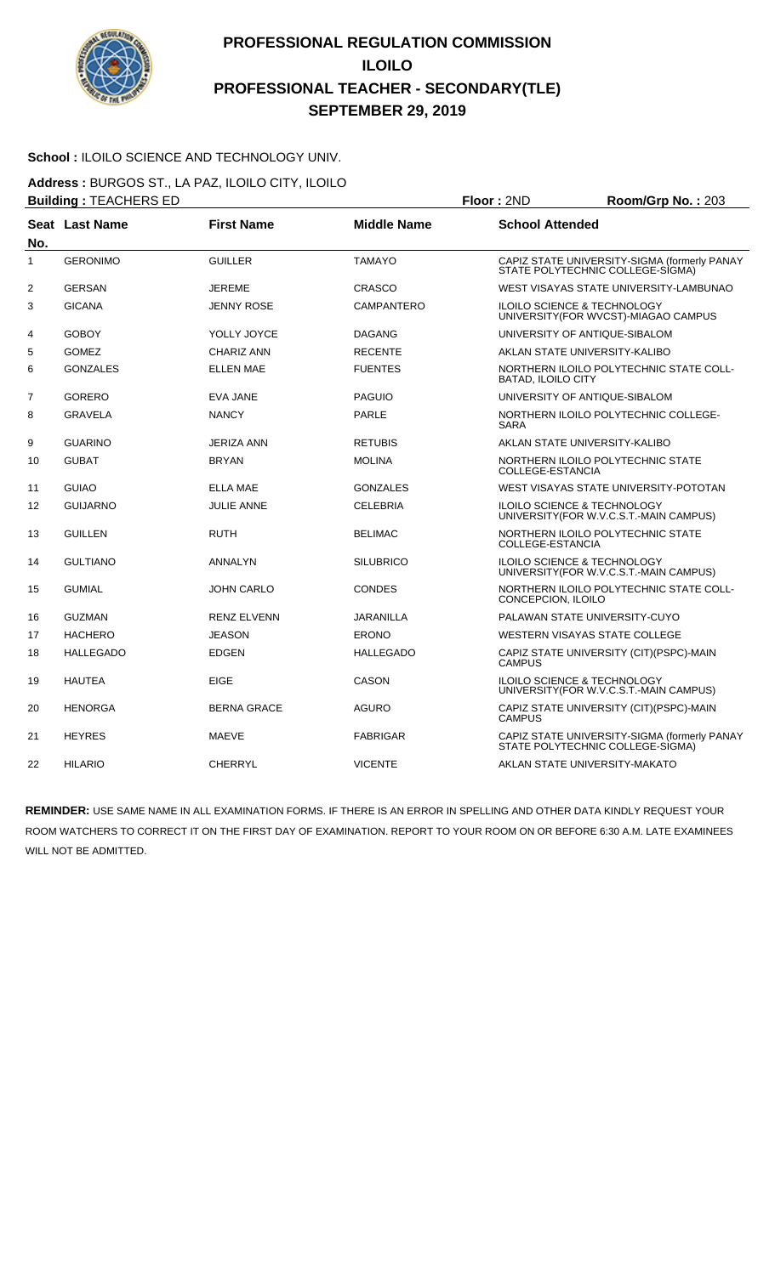

#### School : ILOILO SCIENCE AND TECHNOLOGY UNIV.

**Address :** BURGOS ST., LA PAZ, ILOILO CITY, ILOILO

| <b>Building: TEACHERS ED</b> |                  |                    |                    | Floor: 2ND              | Room/Grp No.: 203                                                                 |
|------------------------------|------------------|--------------------|--------------------|-------------------------|-----------------------------------------------------------------------------------|
| No.                          | Seat Last Name   | <b>First Name</b>  | <b>Middle Name</b> | <b>School Attended</b>  |                                                                                   |
| $\mathbf{1}$                 | <b>GERONIMO</b>  | <b>GUILLER</b>     | <b>TAMAYO</b>      |                         | CAPIZ STATE UNIVERSITY-SIGMA (formerly PANAY<br>STATE POLYTECHNIC COLLEGE-SIGMA)  |
| 2                            | <b>GERSAN</b>    | <b>JEREME</b>      | <b>CRASCO</b>      |                         | WEST VISAYAS STATE UNIVERSITY-LAMBUNAO                                            |
| 3                            | <b>GICANA</b>    | <b>JENNY ROSE</b>  | CAMPANTERO         |                         | <b>ILOILO SCIENCE &amp; TECHNOLOGY</b><br>UNIVERSITY (FOR WVCST)-MIAGAO CAMPUS    |
| 4                            | <b>GOBOY</b>     | YOLLY JOYCE        | <b>DAGANG</b>      |                         | UNIVERSITY OF ANTIQUE-SIBALOM                                                     |
| 5                            | <b>GOMEZ</b>     | <b>CHARIZ ANN</b>  | <b>RECENTE</b>     |                         | AKLAN STATE UNIVERSITY-KALIBO                                                     |
| 6                            | <b>GONZALES</b>  | <b>ELLEN MAE</b>   | <b>FUENTES</b>     | BATAD, ILOILO CITY      | NORTHERN ILOILO POLYTECHNIC STATE COLL-                                           |
| 7                            | <b>GORERO</b>    | EVA JANE           | <b>PAGUIO</b>      |                         | UNIVERSITY OF ANTIQUE-SIBALOM                                                     |
| 8                            | <b>GRAVELA</b>   | <b>NANCY</b>       | <b>PARLE</b>       | <b>SARA</b>             | NORTHERN ILOILO POLYTECHNIC COLLEGE-                                              |
| 9                            | <b>GUARINO</b>   | <b>JERIZA ANN</b>  | <b>RETUBIS</b>     |                         | AKLAN STATE UNIVERSITY-KALIBO                                                     |
| 10                           | <b>GUBAT</b>     | <b>BRYAN</b>       | <b>MOLINA</b>      | COLLEGE-ESTANCIA        | NORTHERN ILOILO POLYTECHNIC STATE                                                 |
| 11                           | <b>GUIAO</b>     | <b>ELLA MAE</b>    | <b>GONZALES</b>    |                         | WEST VISAYAS STATE UNIVERSITY-POTOTAN                                             |
| 12                           | <b>GUIJARNO</b>  | JULIE ANNE         | <b>CELEBRIA</b>    |                         | ILOILO SCIENCE & TECHNOLOGY<br>UNIVERSITY (FOR W.V.C.S.T.-MAIN CAMPUS)            |
| 13                           | <b>GUILLEN</b>   | <b>RUTH</b>        | <b>BELIMAC</b>     | <b>COLLEGE-ESTANCIA</b> | NORTHERN ILOILO POLYTECHNIC STATE                                                 |
| 14                           | <b>GULTIANO</b>  | ANNALYN            | <b>SILUBRICO</b>   |                         | <b>ILOILO SCIENCE &amp; TECHNOLOGY</b><br>UNIVERSITY (FOR W.V.C.S.T.-MAIN CAMPUS) |
| 15                           | <b>GUMIAL</b>    | <b>JOHN CARLO</b>  | <b>CONDES</b>      | CONCEPCION, ILOILO      | NORTHERN ILOILO POLYTECHNIC STATE COLL-                                           |
| 16                           | <b>GUZMAN</b>    | <b>RENZ ELVENN</b> | <b>JARANILLA</b>   |                         | PALAWAN STATE UNIVERSITY-CUYO                                                     |
| 17                           | <b>HACHERO</b>   | <b>JEASON</b>      | <b>ERONO</b>       |                         | WESTERN VISAYAS STATE COLLEGE                                                     |
| 18                           | <b>HALLEGADO</b> | <b>EDGEN</b>       | <b>HALLEGADO</b>   | <b>CAMPUS</b>           | CAPIZ STATE UNIVERSITY (CIT)(PSPC)-MAIN                                           |
| 19                           | <b>HAUTEA</b>    | <b>EIGE</b>        | <b>CASON</b>       |                         | <b>ILOILO SCIENCE &amp; TECHNOLOGY</b><br>UNIVERSITY (FOR W.V.C.S.T.-MAIN CAMPUS) |
| 20                           | <b>HENORGA</b>   | <b>BERNA GRACE</b> | <b>AGURO</b>       | <b>CAMPUS</b>           | CAPIZ STATE UNIVERSITY (CIT)(PSPC)-MAIN                                           |
| 21                           | <b>HEYRES</b>    | <b>MAEVE</b>       | <b>FABRIGAR</b>    |                         | CAPIZ STATE UNIVERSITY-SIGMA (formerly PANAY<br>STATE POLYTECHNIC COLLEGE-SIGMA)  |
| 22                           | <b>HILARIO</b>   | <b>CHERRYL</b>     | <b>VICENTE</b>     |                         | AKLAN STATE UNIVERSITY-MAKATO                                                     |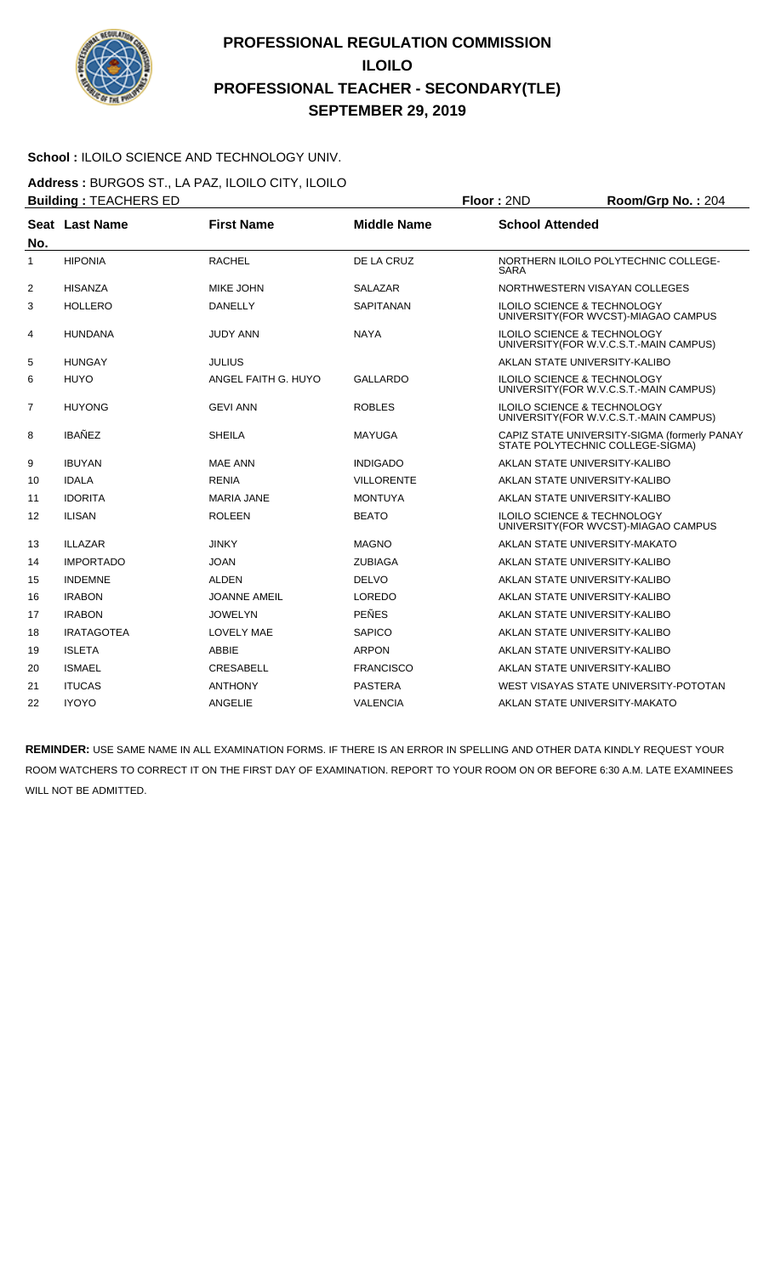

#### School : ILOILO SCIENCE AND TECHNOLOGY UNIV.

**Address :** BURGOS ST., LA PAZ, ILOILO CITY, ILOILO **Building :** TEACHERS ED **Floor :** 2ND **Room/Grp No. :** 204

| No.          | Seat Last Name    | <b>First Name</b>   | <b>Middle Name</b> | <b>School Attended</b>                                                            |
|--------------|-------------------|---------------------|--------------------|-----------------------------------------------------------------------------------|
| $\mathbf{1}$ | <b>HIPONIA</b>    | <b>RACHEL</b>       | DE LA CRUZ         | NORTHERN ILOILO POLYTECHNIC COLLEGE-<br><b>SARA</b>                               |
| 2            | <b>HISANZA</b>    | MIKE JOHN           | <b>SALAZAR</b>     | NORTHWESTERN VISAYAN COLLEGES                                                     |
| 3            | <b>HOLLERO</b>    | <b>DANELLY</b>      | <b>SAPITANAN</b>   | <b>ILOILO SCIENCE &amp; TECHNOLOGY</b><br>UNIVERSITY (FOR WVCST)-MIAGAO CAMPUS    |
| 4            | <b>HUNDANA</b>    | <b>JUDY ANN</b>     | <b>NAYA</b>        | <b>ILOILO SCIENCE &amp; TECHNOLOGY</b><br>UNIVERSITY (FOR W.V.C.S.T.-MAIN CAMPUS) |
| 5            | <b>HUNGAY</b>     | <b>JULIUS</b>       |                    | AKLAN STATE UNIVERSITY-KALIBO                                                     |
| 6            | <b>HUYO</b>       | ANGEL FAITH G. HUYO | <b>GALLARDO</b>    | <b>ILOILO SCIENCE &amp; TECHNOLOGY</b><br>UNIVERSITY (FOR W.V.C.S.T.-MAIN CAMPUS) |
| 7            | <b>HUYONG</b>     | <b>GEVI ANN</b>     | <b>ROBLES</b>      | <b>ILOILO SCIENCE &amp; TECHNOLOGY</b><br>UNIVERSITY (FOR W.V.C.S.T.-MAIN CAMPUS) |
| 8            | <b>IBAÑEZ</b>     | <b>SHEILA</b>       | <b>MAYUGA</b>      | CAPIZ STATE UNIVERSITY-SIGMA (formerly PANAY<br>STATE POLYTECHNIC COLLEGE-SIGMA)  |
| 9            | <b>IBUYAN</b>     | <b>MAE ANN</b>      | <b>INDIGADO</b>    | AKLAN STATE UNIVERSITY-KALIBO                                                     |
| 10           | <b>IDALA</b>      | <b>RENIA</b>        | <b>VILLORENTE</b>  | AKLAN STATE UNIVERSITY-KALIBO                                                     |
| 11           | <b>IDORITA</b>    | <b>MARIA JANE</b>   | <b>MONTUYA</b>     | AKLAN STATE UNIVERSITY-KALIBO                                                     |
| 12           | <b>ILISAN</b>     | <b>ROLEEN</b>       | <b>BEATO</b>       | <b>ILOILO SCIENCE &amp; TECHNOLOGY</b><br>UNIVERSITY (FOR WVCST)-MIAGAO CAMPUS    |
| 13           | <b>ILLAZAR</b>    | <b>JINKY</b>        | <b>MAGNO</b>       | AKLAN STATE UNIVERSITY-MAKATO                                                     |
| 14           | <b>IMPORTADO</b>  | <b>JOAN</b>         | <b>ZUBIAGA</b>     | AKLAN STATE UNIVERSITY-KALIBO                                                     |
| 15           | <b>INDEMNE</b>    | <b>ALDEN</b>        | <b>DELVO</b>       | AKLAN STATE UNIVERSITY-KALIBO                                                     |
| 16           | <b>IRABON</b>     | <b>JOANNE AMEIL</b> | LOREDO             | AKLAN STATE UNIVERSITY-KALIBO                                                     |
| 17           | <b>IRABON</b>     | <b>JOWELYN</b>      | <b>PEÑES</b>       | AKLAN STATE UNIVERSITY-KALIBO                                                     |
| 18           | <b>IRATAGOTEA</b> | <b>LOVELY MAE</b>   | <b>SAPICO</b>      | AKLAN STATE UNIVERSITY-KALIBO                                                     |
| 19           | <b>ISLETA</b>     | <b>ABBIE</b>        | <b>ARPON</b>       | AKLAN STATE UNIVERSITY-KALIBO                                                     |
| 20           | <b>ISMAEL</b>     | <b>CRESABELL</b>    | <b>FRANCISCO</b>   | AKLAN STATE UNIVERSITY-KALIBO                                                     |
| 21           | <b>ITUCAS</b>     | <b>ANTHONY</b>      | <b>PASTERA</b>     | WEST VISAYAS STATE UNIVERSITY-POTOTAN                                             |
| 22           | <b>IYOYO</b>      | <b>ANGELIE</b>      | <b>VALENCIA</b>    | AKLAN STATE UNIVERSITY-MAKATO                                                     |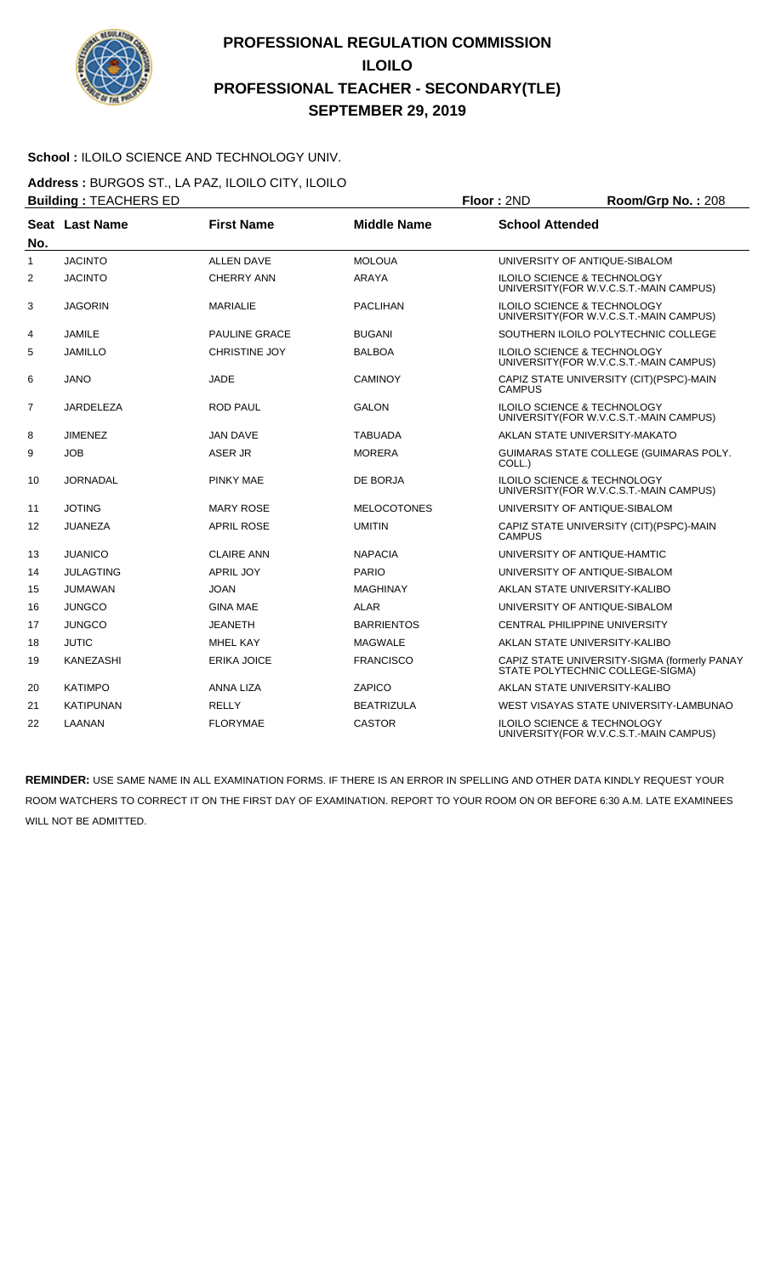

#### School : ILOILO SCIENCE AND TECHNOLOGY UNIV.

**Address :** BURGOS ST., LA PAZ, ILOILO CITY, ILOILO **Building :** TEACHERS ED **Floor :** 2ND **Room/Grp No. :** 208

| No.            | Seat Last Name   | <b>First Name</b>    | <b>Middle Name</b> | <b>School Attended</b>                                                            |
|----------------|------------------|----------------------|--------------------|-----------------------------------------------------------------------------------|
| 1              | <b>JACINTO</b>   | <b>ALLEN DAVE</b>    | <b>MOLOUA</b>      | UNIVERSITY OF ANTIQUE-SIBALOM                                                     |
| 2              | <b>JACINTO</b>   | <b>CHERRY ANN</b>    | ARAYA              | ILOILO SCIENCE & TECHNOLOGY<br>UNIVERSITY (FOR W.V.C.S.T.-MAIN CAMPUS)            |
| 3              | <b>JAGORIN</b>   | <b>MARIALIE</b>      | <b>PACLIHAN</b>    | <b>ILOILO SCIENCE &amp; TECHNOLOGY</b><br>UNIVERSITY (FOR W.V.C.S.T.-MAIN CAMPUS) |
| 4              | <b>JAMILE</b>    | <b>PAULINE GRACE</b> | <b>BUGANI</b>      | SOUTHERN ILOILO POLYTECHNIC COLLEGE                                               |
| 5              | <b>JAMILLO</b>   | <b>CHRISTINE JOY</b> | <b>BALBOA</b>      | <b>ILOILO SCIENCE &amp; TECHNOLOGY</b><br>UNIVERSITY (FOR W.V.C.S.T.-MAIN CAMPUS) |
| 6              | <b>JANO</b>      | <b>JADE</b>          | <b>CAMINOY</b>     | CAPIZ STATE UNIVERSITY (CIT) (PSPC)-MAIN<br><b>CAMPUS</b>                         |
| $\overline{7}$ | JARDELEZA        | <b>ROD PAUL</b>      | <b>GALON</b>       | <b>ILOILO SCIENCE &amp; TECHNOLOGY</b><br>UNIVERSITY (FOR W.V.C.S.T.-MAIN CAMPUS) |
| 8              | <b>JIMENEZ</b>   | JAN DAVE             | <b>TABUADA</b>     | AKLAN STATE UNIVERSITY-MAKATO                                                     |
| 9              | <b>JOB</b>       | ASER JR              | <b>MORERA</b>      | GUIMARAS STATE COLLEGE (GUIMARAS POLY.<br>COLL.)                                  |
| 10             | <b>JORNADAL</b>  | PINKY MAE            | DE BORJA           | <b>ILOILO SCIENCE &amp; TECHNOLOGY</b><br>UNIVERSITY(FOR W.V.C.S.T.-MAIN CAMPUS)  |
| 11             | <b>JOTING</b>    | <b>MARY ROSE</b>     | <b>MELOCOTONES</b> | UNIVERSITY OF ANTIQUE-SIBALOM                                                     |
| 12             | <b>JUANEZA</b>   | <b>APRIL ROSE</b>    | <b>UMITIN</b>      | CAPIZ STATE UNIVERSITY (CIT)(PSPC)-MAIN<br><b>CAMPUS</b>                          |
| 13             | <b>JUANICO</b>   | <b>CLAIRE ANN</b>    | <b>NAPACIA</b>     | UNIVERSITY OF ANTIQUE-HAMTIC                                                      |
| 14             | <b>JULAGTING</b> | <b>APRIL JOY</b>     | <b>PARIO</b>       | UNIVERSITY OF ANTIQUE-SIBALOM                                                     |
| 15             | JUMAWAN          | <b>JOAN</b>          | <b>MAGHINAY</b>    | AKLAN STATE UNIVERSITY-KALIBO                                                     |
| 16             | <b>JUNGCO</b>    | <b>GINA MAE</b>      | <b>ALAR</b>        | UNIVERSITY OF ANTIQUE-SIBALOM                                                     |
| 17             | <b>JUNGCO</b>    | <b>JEANETH</b>       | <b>BARRIENTOS</b>  | <b>CENTRAL PHILIPPINE UNIVERSITY</b>                                              |
| 18             | <b>JUTIC</b>     | <b>MHEL KAY</b>      | <b>MAGWALE</b>     | AKLAN STATE UNIVERSITY-KALIBO                                                     |
| 19             | <b>KANEZASHI</b> | <b>ERIKA JOICE</b>   | <b>FRANCISCO</b>   | CAPIZ STATE UNIVERSITY-SIGMA (formerly PANAY<br>STATE POLYTECHNIC COLLEGE-SIGMA)  |
| 20             | <b>KATIMPO</b>   | ANNA LIZA            | <b>ZAPICO</b>      | AKLAN STATE UNIVERSITY-KALIBO                                                     |
| 21             | <b>KATIPUNAN</b> | <b>RELLY</b>         | <b>BEATRIZULA</b>  | WEST VISAYAS STATE UNIVERSITY-LAMBUNAO                                            |
| 22             | LAANAN           | <b>FLORYMAE</b>      | <b>CASTOR</b>      | <b>ILOILO SCIENCE &amp; TECHNOLOGY</b><br>UNIVERSITY (FOR W.V.C.S.T.-MAIN CAMPUS) |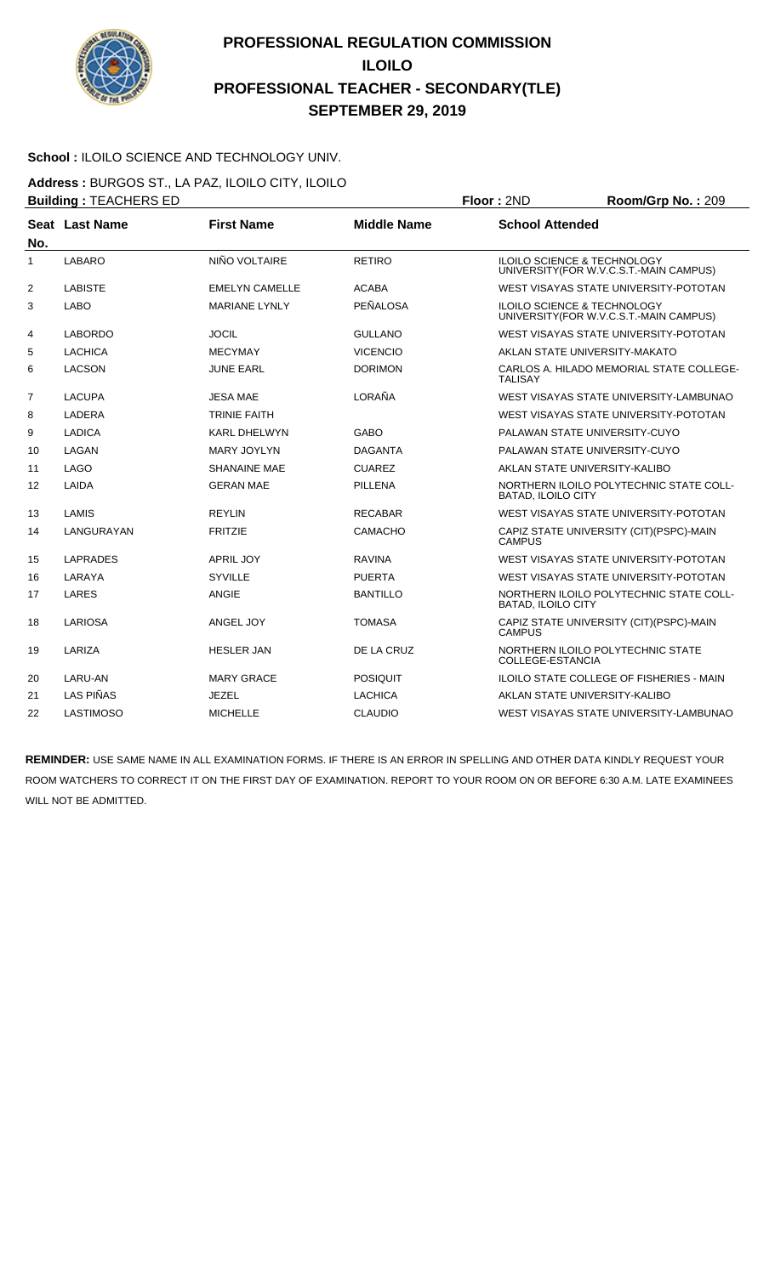

#### School : ILOILO SCIENCE AND TECHNOLOGY UNIV.

**Address :** BURGOS ST., LA PAZ, ILOILO CITY, ILOILO

|                | <b>Building: TEACHERS ED</b> |                       |                    | Floor: 2ND                | Room/Grp No.: 209                                                                 |
|----------------|------------------------------|-----------------------|--------------------|---------------------------|-----------------------------------------------------------------------------------|
|                | Seat Last Name               | <b>First Name</b>     | <b>Middle Name</b> | <b>School Attended</b>    |                                                                                   |
| No.            |                              |                       |                    |                           |                                                                                   |
| 1              | LABARO                       | NIÑO VOLTAIRE         | <b>RETIRO</b>      |                           | <b>ILOILO SCIENCE &amp; TECHNOLOGY</b><br>UNIVERSITY (FOR W.V.C.S.T.-MAIN CAMPUS) |
| $\overline{2}$ | <b>LABISTE</b>               | <b>EMELYN CAMELLE</b> | <b>ACABA</b>       |                           | WEST VISAYAS STATE UNIVERSITY-POTOTAN                                             |
| 3              | <b>LABO</b>                  | <b>MARIANE LYNLY</b>  | PEÑALOSA           |                           | <b>ILOILO SCIENCE &amp; TECHNOLOGY</b><br>UNIVERSITY (FOR W.V.C.S.T.-MAIN CAMPUS) |
| 4              | <b>LABORDO</b>               | <b>JOCIL</b>          | <b>GULLANO</b>     |                           | WEST VISAYAS STATE UNIVERSITY-POTOTAN                                             |
| 5              | LACHICA                      | <b>MECYMAY</b>        | <b>VICENCIO</b>    |                           | AKLAN STATE UNIVERSITY-MAKATO                                                     |
| 6              | <b>LACSON</b>                | <b>JUNE EARL</b>      | <b>DORIMON</b>     | <b>TALISAY</b>            | CARLOS A. HILADO MEMORIAL STATE COLLEGE-                                          |
| $\overline{7}$ | <b>LACUPA</b>                | <b>JESA MAE</b>       | LORAÑA             |                           | WEST VISAYAS STATE UNIVERSITY-LAMBUNAO                                            |
| 8              | LADERA                       | <b>TRINIE FAITH</b>   |                    |                           | WEST VISAYAS STATE UNIVERSITY-POTOTAN                                             |
| 9              | <b>LADICA</b>                | <b>KARL DHELWYN</b>   | GABO               |                           | PALAWAN STATE UNIVERSITY-CUYO                                                     |
| 10             | LAGAN                        | <b>MARY JOYLYN</b>    | <b>DAGANTA</b>     |                           | PALAWAN STATE UNIVERSITY-CUYO                                                     |
| 11             | <b>LAGO</b>                  | <b>SHANAINE MAE</b>   | <b>CUAREZ</b>      |                           | AKLAN STATE UNIVERSITY-KALIBO                                                     |
| 12             | LAIDA                        | <b>GERAN MAE</b>      | <b>PILLENA</b>     | <b>BATAD. ILOILO CITY</b> | NORTHERN ILOILO POLYTECHNIC STATE COLL-                                           |
| 13             | LAMIS                        | <b>REYLIN</b>         | <b>RECABAR</b>     |                           | WEST VISAYAS STATE UNIVERSITY-POTOTAN                                             |
| 14             | LANGURAYAN                   | <b>FRITZIE</b>        | CAMACHO            | <b>CAMPUS</b>             | CAPIZ STATE UNIVERSITY (CIT)(PSPC)-MAIN                                           |
| 15             | LAPRADES                     | <b>APRIL JOY</b>      | <b>RAVINA</b>      |                           | WEST VISAYAS STATE UNIVERSITY-POTOTAN                                             |
| 16             | LARAYA                       | <b>SYVILLE</b>        | <b>PUERTA</b>      |                           | WEST VISAYAS STATE UNIVERSITY-POTOTAN                                             |
| 17             | LARES                        | <b>ANGIE</b>          | <b>BANTILLO</b>    | <b>BATAD, ILOILO CITY</b> | NORTHERN ILOILO POLYTECHNIC STATE COLL-                                           |
| 18             | LARIOSA                      | ANGEL JOY             | <b>TOMASA</b>      | <b>CAMPUS</b>             | CAPIZ STATE UNIVERSITY (CIT) (PSPC)-MAIN                                          |
| 19             | LARIZA                       | <b>HESLER JAN</b>     | DE LA CRUZ         | COLLEGE-ESTANCIA          | NORTHERN ILOILO POLYTECHNIC STATE                                                 |
| 20             | LARU-AN                      | <b>MARY GRACE</b>     | <b>POSIQUIT</b>    |                           | <b>ILOILO STATE COLLEGE OF FISHERIES - MAIN</b>                                   |
| 21             | LAS PIÑAS                    | JEZEL                 | LACHICA            |                           | AKLAN STATE UNIVERSITY-KALIBO                                                     |
| 22             | <b>LASTIMOSO</b>             | <b>MICHELLE</b>       | <b>CLAUDIO</b>     |                           | WEST VISAYAS STATE UNIVERSITY-LAMBUNAO                                            |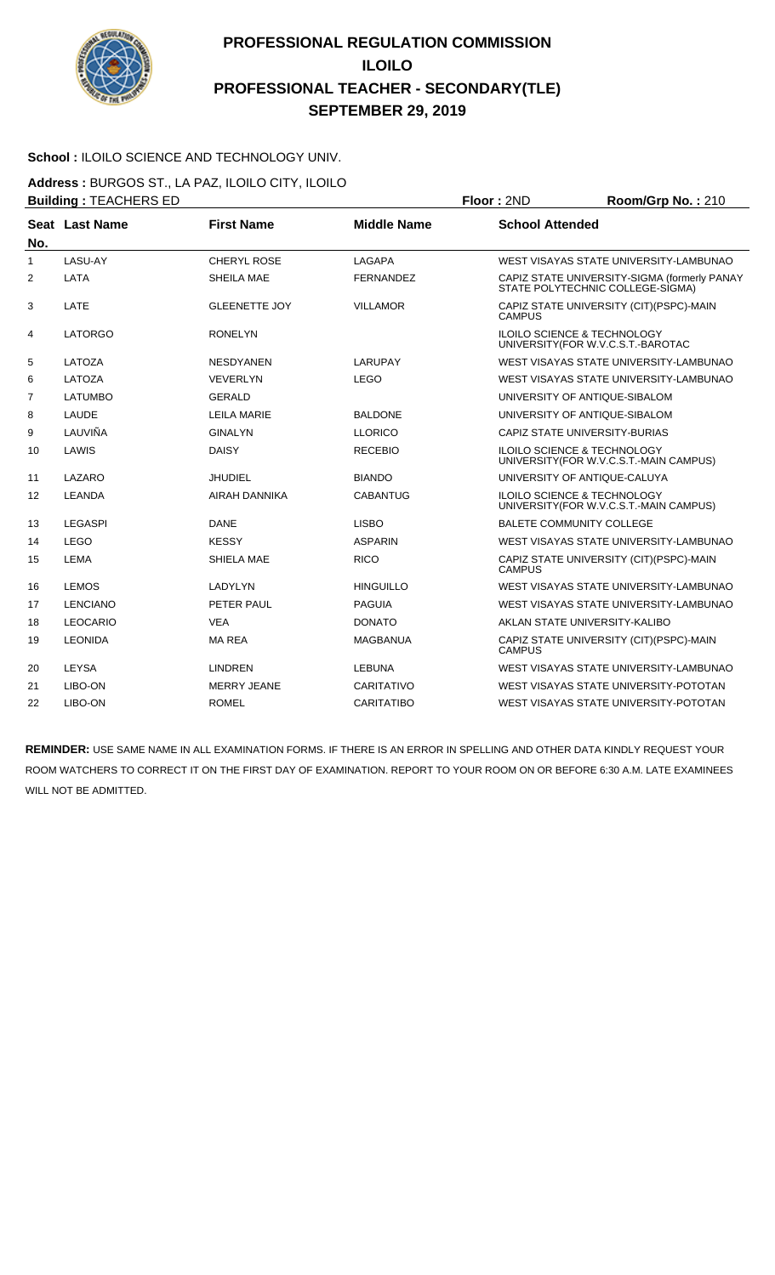

#### School : ILOILO SCIENCE AND TECHNOLOGY UNIV.

**Address :** BURGOS ST., LA PAZ, ILOILO CITY, ILOILO **Building :** TEACHERS ED **Floor :** 2ND **Room/Grp No. :** 210

|     |                 |                      |                    | .                                                                                 |
|-----|-----------------|----------------------|--------------------|-----------------------------------------------------------------------------------|
| No. | Seat Last Name  | <b>First Name</b>    | <b>Middle Name</b> | <b>School Attended</b>                                                            |
| 1   | LASU-AY         | <b>CHERYL ROSE</b>   | LAGAPA             | WEST VISAYAS STATE UNIVERSITY-LAMBUNAO                                            |
| 2   | LATA            | SHEILA MAE           | <b>FERNANDEZ</b>   | CAPIZ STATE UNIVERSITY-SIGMA (formerly PANAY<br>STATE POLYTECHNIC COLLEGE-SIGMA)  |
| 3   | LATE            | <b>GLEENETTE JOY</b> | <b>VILLAMOR</b>    | CAPIZ STATE UNIVERSITY (CIT) (PSPC)-MAIN<br><b>CAMPUS</b>                         |
| 4   | <b>LATORGO</b>  | <b>RONELYN</b>       |                    | ILOILO SCIENCE & TECHNOLOGY<br>UNIVERSITY (FOR W.V.C.S.T.-BAROTAC                 |
| 5   | LATOZA          | <b>NESDYANEN</b>     | LARUPAY            | WEST VISAYAS STATE UNIVERSITY-LAMBUNAO                                            |
| 6   | LATOZA          | <b>VEVERLYN</b>      | <b>LEGO</b>        | WEST VISAYAS STATE UNIVERSITY-LAMBUNAO                                            |
| 7   | <b>LATUMBO</b>  | <b>GERALD</b>        |                    | UNIVERSITY OF ANTIQUE-SIBALOM                                                     |
| 8   | LAUDE           | LEILA MARIE          | <b>BALDONE</b>     | UNIVERSITY OF ANTIQUE-SIBALOM                                                     |
| 9   | LAUVIÑA         | <b>GINALYN</b>       | <b>LLORICO</b>     | CAPIZ STATE UNIVERSITY-BURIAS                                                     |
| 10  | LAWIS           | <b>DAISY</b>         | <b>RECEBIO</b>     | <b>ILOILO SCIENCE &amp; TECHNOLOGY</b><br>UNIVERSITY (FOR W.V.C.S.T.-MAIN CAMPUS) |
| 11  | LAZARO          | JHUDIEL              | <b>BIANDO</b>      | UNIVERSITY OF ANTIQUE-CALUYA                                                      |
| 12  | LEANDA          | AIRAH DANNIKA        | <b>CABANTUG</b>    | <b>ILOILO SCIENCE &amp; TECHNOLOGY</b><br>UNIVERSITY(FOR W.V.C.S.T.-MAIN CAMPUS)  |
| 13  | <b>LEGASPI</b>  | <b>DANE</b>          | <b>LISBO</b>       | <b>BALETE COMMUNITY COLLEGE</b>                                                   |
| 14  | <b>LEGO</b>     | <b>KESSY</b>         | <b>ASPARIN</b>     | WEST VISAYAS STATE UNIVERSITY-LAMBUNAO                                            |
| 15  | <b>LEMA</b>     | SHIELA MAE           | <b>RICO</b>        | CAPIZ STATE UNIVERSITY (CIT) (PSPC)-MAIN<br><b>CAMPUS</b>                         |
| 16  | <b>LEMOS</b>    | LADYLYN              | <b>HINGUILLO</b>   | WEST VISAYAS STATE UNIVERSITY-LAMBUNAO                                            |
| 17  | <b>LENCIANO</b> | PETER PAUL           | <b>PAGUIA</b>      | WEST VISAYAS STATE UNIVERSITY-LAMBUNAO                                            |
| 18  | <b>LEOCARIO</b> | <b>VEA</b>           | <b>DONATO</b>      | AKLAN STATE UNIVERSITY-KALIBO                                                     |
| 19  | <b>LEONIDA</b>  | <b>MAREA</b>         | <b>MAGBANUA</b>    | CAPIZ STATE UNIVERSITY (CIT)(PSPC)-MAIN<br><b>CAMPUS</b>                          |
| 20  | LEYSA           | <b>LINDREN</b>       | <b>LEBUNA</b>      | WEST VISAYAS STATE UNIVERSITY-LAMBUNAO                                            |
| 21  | LIBO-ON         | MERRY JEANE          | CARITATIVO         | WEST VISAYAS STATE UNIVERSITY-POTOTAN                                             |
| 22  | LIBO-ON         | <b>ROMEL</b>         | <b>CARITATIBO</b>  | WEST VISAYAS STATE UNIVERSITY-POTOTAN                                             |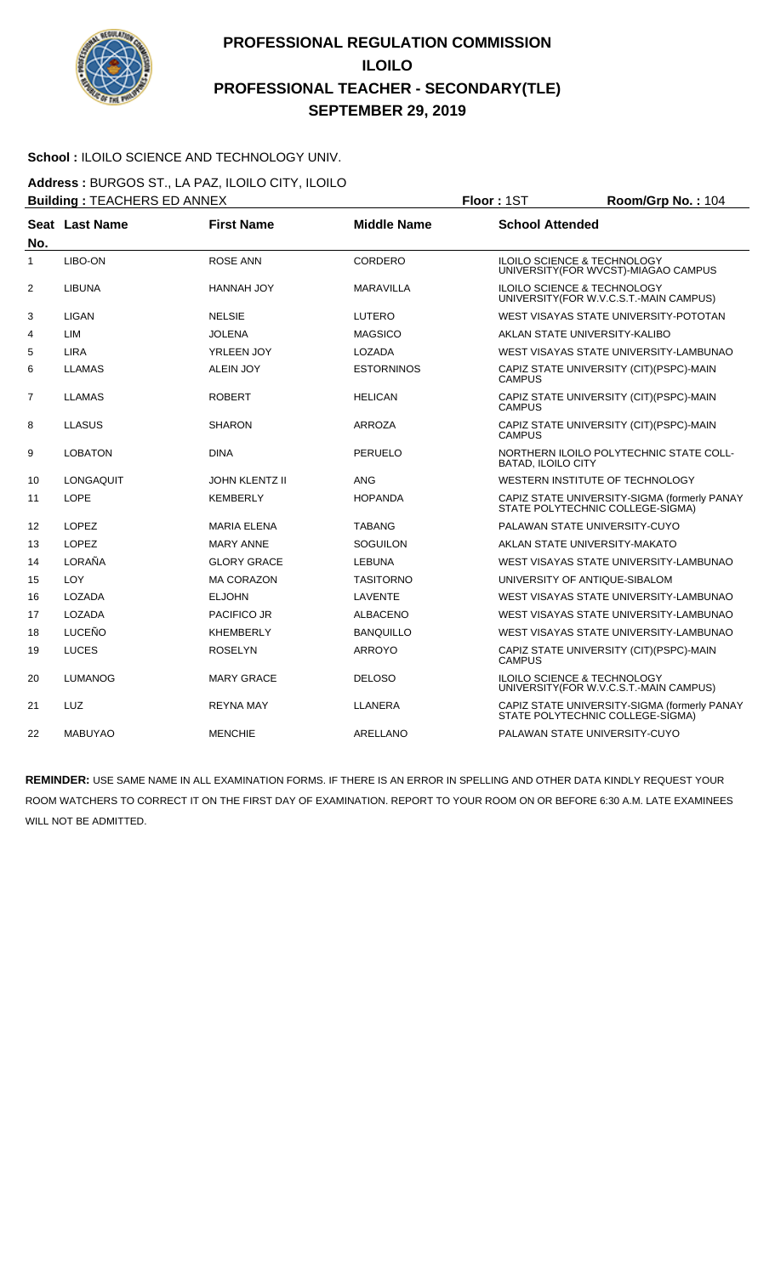

#### School : ILOILO SCIENCE AND TECHNOLOGY UNIV.

**Address :** BURGOS ST., LA PAZ, ILOILO CITY, ILOILO **Building : TEACHERS ED ANNEX <br><b>Floor : 1ST Room/Grp No. : 104** 

|                | <b>Dunung.</b> TEAOHERO ED ANTEA |                       |                    | .<br>110011110111101111101                                                        |  |
|----------------|----------------------------------|-----------------------|--------------------|-----------------------------------------------------------------------------------|--|
| No.            | Seat Last Name                   | <b>First Name</b>     | <b>Middle Name</b> | <b>School Attended</b>                                                            |  |
| 1              | LIBO-ON                          | <b>ROSE ANN</b>       | <b>CORDERO</b>     | <b>ILOILO SCIENCE &amp; TECHNOLOGY</b><br>UNIVERSITY (FOR WVCST)-MIAGAO CAMPUS    |  |
| $\overline{2}$ | LIBUNA                           | HANNAH JOY            | <b>MARAVILLA</b>   | <b>ILOILO SCIENCE &amp; TECHNOLOGY</b><br>UNIVERSITY (FOR W.V.C.S.T.-MAIN CAMPUS) |  |
| 3              | LIGAN                            | <b>NELSIE</b>         | <b>LUTERO</b>      | WEST VISAYAS STATE UNIVERSITY-POTOTAN                                             |  |
| 4              | LIM                              | JOLENA                | <b>MAGSICO</b>     | AKLAN STATE UNIVERSITY-KALIBO                                                     |  |
| 5              | <b>LIRA</b>                      | YRLEEN JOY            | LOZADA             | WEST VISAYAS STATE UNIVERSITY-LAMBUNAO                                            |  |
| 6              | <b>LLAMAS</b>                    | <b>ALEIN JOY</b>      | <b>ESTORNINOS</b>  | CAPIZ STATE UNIVERSITY (CIT) (PSPC)-MAIN<br><b>CAMPUS</b>                         |  |
| 7              | <b>LLAMAS</b>                    | <b>ROBERT</b>         | <b>HELICAN</b>     | CAPIZ STATE UNIVERSITY (CIT)(PSPC)-MAIN<br><b>CAMPUS</b>                          |  |
| 8              | <b>LLASUS</b>                    | <b>SHARON</b>         | ARROZA             | CAPIZ STATE UNIVERSITY (CIT) (PSPC)-MAIN<br><b>CAMPUS</b>                         |  |
| 9              | <b>LOBATON</b>                   | <b>DINA</b>           | <b>PERUELO</b>     | NORTHERN ILOILO POLYTECHNIC STATE COLL-<br><b>BATAD, ILOILO CITY</b>              |  |
| 10             | <b>LONGAQUIT</b>                 | <b>JOHN KLENTZ II</b> | <b>ANG</b>         | WESTERN INSTITUTE OF TECHNOLOGY                                                   |  |
| 11             | <b>LOPE</b>                      | <b>KEMBERLY</b>       | <b>HOPANDA</b>     | CAPIZ STATE UNIVERSITY-SIGMA (formerly PANAY<br>STATE POLYTECHNIC COLLEGE-SIGMA)  |  |
| 12             | <b>LOPEZ</b>                     | <b>MARIA ELENA</b>    | <b>TABANG</b>      | PALAWAN STATE UNIVERSITY-CUYO                                                     |  |
| 13             | <b>LOPEZ</b>                     | <b>MARY ANNE</b>      | <b>SOGUILON</b>    | AKLAN STATE UNIVERSITY-MAKATO                                                     |  |
| 14             | LORAÑA                           | <b>GLORY GRACE</b>    | <b>LEBUNA</b>      | WEST VISAYAS STATE UNIVERSITY-LAMBUNAO                                            |  |
| 15             | <b>LOY</b>                       | <b>MA CORAZON</b>     | <b>TASITORNO</b>   | UNIVERSITY OF ANTIQUE-SIBALOM                                                     |  |
| 16             | LOZADA                           | <b>ELJOHN</b>         | LAVENTE            | WEST VISAYAS STATE UNIVERSITY-LAMBUNAO                                            |  |
| 17             | <b>LOZADA</b>                    | <b>PACIFICO JR</b>    | <b>ALBACENO</b>    | WEST VISAYAS STATE UNIVERSITY-LAMBUNAO                                            |  |
| 18             | <b>LUCEÑO</b>                    | <b>KHEMBERLY</b>      | <b>BANQUILLO</b>   | WEST VISAYAS STATE UNIVERSITY-LAMBUNAO                                            |  |
| 19             | <b>LUCES</b>                     | <b>ROSELYN</b>        | <b>ARROYO</b>      | CAPIZ STATE UNIVERSITY (CIT) (PSPC)-MAIN<br><b>CAMPUS</b>                         |  |
| 20             | <b>LUMANOG</b>                   | <b>MARY GRACE</b>     | <b>DELOSO</b>      | ILOILO SCIENCE & TECHNOLOGY<br>UNIVERSITY (FOR W.V.C.S.T.-MAIN CAMPUS)            |  |
| 21             | <b>LUZ</b>                       | <b>REYNA MAY</b>      | <b>LLANERA</b>     | CAPIZ STATE UNIVERSITY-SIGMA (formerly PANAY<br>STATE POLYTECHNIC COLLEGE-SIGMA)  |  |
| 22             | <b>MABUYAO</b>                   | <b>MENCHIE</b>        | ARELLANO           | PALAWAN STATE UNIVERSITY-CUYO                                                     |  |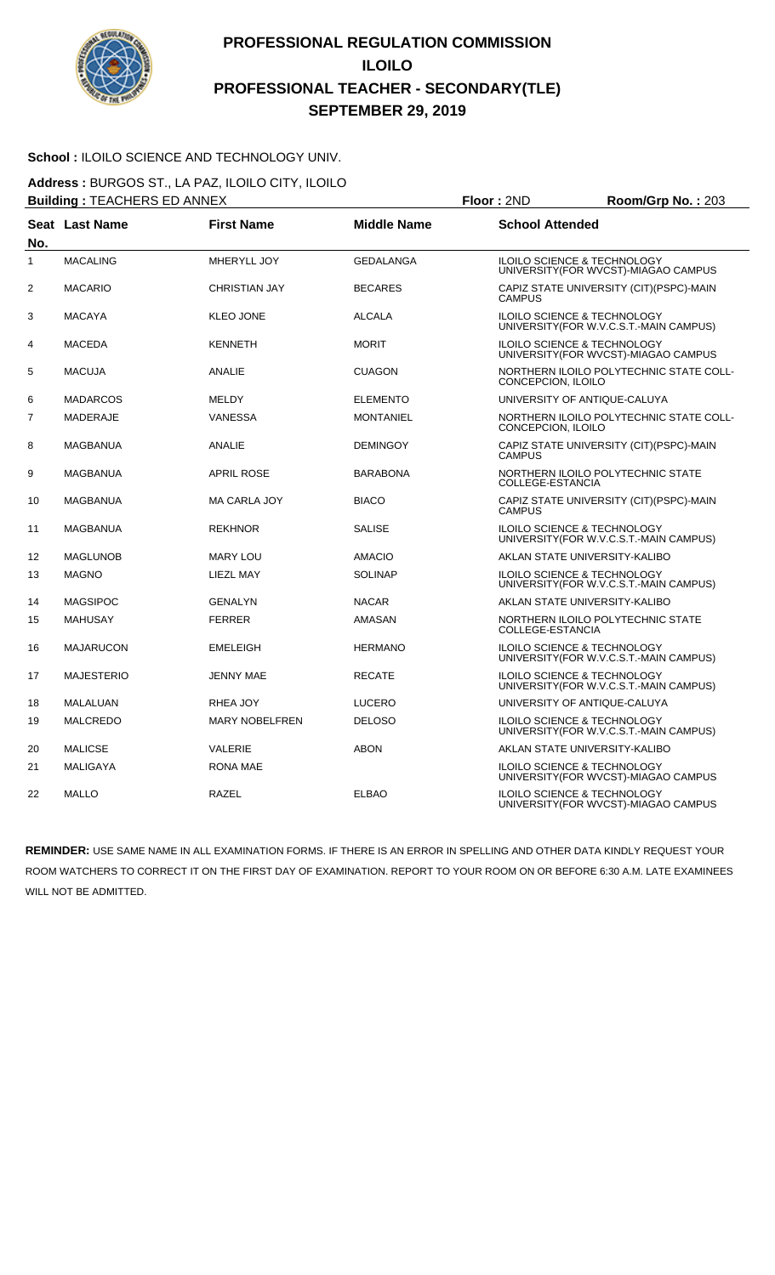

#### School : ILOILO SCIENCE AND TECHNOLOGY UNIV.

**Address :** BURGOS ST., LA PAZ, ILOILO CITY, ILOILO **Building :** TEACHERS ED ANNEX **Floor :** 2ND **Room/Grp No. :** 203

|                | DUIIUIIIY . I EAUNERO EU ANNEA |                       |                    | <b>FIUUI</b> . ZIVU<br><b>RUUIII/UI D NU.</b> . 200                               |
|----------------|--------------------------------|-----------------------|--------------------|-----------------------------------------------------------------------------------|
| No.            | Seat Last Name                 | <b>First Name</b>     | <b>Middle Name</b> | <b>School Attended</b>                                                            |
| 1              | <b>MACALING</b>                | MHERYLL JOY           | <b>GEDALANGA</b>   | <b>ILOILO SCIENCE &amp; TECHNOLOGY</b><br>UNIVERSITY(FOR WVCST)-MIAGAO CAMPUS     |
| $\overline{2}$ | <b>MACARIO</b>                 | <b>CHRISTIAN JAY</b>  | <b>BECARES</b>     | CAPIZ STATE UNIVERSITY (CIT)(PSPC)-MAIN<br><b>CAMPUS</b>                          |
| 3              | <b>MACAYA</b>                  | <b>KLEO JONE</b>      | <b>ALCALA</b>      | ILOILO SCIENCE & TECHNOLOGY<br>UNIVERSITY (FOR W.V.C.S.T.-MAIN CAMPUS)            |
| 4              | <b>MACEDA</b>                  | <b>KENNETH</b>        | <b>MORIT</b>       | <b>ILOILO SCIENCE &amp; TECHNOLOGY</b><br>UNIVERSITY (FOR WVCST)-MIAGAO CAMPUS    |
| 5              | <b>MACUJA</b>                  | ANALIE                | <b>CUAGON</b>      | NORTHERN ILOILO POLYTECHNIC STATE COLL-<br>CONCEPCION, ILOILO                     |
| 6              | <b>MADARCOS</b>                | <b>MELDY</b>          | <b>ELEMENTO</b>    | UNIVERSITY OF ANTIQUE-CALUYA                                                      |
| $\overline{7}$ | <b>MADERAJE</b>                | <b>VANESSA</b>        | <b>MONTANIEL</b>   | NORTHERN ILOILO POLYTECHNIC STATE COLL-<br>CONCEPCION, ILOILO                     |
| 8              | <b>MAGBANUA</b>                | ANALIE                | <b>DEMINGOY</b>    | CAPIZ STATE UNIVERSITY (CIT) (PSPC)-MAIN<br><b>CAMPUS</b>                         |
| 9              | <b>MAGBANUA</b>                | <b>APRIL ROSE</b>     | <b>BARABONA</b>    | NORTHERN ILOILO POLYTECHNIC STATE<br>COLLEGE-ESTANCIA                             |
| 10             | MAGBANUA                       | <b>MA CARLA JOY</b>   | <b>BIACO</b>       | CAPIZ STATE UNIVERSITY (CIT) (PSPC)-MAIN<br><b>CAMPUS</b>                         |
| 11             | <b>MAGBANUA</b>                | <b>REKHNOR</b>        | <b>SALISE</b>      | ILOILO SCIENCE & TECHNOLOGY<br>UNIVERSITY (FOR W.V.C.S.T.-MAIN CAMPUS)            |
| 12             | <b>MAGLUNOB</b>                | <b>MARY LOU</b>       | <b>AMACIO</b>      | AKLAN STATE UNIVERSITY-KALIBO                                                     |
| 13             | <b>MAGNO</b>                   | LIEZL MAY             | <b>SOLINAP</b>     | <b>ILOILO SCIENCE &amp; TECHNOLOGY</b><br>UNIVERSITY (FOR W.V.C.S.T.-MAIN CAMPUS) |
| 14             | <b>MAGSIPOC</b>                | <b>GENALYN</b>        | <b>NACAR</b>       | AKLAN STATE UNIVERSITY-KALIBO                                                     |
| 15             | <b>MAHUSAY</b>                 | <b>FERRER</b>         | <b>AMASAN</b>      | NORTHERN ILOILO POLYTECHNIC STATE<br>COLLEGE-ESTANCIA                             |
| 16             | <b>MAJARUCON</b>               | <b>EMELEIGH</b>       | <b>HERMANO</b>     | ILOILO SCIENCE & TECHNOLOGY<br>UNIVERSITY(FOR W.V.C.S.T.-MAIN CAMPUS)             |
| 17             | <b>MAJESTERIO</b>              | <b>JENNY MAE</b>      | <b>RECATE</b>      | <b>ILOILO SCIENCE &amp; TECHNOLOGY</b><br>UNIVERSITY (FOR W.V.C.S.T.-MAIN CAMPUS) |
| 18             | MALALUAN                       | RHEA JOY              | <b>LUCERO</b>      | UNIVERSITY OF ANTIQUE-CALUYA                                                      |
| 19             | <b>MALCREDO</b>                | <b>MARY NOBELFREN</b> | <b>DELOSO</b>      | ILOILO SCIENCE & TECHNOLOGY<br>UNIVERSITY(FOR W.V.C.S.T.-MAIN CAMPUS)             |
| 20             | <b>MALICSE</b>                 | <b>VALERIE</b>        | <b>ABON</b>        | AKLAN STATE UNIVERSITY-KALIBO                                                     |
| 21             | <b>MALIGAYA</b>                | <b>RONA MAE</b>       |                    | ILOILO SCIENCE & TECHNOLOGY<br>UNIVERSITY (FOR WVCST)-MIAGAO CAMPUS               |
| 22             | <b>MALLO</b>                   | <b>RAZEL</b>          | <b>ELBAO</b>       | ILOILO SCIENCE & TECHNOLOGY<br>UNIVERSITY(FOR WVCST)-MIAGAO CAMPUS                |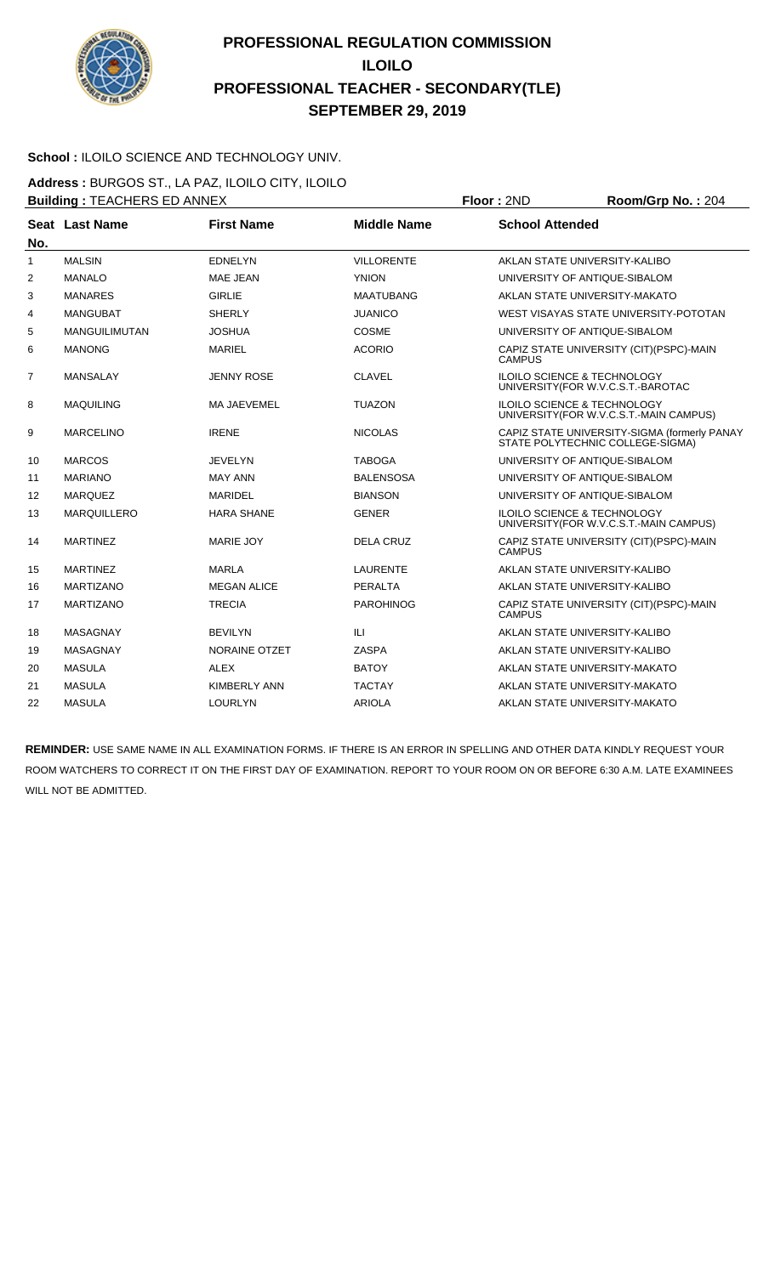

#### School : ILOILO SCIENCE AND TECHNOLOGY UNIV.

**Address :** BURGOS ST., LA PAZ, ILOILO CITY, ILOILO **Building :** TEACHERS ED ANNEX **Floor :** 2ND **Room/Grp No. :** 204

| No.            | Seat Last Name     | <b>First Name</b>   | <b>Middle Name</b> | <b>School Attended</b>                                                            |
|----------------|--------------------|---------------------|--------------------|-----------------------------------------------------------------------------------|
| $\mathbf{1}$   | <b>MALSIN</b>      | <b>EDNELYN</b>      | <b>VILLORENTE</b>  | AKLAN STATE UNIVERSITY-KALIBO                                                     |
| 2              | <b>MANALO</b>      | <b>MAE JEAN</b>     | <b>YNION</b>       | UNIVERSITY OF ANTIQUE-SIBALOM                                                     |
| 3              | <b>MANARES</b>     | <b>GIRLIE</b>       | <b>MAATUBANG</b>   | AKLAN STATE UNIVERSITY-MAKATO                                                     |
| 4              | <b>MANGUBAT</b>    | <b>SHERLY</b>       | <b>JUANICO</b>     | WEST VISAYAS STATE UNIVERSITY-POTOTAN                                             |
| 5              | MANGUILIMUTAN      | <b>JOSHUA</b>       | COSME              | UNIVERSITY OF ANTIQUE-SIBALOM                                                     |
| 6              | <b>MANONG</b>      | <b>MARIEL</b>       | <b>ACORIO</b>      | CAPIZ STATE UNIVERSITY (CIT) (PSPC)-MAIN<br><b>CAMPUS</b>                         |
| $\overline{7}$ | <b>MANSALAY</b>    | <b>JENNY ROSE</b>   | <b>CLAVEL</b>      | <b>ILOILO SCIENCE &amp; TECHNOLOGY</b><br>UNIVERSITY (FOR W.V.C.S.T.-BAROTAC      |
| 8              | <b>MAQUILING</b>   | MA JAEVEMEL         | <b>TUAZON</b>      | <b>ILOILO SCIENCE &amp; TECHNOLOGY</b><br>UNIVERSITY (FOR W.V.C.S.T.-MAIN CAMPUS) |
| 9              | <b>MARCELINO</b>   | <b>IRENE</b>        | <b>NICOLAS</b>     | CAPIZ STATE UNIVERSITY-SIGMA (formerly PANAY<br>STATE POLYTECHNIC COLLEGE-SIGMA)  |
| 10             | <b>MARCOS</b>      | <b>JEVELYN</b>      | <b>TABOGA</b>      | UNIVERSITY OF ANTIQUE-SIBALOM                                                     |
| 11             | <b>MARIANO</b>     | <b>MAY ANN</b>      | BALENSOSA          | UNIVERSITY OF ANTIQUE-SIBALOM                                                     |
| 12             | <b>MARQUEZ</b>     | <b>MARIDEL</b>      | <b>BIANSON</b>     | UNIVERSITY OF ANTIQUE-SIBALOM                                                     |
| 13             | <b>MARQUILLERO</b> | <b>HARA SHANE</b>   | <b>GENER</b>       | <b>ILOILO SCIENCE &amp; TECHNOLOGY</b><br>UNIVERSITY (FOR W.V.C.S.T.-MAIN CAMPUS) |
| 14             | <b>MARTINEZ</b>    | <b>MARIE JOY</b>    | <b>DELA CRUZ</b>   | CAPIZ STATE UNIVERSITY (CIT)(PSPC)-MAIN<br><b>CAMPUS</b>                          |
| 15             | <b>MARTINEZ</b>    | <b>MARLA</b>        | <b>LAURENTE</b>    | AKLAN STATE UNIVERSITY-KALIBO                                                     |
| 16             | <b>MARTIZANO</b>   | <b>MEGAN ALICE</b>  | <b>PERALTA</b>     | AKLAN STATE UNIVERSITY-KALIBO                                                     |
| 17             | <b>MARTIZANO</b>   | <b>TRECIA</b>       | <b>PAROHINOG</b>   | CAPIZ STATE UNIVERSITY (CIT) (PSPC)-MAIN<br><b>CAMPUS</b>                         |
| 18             | MASAGNAY           | <b>BEVILYN</b>      | ILI                | AKLAN STATE UNIVERSITY-KALIBO                                                     |
| 19             | <b>MASAGNAY</b>    | NORAINE OTZET       | <b>ZASPA</b>       | AKLAN STATE UNIVERSITY-KALIBO                                                     |
| 20             | <b>MASULA</b>      | <b>ALEX</b>         | <b>BATOY</b>       | AKLAN STATE UNIVERSITY-MAKATO                                                     |
| 21             | <b>MASULA</b>      | <b>KIMBERLY ANN</b> | <b>TACTAY</b>      | AKLAN STATE UNIVERSITY-MAKATO                                                     |
| 22             | <b>MASULA</b>      | <b>LOURLYN</b>      | <b>ARIOLA</b>      | AKLAN STATE UNIVERSITY-MAKATO                                                     |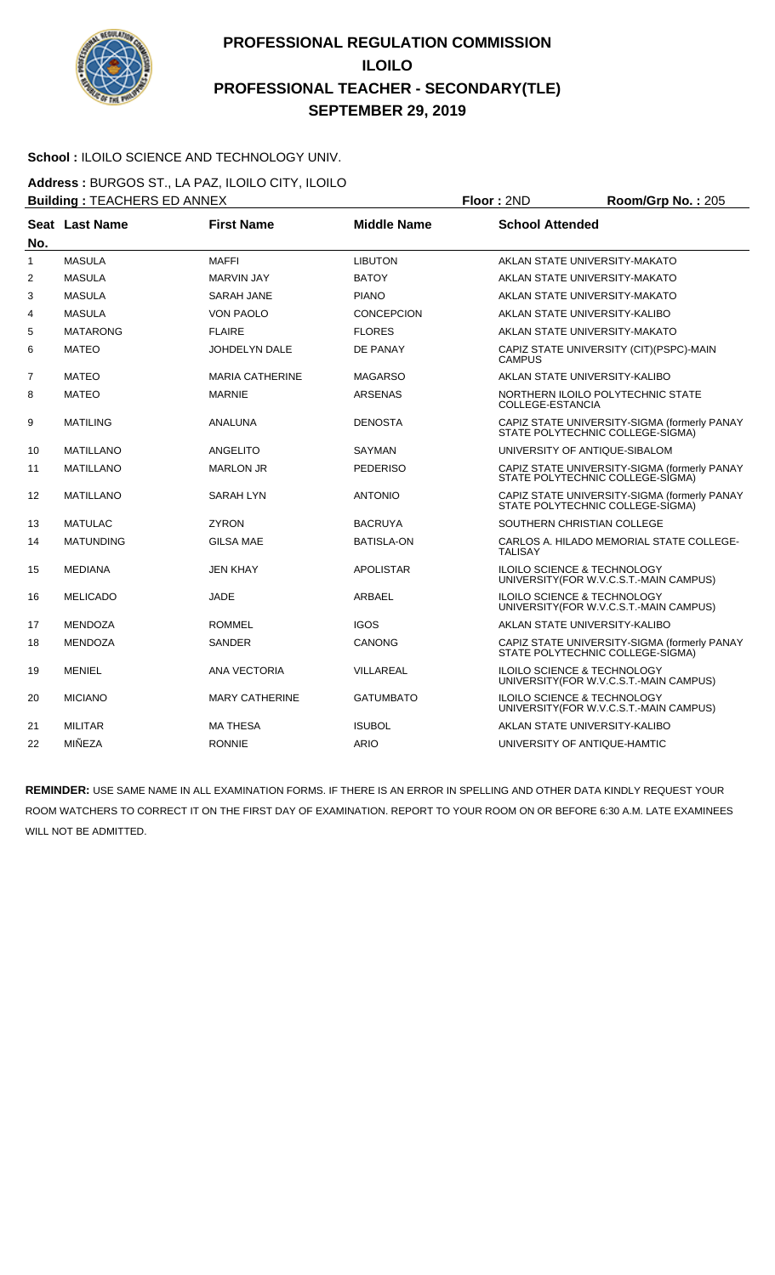

#### School : ILOILO SCIENCE AND TECHNOLOGY UNIV.

**Address :** BURGOS ST., LA PAZ, ILOILO CITY, ILOILO **Building :** TEACHERS ED ANNEX **Floor :** 2ND **Room/Grp No. :** 205

|              |                  |                        |                    | .                                                                                 |
|--------------|------------------|------------------------|--------------------|-----------------------------------------------------------------------------------|
| No.          | Seat Last Name   | <b>First Name</b>      | <b>Middle Name</b> | <b>School Attended</b>                                                            |
| $\mathbf{1}$ | <b>MASULA</b>    | <b>MAFFI</b>           | <b>LIBUTON</b>     | AKLAN STATE UNIVERSITY-MAKATO                                                     |
| 2            | <b>MASULA</b>    | <b>MARVIN JAY</b>      | <b>BATOY</b>       | AKLAN STATE UNIVERSITY-MAKATO                                                     |
| 3            | <b>MASULA</b>    | <b>SARAH JANE</b>      | <b>PIANO</b>       | AKLAN STATE UNIVERSITY-MAKATO                                                     |
| 4            | <b>MASULA</b>    | <b>VON PAOLO</b>       | CONCEPCION         | AKLAN STATE UNIVERSITY-KALIBO                                                     |
| 5            | <b>MATARONG</b>  | <b>FLAIRE</b>          | <b>FLORES</b>      | AKLAN STATE UNIVERSITY-MAKATO                                                     |
| 6            | <b>MATEO</b>     | <b>JOHDELYN DALE</b>   | DE PANAY           | CAPIZ STATE UNIVERSITY (CIT) (PSPC)-MAIN<br><b>CAMPUS</b>                         |
| 7            | <b>MATEO</b>     | <b>MARIA CATHERINE</b> | <b>MAGARSO</b>     | AKLAN STATE UNIVERSITY-KALIBO                                                     |
| 8            | <b>MATEO</b>     | <b>MARNIE</b>          | <b>ARSENAS</b>     | NORTHERN ILOILO POLYTECHNIC STATE<br><b>COLLEGE-ESTANCIA</b>                      |
| 9            | <b>MATILING</b>  | ANALUNA                | <b>DENOSTA</b>     | CAPIZ STATE UNIVERSITY-SIGMA (formerly PANAY<br>STATE POLYTECHNIC COLLEGE-SIGMA)  |
| 10           | <b>MATILLANO</b> | ANGELITO               | <b>SAYMAN</b>      | UNIVERSITY OF ANTIQUE-SIBALOM                                                     |
| 11           | <b>MATILLANO</b> | <b>MARLON JR</b>       | <b>PEDERISO</b>    | CAPIZ STATE UNIVERSITY-SIGMA (formerly PANAY<br>STATE POLYTECHNIC COLLEGE-SIGMA)  |
| 12           | <b>MATILLANO</b> | <b>SARAH LYN</b>       | <b>ANTONIO</b>     | CAPIZ STATE UNIVERSITY-SIGMA (formerly PANAY<br>STATE POLYTECHNIC COLLEGE-SIGMA)  |
| 13           | <b>MATULAC</b>   | <b>ZYRON</b>           | <b>BACRUYA</b>     | SOUTHERN CHRISTIAN COLLEGE                                                        |
| 14           | <b>MATUNDING</b> | <b>GILSA MAE</b>       | <b>BATISLA-ON</b>  | CARLOS A. HILADO MEMORIAL STATE COLLEGE-<br><b>TALISAY</b>                        |
| 15           | <b>MEDIANA</b>   | <b>JEN KHAY</b>        | <b>APOLISTAR</b>   | ILOILO SCIENCE & TECHNOLOGY<br>UNIVERSITY (FOR W.V.C.S.T.-MAIN CAMPUS)            |
| 16           | <b>MELICADO</b>  | <b>JADE</b>            | ARBAEL             | <b>ILOILO SCIENCE &amp; TECHNOLOGY</b><br>UNIVERSITY(FOR W.V.C.S.T.-MAIN CAMPUS)  |
| 17           | <b>MENDOZA</b>   | <b>ROMMEL</b>          | <b>IGOS</b>        | AKLAN STATE UNIVERSITY-KALIBO                                                     |
| 18           | <b>MENDOZA</b>   | <b>SANDER</b>          | <b>CANONG</b>      | CAPIZ STATE UNIVERSITY-SIGMA (formerly PANAY<br>STATE POLYTECHNIC COLLEGE-SIGMA)  |
| 19           | <b>MENIEL</b>    | ANA VECTORIA           | VILLAREAL          | <b>ILOILO SCIENCE &amp; TECHNOLOGY</b><br>UNIVERSITY (FOR W.V.C.S.T.-MAIN CAMPUS) |
| 20           | <b>MICIANO</b>   | <b>MARY CATHERINE</b>  | <b>GATUMBATO</b>   | ILOILO SCIENCE & TECHNOLOGY<br>UNIVERSITY (FOR W.V.C.S.T.-MAIN CAMPUS)            |
| 21           | <b>MILITAR</b>   | <b>MA THESA</b>        | <b>ISUBOL</b>      | AKLAN STATE UNIVERSITY-KALIBO                                                     |
| 22           | MIÑEZA           | <b>RONNIE</b>          | <b>ARIO</b>        | UNIVERSITY OF ANTIQUE-HAMTIC                                                      |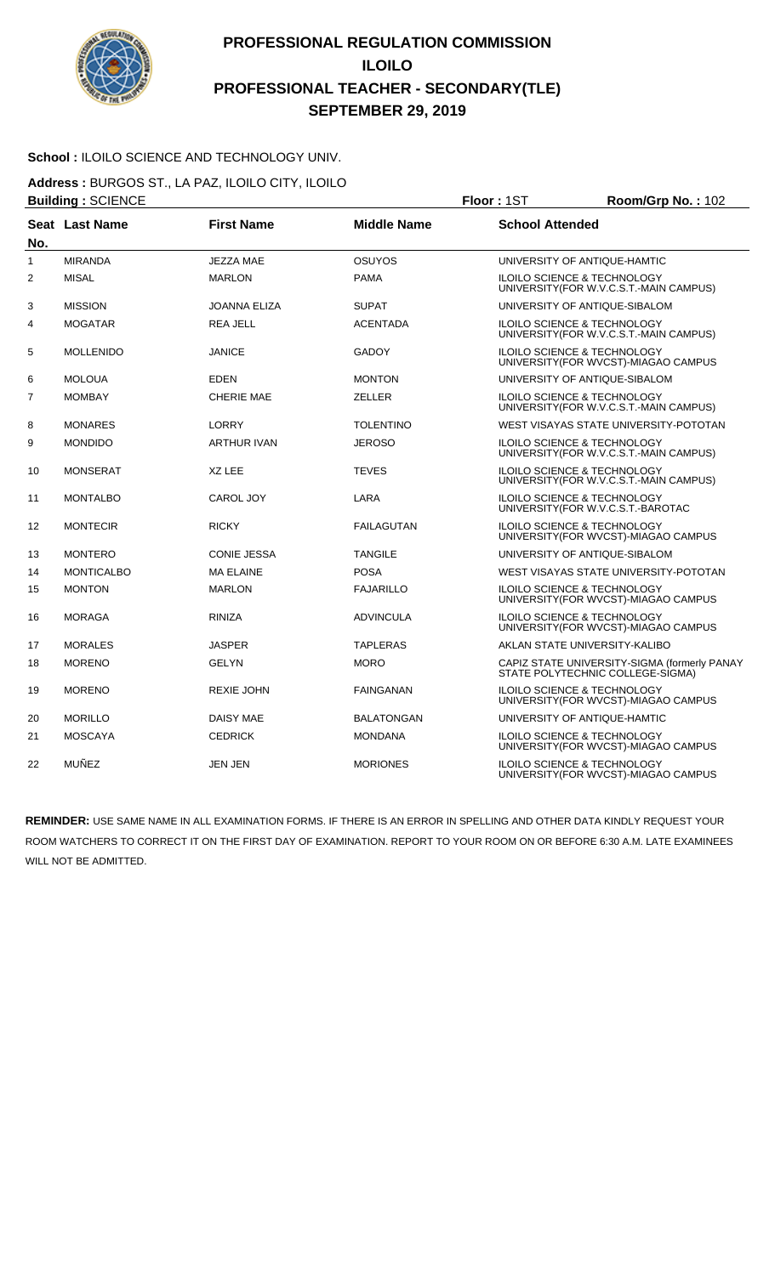

#### School : ILOILO SCIENCE AND TECHNOLOGY UNIV.

**Address :** BURGOS ST., LA PAZ, ILOILO CITY, ILOILO **Building :** SCIENCE **Floor :** 1ST **Room/Grp No. :** 102

| No.            | Seat Last Name    | <b>First Name</b>   | <b>Middle Name</b> | <b>School Attended</b>                                                            |
|----------------|-------------------|---------------------|--------------------|-----------------------------------------------------------------------------------|
| 1              | <b>MIRANDA</b>    | <b>JEZZA MAE</b>    | <b>OSUYOS</b>      | UNIVERSITY OF ANTIQUE-HAMTIC                                                      |
| $\overline{2}$ | <b>MISAL</b>      | <b>MARLON</b>       | <b>PAMA</b>        | <b>ILOILO SCIENCE &amp; TECHNOLOGY</b><br>UNIVERSITY(FOR W.V.C.S.T.-MAIN CAMPUS)  |
| 3              | <b>MISSION</b>    | <b>JOANNA ELIZA</b> | <b>SUPAT</b>       | UNIVERSITY OF ANTIQUE-SIBALOM                                                     |
| 4              | <b>MOGATAR</b>    | <b>REA JELL</b>     | <b>ACENTADA</b>    | <b>ILOILO SCIENCE &amp; TECHNOLOGY</b><br>UNIVERSITY(FOR W.V.C.S.T.-MAIN CAMPUS)  |
| 5              | <b>MOLLENIDO</b>  | <b>JANICE</b>       | <b>GADOY</b>       | <b>ILOILO SCIENCE &amp; TECHNOLOGY</b><br>UNIVERSITY(FOR WVCST)-MIAGAO CAMPUS     |
| 6              | <b>MOLOUA</b>     | <b>EDEN</b>         | <b>MONTON</b>      | UNIVERSITY OF ANTIQUE-SIBALOM                                                     |
| 7              | <b>MOMBAY</b>     | <b>CHERIE MAE</b>   | <b>ZELLER</b>      | <b>ILOILO SCIENCE &amp; TECHNOLOGY</b><br>UNIVERSITY(FOR W.V.C.S.T.-MAIN CAMPUS)  |
| 8              | <b>MONARES</b>    | LORRY               | <b>TOLENTINO</b>   | WEST VISAYAS STATE UNIVERSITY-POTOTAN                                             |
| 9              | <b>MONDIDO</b>    | <b>ARTHUR IVAN</b>  | <b>JEROSO</b>      | <b>ILOILO SCIENCE &amp; TECHNOLOGY</b><br>UNIVERSITY (FOR W.V.C.S.T.-MAIN CAMPUS) |
| 10             | <b>MONSERAT</b>   | XZ LEE              | <b>TEVES</b>       | ILOILO SCIENCE & TECHNOLOGY<br>UNIVERSITY(FOR W.V.C.S.T.-MAIN CAMPUS)             |
| 11             | <b>MONTALBO</b>   | CAROL JOY           | LARA               | <b>ILOILO SCIENCE &amp; TECHNOLOGY</b><br>UNIVERSITY(FOR W.V.C.S.T.-BAROTAC       |
| 12             | <b>MONTECIR</b>   | <b>RICKY</b>        | <b>FAILAGUTAN</b>  | <b>ILOILO SCIENCE &amp; TECHNOLOGY</b><br>UNIVERSITY (FOR WVCST)-MIAGAO CAMPUS    |
| 13             | <b>MONTERO</b>    | <b>CONIE JESSA</b>  | <b>TANGILE</b>     | UNIVERSITY OF ANTIQUE-SIBALOM                                                     |
| 14             | <b>MONTICALBO</b> | <b>MA ELAINE</b>    | <b>POSA</b>        | WEST VISAYAS STATE UNIVERSITY-POTOTAN                                             |
| 15             | <b>MONTON</b>     | <b>MARLON</b>       | <b>FAJARILLO</b>   | ILOILO SCIENCE & TECHNOLOGY<br>UNIVERSITY(FOR WVCST)-MIAGAO CAMPUS                |
| 16             | <b>MORAGA</b>     | <b>RINIZA</b>       | <b>ADVINCULA</b>   | <b>ILOILO SCIENCE &amp; TECHNOLOGY</b><br>UNIVERSITY (FOR WVCST)-MIAGAO CAMPUS    |
| 17             | <b>MORALES</b>    | <b>JASPER</b>       | <b>TAPLERAS</b>    | AKLAN STATE UNIVERSITY-KALIBO                                                     |
| 18             | <b>MORENO</b>     | <b>GELYN</b>        | <b>MORO</b>        | CAPIZ STATE UNIVERSITY-SIGMA (formerly PANAY<br>STATE POLYTECHNIC COLLEGE-SIGMA)  |
| 19             | <b>MORENO</b>     | <b>REXIE JOHN</b>   | <b>FAINGANAN</b>   | <b>ILOILO SCIENCE &amp; TECHNOLOGY</b><br>UNIVERSITY (FOR WVCST)-MIAGAO CAMPUS    |
| 20             | <b>MORILLO</b>    | <b>DAISY MAE</b>    | <b>BALATONGAN</b>  | UNIVERSITY OF ANTIQUE-HAMTIC                                                      |
| 21             | <b>MOSCAYA</b>    | <b>CEDRICK</b>      | <b>MONDANA</b>     | ILOILO SCIENCE & TECHNOLOGY<br>UNIVERSITY (FOR WVCST)-MIAGAO CAMPUS               |
| 22             | MUÑEZ             | <b>JEN JEN</b>      | <b>MORIONES</b>    | ILOILO SCIENCE & TECHNOLOGY<br>UNIVERSITY(FOR WVCST)-MIAGAO CAMPUS                |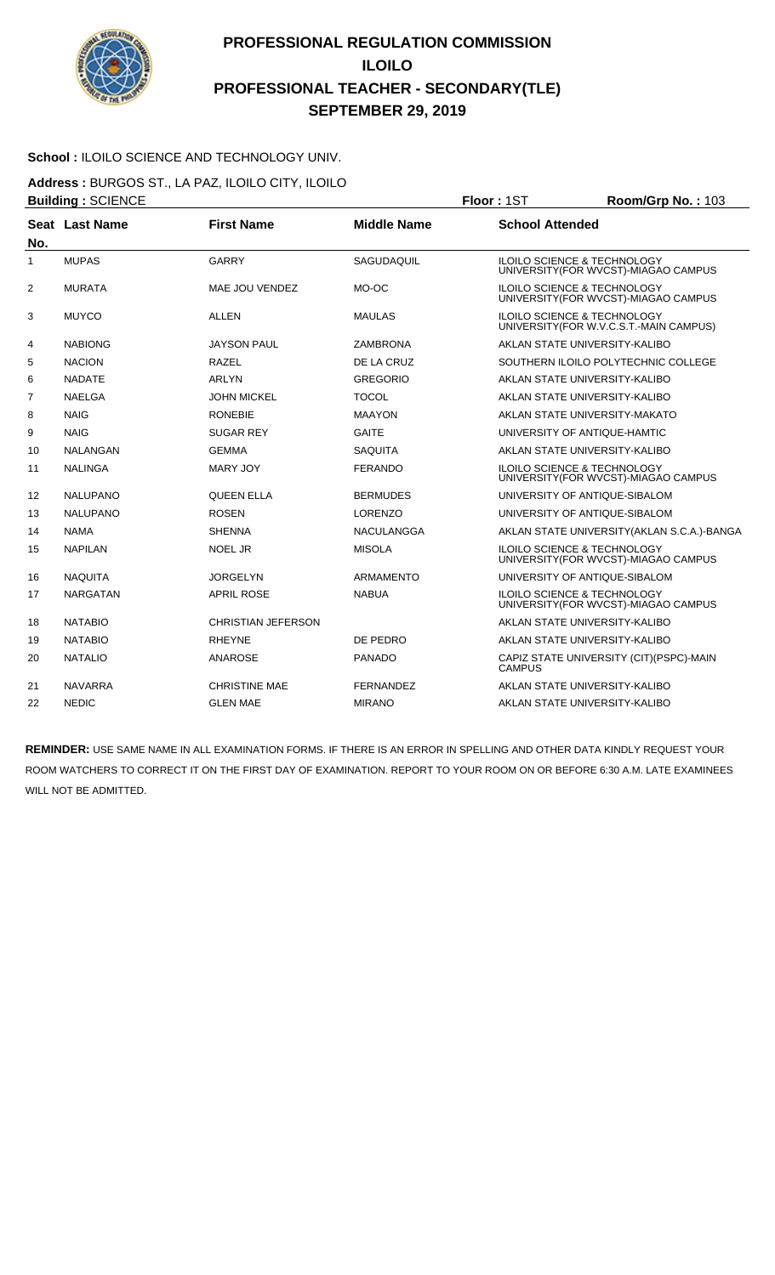

#### **School :** ILOILO SCIENCE AND TECHNOLOGY UNIV.

**Address :** BURGOS ST., LA PAZ, ILOILO CITY, ILOILO **Building :** SCIENCE **Floor :** 1ST **Room/Grp No. :** 103

| No.            | Seat Last Name  | <b>First Name</b>         | <b>Middle Name</b> | <b>School Attended</b>                                                            |
|----------------|-----------------|---------------------------|--------------------|-----------------------------------------------------------------------------------|
| $\mathbf{1}$   | <b>MUPAS</b>    | <b>GARRY</b>              | SAGUDAQUIL         | <b>ILOILO SCIENCE &amp; TECHNOLOGY</b><br>UNIVERSITY (FOR WVCST)-MIAGAO CAMPUS    |
| $\overline{2}$ | <b>MURATA</b>   | MAE JOU VENDEZ            | MO-OC              | <b>ILOILO SCIENCE &amp; TECHNOLOGY</b><br>UNIVERSITY (FOR WVCST)-MIAGAO CAMPUS    |
| 3              | <b>MUYCO</b>    | ALLEN                     | <b>MAULAS</b>      | <b>ILOILO SCIENCE &amp; TECHNOLOGY</b><br>UNIVERSITY (FOR W.V.C.S.T.-MAIN CAMPUS) |
| 4              | <b>NABIONG</b>  | <b>JAYSON PAUL</b>        | <b>ZAMBRONA</b>    | AKLAN STATE UNIVERSITY-KALIBO                                                     |
| 5              | <b>NACION</b>   | RAZEL                     | DE LA CRUZ         | SOUTHERN ILOILO POLYTECHNIC COLLEGE                                               |
| 6              | <b>NADATE</b>   | ARLYN                     | <b>GREGORIO</b>    | AKLAN STATE UNIVERSITY-KALIBO                                                     |
| 7              | <b>NAELGA</b>   | <b>JOHN MICKEL</b>        | <b>TOCOL</b>       | AKLAN STATE UNIVERSITY-KALIBO                                                     |
| 8              | <b>NAIG</b>     | <b>RONEBIE</b>            | <b>MAAYON</b>      | AKLAN STATE UNIVERSITY-MAKATO                                                     |
| 9              | <b>NAIG</b>     | <b>SUGAR REY</b>          | <b>GAITE</b>       | UNIVERSITY OF ANTIQUE-HAMTIC                                                      |
| 10             | NALANGAN        | <b>GEMMA</b>              | <b>SAQUITA</b>     | AKLAN STATE UNIVERSITY-KALIBO                                                     |
| 11             | <b>NALINGA</b>  | <b>MARY JOY</b>           | <b>FERANDO</b>     | <b>ILOILO SCIENCE &amp; TECHNOLOGY</b><br>UNIVERSITY (FOR WVCST)-MIAGAO CAMPUS    |
| 12             | <b>NALUPANO</b> | <b>QUEEN ELLA</b>         | <b>BERMUDES</b>    | UNIVERSITY OF ANTIQUE-SIBALOM                                                     |
| 13             | <b>NALUPANO</b> | <b>ROSEN</b>              | <b>LORENZO</b>     | UNIVERSITY OF ANTIQUE-SIBALOM                                                     |
| 14             | <b>NAMA</b>     | <b>SHENNA</b>             | <b>NACULANGGA</b>  | AKLAN STATE UNIVERSITY (AKLAN S.C.A.)-BANGA                                       |
| 15             | <b>NAPILAN</b>  | <b>NOEL JR</b>            | <b>MISOLA</b>      | <b>ILOILO SCIENCE &amp; TECHNOLOGY</b><br>UNIVERSITY (FOR WVCST)-MIAGAO CAMPUS    |
| 16             | <b>NAQUITA</b>  | <b>JORGELYN</b>           | ARMAMENTO          | UNIVERSITY OF ANTIQUE-SIBALOM                                                     |
| 17             | <b>NARGATAN</b> | <b>APRIL ROSE</b>         | <b>NABUA</b>       | <b>ILOILO SCIENCE &amp; TECHNOLOGY</b><br>UNIVERSITY (FOR WVCST)-MIAGAO CAMPUS    |
| 18             | <b>NATABIO</b>  | <b>CHRISTIAN JEFERSON</b> |                    | AKLAN STATE UNIVERSITY-KALIBO                                                     |
| 19             | <b>NATABIO</b>  | <b>RHEYNE</b>             | DE PEDRO           | AKLAN STATE UNIVERSITY-KALIBO                                                     |
| 20             | <b>NATALIO</b>  | <b>ANAROSE</b>            | <b>PANADO</b>      | CAPIZ STATE UNIVERSITY (CIT) (PSPC)-MAIN<br><b>CAMPUS</b>                         |
| 21             | <b>NAVARRA</b>  | <b>CHRISTINE MAE</b>      | FERNANDEZ          | AKLAN STATE UNIVERSITY-KALIBO                                                     |
| 22             | <b>NEDIC</b>    | <b>GLEN MAE</b>           | <b>MIRANO</b>      | AKLAN STATE UNIVERSITY-KALIBO                                                     |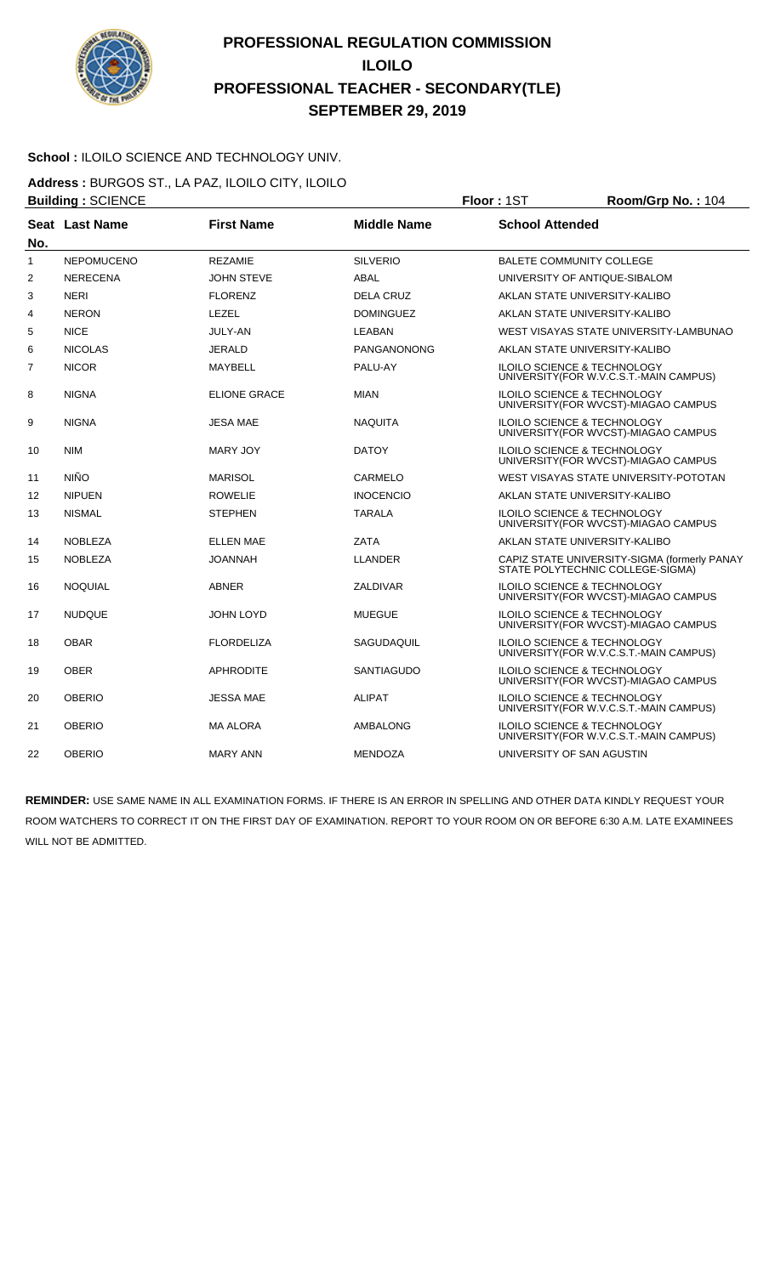

#### **School :** ILOILO SCIENCE AND TECHNOLOGY UNIV.

**Address :** BURGOS ST., LA PAZ, ILOILO CITY, ILOILO **Building :** SCIENCE **Floor :** 1ST **Room/Grp No. :** 104

| No. | Seat Last Name    | <b>First Name</b>   | <b>Middle Name</b> | <b>School Attended</b>                                                            |
|-----|-------------------|---------------------|--------------------|-----------------------------------------------------------------------------------|
| 1   | <b>NEPOMUCENO</b> | <b>REZAMIE</b>      | <b>SILVERIO</b>    | <b>BALETE COMMUNITY COLLEGE</b>                                                   |
| 2   | <b>NERECENA</b>   | <b>JOHN STEVE</b>   | ABAL               | UNIVERSITY OF ANTIQUE-SIBALOM                                                     |
| 3   | <b>NERI</b>       | <b>FLORENZ</b>      | <b>DELA CRUZ</b>   | AKLAN STATE UNIVERSITY-KALIBO                                                     |
| 4   | <b>NERON</b>      | LEZEL               | <b>DOMINGUEZ</b>   | AKLAN STATE UNIVERSITY-KALIBO                                                     |
| 5   | <b>NICE</b>       | <b>JULY-AN</b>      | LEABAN             | WEST VISAYAS STATE UNIVERSITY-LAMBUNAO                                            |
| 6   | <b>NICOLAS</b>    | <b>JERALD</b>       | PANGANONONG        | AKLAN STATE UNIVERSITY-KALIBO                                                     |
| 7   | <b>NICOR</b>      | MAYBELL             | PALU-AY            | <b>ILOILO SCIENCE &amp; TECHNOLOGY</b><br>UNIVERSITY (FOR W.V.C.S.T.-MAIN CAMPUS) |
| 8   | <b>NIGNA</b>      | <b>ELIONE GRACE</b> | <b>MIAN</b>        | <b>ILOILO SCIENCE &amp; TECHNOLOGY</b><br>UNIVERSITY (FOR WVCST)-MIAGAO CAMPUS    |
| 9   | <b>NIGNA</b>      | <b>JESA MAE</b>     | <b>NAQUITA</b>     | ILOILO SCIENCE & TECHNOLOGY<br>UNIVERSITY (FOR WVCST)-MIAGAO CAMPUS               |
| 10  | <b>NIM</b>        | <b>MARY JOY</b>     | <b>DATOY</b>       | ILOILO SCIENCE & TECHNOLOGY<br>UNIVERSITY (FOR WVCST)-MIAGAO CAMPUS               |
| 11  | <b>NIÑO</b>       | <b>MARISOL</b>      | CARMELO            | WEST VISAYAS STATE UNIVERSITY-POTOTAN                                             |
| 12  | <b>NIPUEN</b>     | <b>ROWELIE</b>      | <b>INOCENCIO</b>   | AKLAN STATE UNIVERSITY-KALIBO                                                     |
| 13  | <b>NISMAL</b>     | <b>STEPHEN</b>      | <b>TARALA</b>      | ILOILO SCIENCE & TECHNOLOGY<br>UNIVERSITY (FOR WVCST)-MIAGAO CAMPUS               |
| 14  | <b>NOBLEZA</b>    | <b>ELLEN MAE</b>    | ZATA               | AKLAN STATE UNIVERSITY-KALIBO                                                     |
| 15  | <b>NOBLEZA</b>    | <b>JOANNAH</b>      | <b>LLANDER</b>     | CAPIZ STATE UNIVERSITY-SIGMA (formerly PANAY<br>STATE POLYTECHNIC COLLEGE-SIGMA)  |
| 16  | <b>NOQUIAL</b>    | <b>ABNER</b>        | ZALDIVAR           | <b>ILOILO SCIENCE &amp; TECHNOLOGY</b><br>UNIVERSITY (FOR WVCST)-MIAGAO CAMPUS    |
| 17  | <b>NUDQUE</b>     | JOHN LOYD           | <b>MUEGUE</b>      | ILOILO SCIENCE & TECHNOLOGY<br>UNIVERSITY(FOR WVCST)-MIAGAO CAMPUS                |
| 18  | <b>OBAR</b>       | <b>FLORDELIZA</b>   | SAGUDAQUIL         | ILOILO SCIENCE & TECHNOLOGY<br>UNIVERSITY (FOR W.V.C.S.T.-MAIN CAMPUS)            |
| 19  | <b>OBER</b>       | <b>APHRODITE</b>    | <b>SANTIAGUDO</b>  | ILOILO SCIENCE & TECHNOLOGY<br>UNIVERSITY (FOR WVCST)-MIAGAO CAMPUS               |
| 20  | <b>OBERIO</b>     | <b>JESSA MAE</b>    | <b>ALIPAT</b>      | ILOILO SCIENCE & TECHNOLOGY<br>UNIVERSITY (FOR W.V.C.S.T.-MAIN CAMPUS)            |
| 21  | <b>OBERIO</b>     | MA ALORA            | AMBALONG           | ILOILO SCIENCE & TECHNOLOGY<br>UNIVERSITY(FOR W.V.C.S.T.-MAIN CAMPUS)             |
| 22  | <b>OBERIO</b>     | <b>MARY ANN</b>     | <b>MENDOZA</b>     | UNIVERSITY OF SAN AGUSTIN                                                         |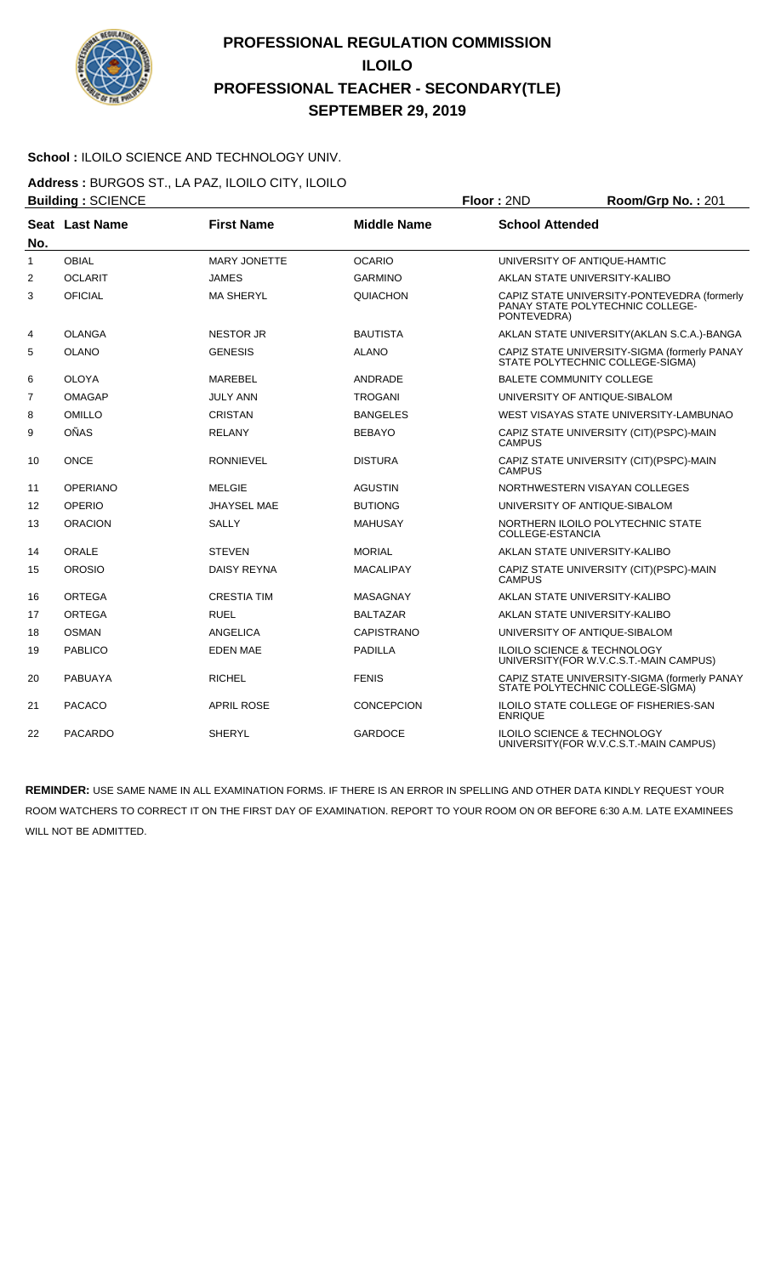

#### School : ILOILO SCIENCE AND TECHNOLOGY UNIV.

**Address :** BURGOS ST., LA PAZ, ILOILO CITY, ILOILO **Building :** SCIENCE **Floor :** 2ND **Room/Grp No. :** 201

| No.            | Seat Last Name  | <b>First Name</b>   | <b>Middle Name</b> | <b>School Attended</b>                                                                         |
|----------------|-----------------|---------------------|--------------------|------------------------------------------------------------------------------------------------|
| $\mathbf{1}$   | <b>OBIAL</b>    | <b>MARY JONETTE</b> | <b>OCARIO</b>      | UNIVERSITY OF ANTIQUE-HAMTIC                                                                   |
| $\overline{2}$ | <b>OCLARIT</b>  | JAMES               | <b>GARMINO</b>     | AKLAN STATE UNIVERSITY-KALIBO                                                                  |
| 3              | <b>OFICIAL</b>  | <b>MA SHERYL</b>    | <b>QUIACHON</b>    | CAPIZ STATE UNIVERSITY-PONTEVEDRA (formerly<br>PANAY STATE POLYTECHNIC COLLEGE-<br>PONTEVEDRA) |
| 4              | <b>OLANGA</b>   | <b>NESTOR JR</b>    | <b>BAUTISTA</b>    | AKLAN STATE UNIVERSITY (AKLAN S.C.A.)-BANGA                                                    |
| 5              | <b>OLANO</b>    | <b>GENESIS</b>      | <b>ALANO</b>       | CAPIZ STATE UNIVERSITY-SIGMA (formerly PANAY<br>STATE POLYTECHNIC COLLEGE-SIGMA)               |
| 6              | <b>OLOYA</b>    | <b>MAREBEL</b>      | ANDRADE            | <b>BALETE COMMUNITY COLLEGE</b>                                                                |
| $\overline{7}$ | <b>OMAGAP</b>   | <b>JULY ANN</b>     | <b>TROGANI</b>     | UNIVERSITY OF ANTIQUE-SIBALOM                                                                  |
| 8              | <b>OMILLO</b>   | <b>CRISTAN</b>      | <b>BANGELES</b>    | WEST VISAYAS STATE UNIVERSITY-LAMBUNAO                                                         |
| 9              | <b>OÑAS</b>     | <b>RELANY</b>       | <b>BEBAYO</b>      | CAPIZ STATE UNIVERSITY (CIT)(PSPC)-MAIN<br><b>CAMPUS</b>                                       |
| 10             | <b>ONCE</b>     | <b>RONNIEVEL</b>    | <b>DISTURA</b>     | CAPIZ STATE UNIVERSITY (CIT)(PSPC)-MAIN<br><b>CAMPUS</b>                                       |
| 11             | <b>OPERIANO</b> | <b>MELGIE</b>       | AGUSTIN            | NORTHWESTERN VISAYAN COLLEGES                                                                  |
| 12             | OPERIO          | JHAYSEL MAE         | <b>BUTIONG</b>     | UNIVERSITY OF ANTIQUE-SIBALOM                                                                  |
| 13             | <b>ORACION</b>  | <b>SALLY</b>        | <b>MAHUSAY</b>     | NORTHERN ILOILO POLYTECHNIC STATE<br>COLLEGE-ESTANCIA                                          |
| 14             | ORALE           | <b>STEVEN</b>       | <b>MORIAL</b>      | AKLAN STATE UNIVERSITY-KALIBO                                                                  |
| 15             | <b>OROSIO</b>   | <b>DAISY REYNA</b>  | <b>MACALIPAY</b>   | CAPIZ STATE UNIVERSITY (CIT) (PSPC)-MAIN<br><b>CAMPUS</b>                                      |
| 16             | <b>ORTEGA</b>   | <b>CRESTIA TIM</b>  | <b>MASAGNAY</b>    | AKLAN STATE UNIVERSITY-KALIBO                                                                  |
| 17             | <b>ORTEGA</b>   | <b>RUEL</b>         | <b>BALTAZAR</b>    | AKLAN STATE UNIVERSITY-KALIBO                                                                  |
| 18             | <b>OSMAN</b>    | ANGELICA            | <b>CAPISTRANO</b>  | UNIVERSITY OF ANTIQUE-SIBALOM                                                                  |
| 19             | <b>PABLICO</b>  | <b>EDEN MAE</b>     | <b>PADILLA</b>     | <b>ILOILO SCIENCE &amp; TECHNOLOGY</b><br>UNIVERSITY (FOR W.V.C.S.T.-MAIN CAMPUS)              |
| 20             | <b>PABUAYA</b>  | <b>RICHEL</b>       | <b>FENIS</b>       | CAPIZ STATE UNIVERSITY-SIGMA (formerly PANAY<br>STATE POLYTECHNIC COLLEGE-SIGMA)               |
| 21             | <b>PACACO</b>   | <b>APRIL ROSE</b>   | <b>CONCEPCION</b>  | ILOILO STATE COLLEGE OF FISHERIES-SAN<br><b>ENRIQUE</b>                                        |
| 22             | <b>PACARDO</b>  | <b>SHERYL</b>       | <b>GARDOCE</b>     | <b>ILOILO SCIENCE &amp; TECHNOLOGY</b><br>UNIVERSITY (FOR W.V.C.S.T.-MAIN CAMPUS)              |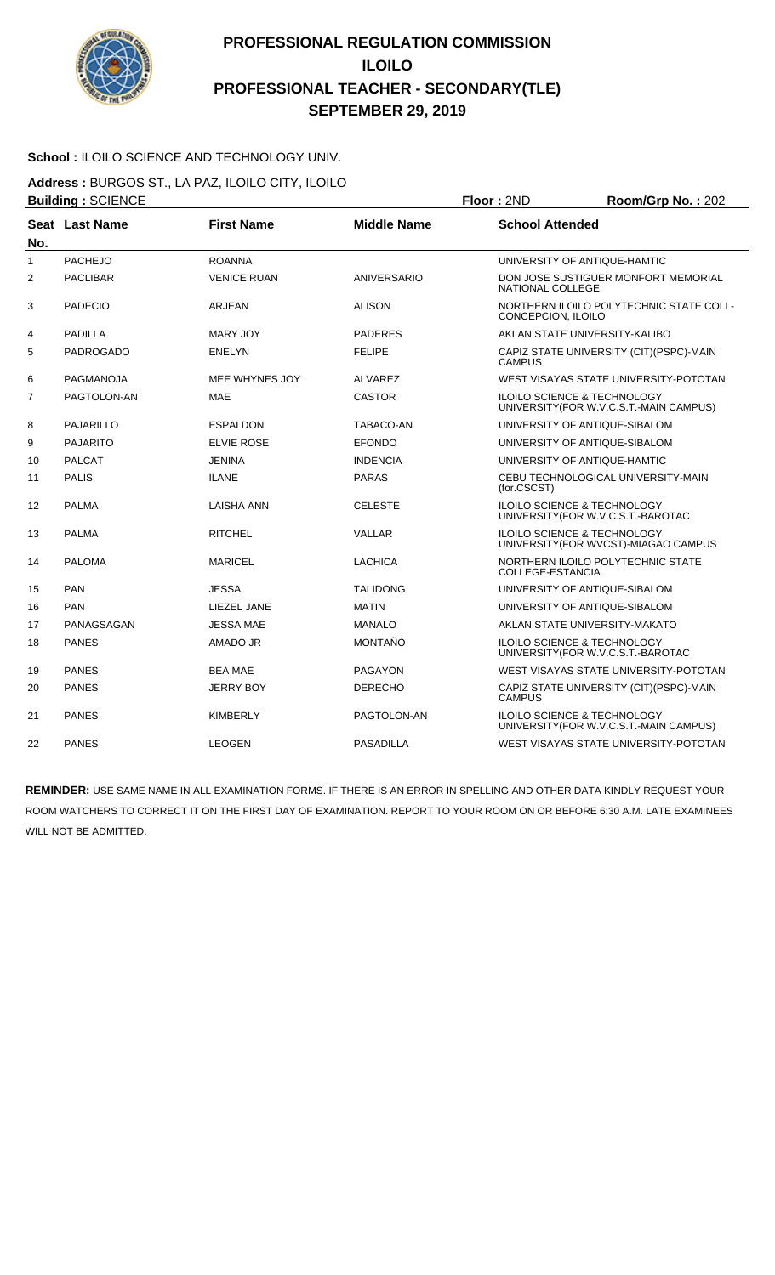

#### School : ILOILO SCIENCE AND TECHNOLOGY UNIV.

**Address :** BURGOS ST., LA PAZ, ILOILO CITY, ILOILO **Building :** SCIENCE **Floor :** 2ND **Room/Grp No. :** 202

|                |                  |                    |                    | .                                                                                 |
|----------------|------------------|--------------------|--------------------|-----------------------------------------------------------------------------------|
| No.            | Seat Last Name   | <b>First Name</b>  | <b>Middle Name</b> | <b>School Attended</b>                                                            |
| 1              | <b>PACHEJO</b>   | <b>ROANNA</b>      |                    | UNIVERSITY OF ANTIQUE-HAMTIC                                                      |
| $\overline{2}$ | <b>PACLIBAR</b>  | <b>VENICE RUAN</b> | ANIVERSARIO        | DON JOSE SUSTIGUER MONFORT MEMORIAL<br>NATIONAL COLLEGE                           |
| 3              | <b>PADECIO</b>   | ARJEAN             | <b>ALISON</b>      | NORTHERN ILOILO POLYTECHNIC STATE COLL-<br>CONCEPCION, ILOILO                     |
| 4              | <b>PADILLA</b>   | MARY JOY           | <b>PADERES</b>     | AKLAN STATE UNIVERSITY-KALIBO                                                     |
| 5              | <b>PADROGADO</b> | <b>ENELYN</b>      | <b>FELIPE</b>      | CAPIZ STATE UNIVERSITY (CIT)(PSPC)-MAIN<br><b>CAMPUS</b>                          |
| 6              | PAGMANOJA        | MEE WHYNES JOY     | <b>ALVAREZ</b>     | WEST VISAYAS STATE UNIVERSITY-POTOTAN                                             |
| $\overline{7}$ | PAGTOLON-AN      | <b>MAE</b>         | <b>CASTOR</b>      | <b>ILOILO SCIENCE &amp; TECHNOLOGY</b><br>UNIVERSITY (FOR W.V.C.S.T.-MAIN CAMPUS) |
| 8              | <b>PAJARILLO</b> | <b>ESPALDON</b>    | TABACO-AN          | UNIVERSITY OF ANTIQUE-SIBALOM                                                     |
| 9              | <b>PAJARITO</b>  | <b>ELVIE ROSE</b>  | <b>EFONDO</b>      | UNIVERSITY OF ANTIQUE-SIBALOM                                                     |
| 10             | <b>PALCAT</b>    | JENINA             | <b>INDENCIA</b>    | UNIVERSITY OF ANTIQUE-HAMTIC                                                      |
| 11             | <b>PALIS</b>     | <b>ILANE</b>       | <b>PARAS</b>       | CEBU TECHNOLOGICAL UNIVERSITY-MAIN<br>(for.CSCST)                                 |
| 12             | <b>PALMA</b>     | <b>LAISHA ANN</b>  | <b>CELESTE</b>     | <b>ILOILO SCIENCE &amp; TECHNOLOGY</b><br>UNIVERSITY (FOR W.V.C.S.T.-BAROTAC      |
| 13             | <b>PALMA</b>     | <b>RITCHEL</b>     | <b>VALLAR</b>      | ILOILO SCIENCE & TECHNOLOGY<br>UNIVERSITY(FOR WVCST)-MIAGAO CAMPUS                |
| 14             | <b>PALOMA</b>    | <b>MARICEL</b>     | <b>LACHICA</b>     | NORTHERN ILOILO POLYTECHNIC STATE<br>COLLEGE-ESTANCIA                             |
| 15             | PAN              | <b>JESSA</b>       | <b>TALIDONG</b>    | UNIVERSITY OF ANTIQUE-SIBALOM                                                     |
| 16             | <b>PAN</b>       | LIEZEL JANE        | <b>MATIN</b>       | UNIVERSITY OF ANTIQUE-SIBALOM                                                     |
| 17             | PANAGSAGAN       | <b>JESSA MAE</b>   | <b>MANALO</b>      | AKLAN STATE UNIVERSITY-MAKATO                                                     |
| 18             | <b>PANES</b>     | AMADO JR           | <b>MONTAÑO</b>     | <b>ILOILO SCIENCE &amp; TECHNOLOGY</b><br>UNIVERSITY (FOR W.V.C.S.T.-BAROTAC      |
| 19             | <b>PANES</b>     | <b>BEA MAE</b>     | <b>PAGAYON</b>     | WEST VISAYAS STATE UNIVERSITY-POTOTAN                                             |
| 20             | <b>PANES</b>     | <b>JERRY BOY</b>   | <b>DERECHO</b>     | CAPIZ STATE UNIVERSITY (CIT) (PSPC)-MAIN<br><b>CAMPUS</b>                         |
| 21             | <b>PANES</b>     | <b>KIMBERLY</b>    | PAGTOLON-AN        | <b>ILOILO SCIENCE &amp; TECHNOLOGY</b><br>UNIVERSITY (FOR W.V.C.S.T.-MAIN CAMPUS) |
| 22             | <b>PANES</b>     | <b>LEOGEN</b>      | <b>PASADILLA</b>   | WEST VISAYAS STATE UNIVERSITY-POTOTAN                                             |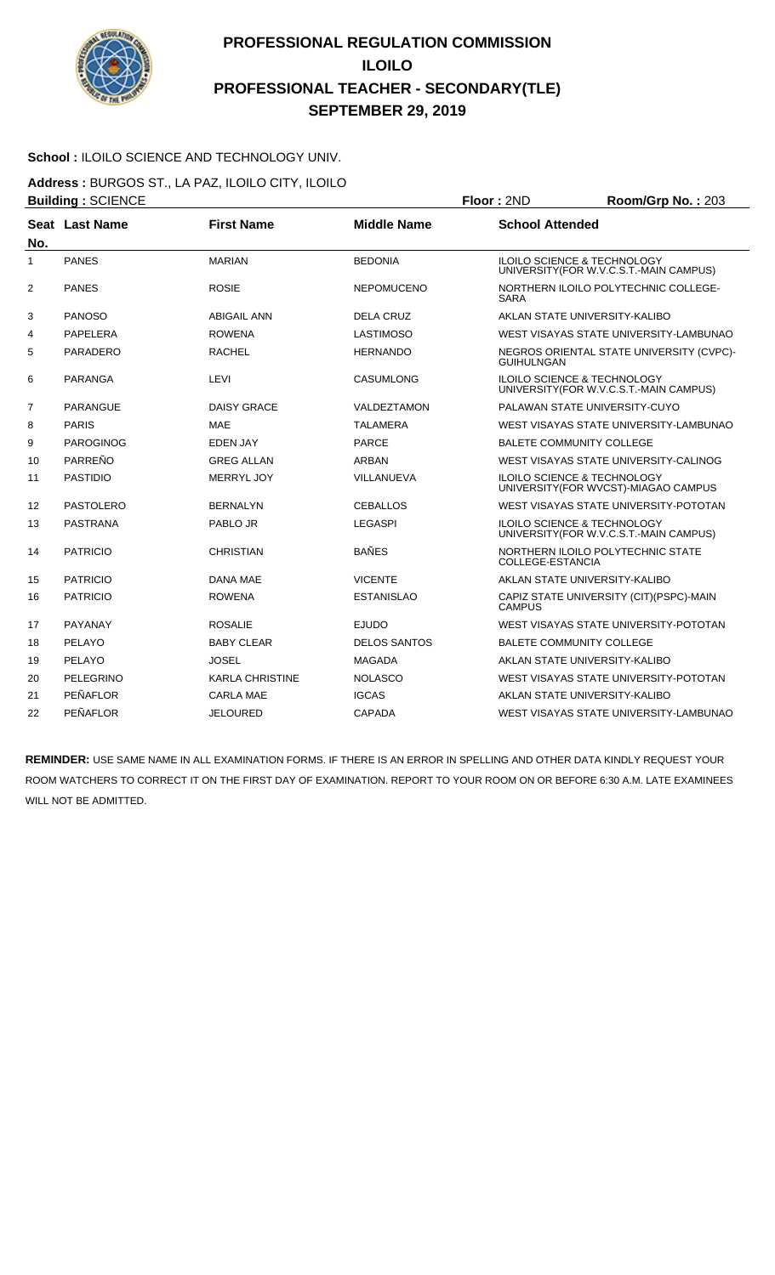

#### School : ILOILO SCIENCE AND TECHNOLOGY UNIV.

**Address :** BURGOS ST., LA PAZ, ILOILO CITY, ILOILO **Building :** SCIENCE **Floor :** 2ND **Room/Grp No. :** 203

| No.            | Seat Last Name   | <b>First Name</b>      | <b>Middle Name</b>  | <b>School Attended</b>                                                            |  |
|----------------|------------------|------------------------|---------------------|-----------------------------------------------------------------------------------|--|
| 1              | <b>PANES</b>     | <b>MARIAN</b>          | <b>BEDONIA</b>      | <b>ILOILO SCIENCE &amp; TECHNOLOGY</b><br>UNIVERSITY (FOR W.V.C.S.T.-MAIN CAMPUS) |  |
| 2              | <b>PANES</b>     | <b>ROSIE</b>           | <b>NEPOMUCENO</b>   | NORTHERN ILOILO POLYTECHNIC COLLEGE-<br><b>SARA</b>                               |  |
| 3              | <b>PANOSO</b>    | <b>ABIGAIL ANN</b>     | <b>DELA CRUZ</b>    | AKLAN STATE UNIVERSITY-KALIBO                                                     |  |
| 4              | PAPELERA         | <b>ROWENA</b>          | <b>LASTIMOSO</b>    | WEST VISAYAS STATE UNIVERSITY-LAMBUNAO                                            |  |
| 5              | <b>PARADERO</b>  | <b>RACHEL</b>          | <b>HERNANDO</b>     | NEGROS ORIENTAL STATE UNIVERSITY (CVPC)-<br><b>GUIHULNGAN</b>                     |  |
| 6              | <b>PARANGA</b>   | LEVI                   | <b>CASUMLONG</b>    | <b>ILOILO SCIENCE &amp; TECHNOLOGY</b><br>UNIVERSITY(FOR W.V.C.S.T.-MAIN CAMPUS)  |  |
| $\overline{7}$ | <b>PARANGUE</b>  | <b>DAISY GRACE</b>     | VALDEZTAMON         | PALAWAN STATE UNIVERSITY-CUYO                                                     |  |
| 8              | <b>PARIS</b>     | <b>MAE</b>             | <b>TALAMERA</b>     | WEST VISAYAS STATE UNIVERSITY-LAMBUNAO                                            |  |
| 9              | <b>PAROGINOG</b> | <b>EDEN JAY</b>        | <b>PARCE</b>        | <b>BALETE COMMUNITY COLLEGE</b>                                                   |  |
| 10             | PARREÑO          | <b>GREG ALLAN</b>      | ARBAN               | WEST VISAYAS STATE UNIVERSITY-CALINOG                                             |  |
| 11             | <b>PASTIDIO</b>  | MERRYL JOY             | VILLANUEVA          | <b>ILOILO SCIENCE &amp; TECHNOLOGY</b><br>UNIVERSITY (FOR WVCST)-MIAGAO CAMPUS    |  |
| 12             | PASTOLERO        | <b>BERNALYN</b>        | <b>CEBALLOS</b>     | WEST VISAYAS STATE UNIVERSITY-POTOTAN                                             |  |
| 13             | <b>PASTRANA</b>  | PABLO JR               | <b>LEGASPI</b>      | <b>ILOILO SCIENCE &amp; TECHNOLOGY</b><br>UNIVERSITY (FOR W.V.C.S.T.-MAIN CAMPUS) |  |
| 14             | <b>PATRICIO</b>  | <b>CHRISTIAN</b>       | <b>BAÑES</b>        | NORTHERN ILOILO POLYTECHNIC STATE<br>COLLEGE-ESTANCIA                             |  |
| 15             | <b>PATRICIO</b>  | DANA MAE               | <b>VICENTE</b>      | AKLAN STATE UNIVERSITY-KALIBO                                                     |  |
| 16             | <b>PATRICIO</b>  | <b>ROWENA</b>          | <b>ESTANISLAO</b>   | CAPIZ STATE UNIVERSITY (CIT) (PSPC)-MAIN<br><b>CAMPUS</b>                         |  |
| 17             | PAYANAY          | <b>ROSALIE</b>         | <b>EJUDO</b>        | WEST VISAYAS STATE UNIVERSITY-POTOTAN                                             |  |
| 18             | PELAYO           | <b>BABY CLEAR</b>      | <b>DELOS SANTOS</b> | <b>BALETE COMMUNITY COLLEGE</b>                                                   |  |
| 19             | PELAYO           | <b>JOSEL</b>           | <b>MAGADA</b>       | AKLAN STATE UNIVERSITY-KALIBO                                                     |  |
| 20             | <b>PELEGRINO</b> | <b>KARLA CHRISTINE</b> | <b>NOLASCO</b>      | WEST VISAYAS STATE UNIVERSITY-POTOTAN                                             |  |
| 21             | PEÑAFLOR         | <b>CARLA MAE</b>       | <b>IGCAS</b>        | AKLAN STATE UNIVERSITY-KALIBO                                                     |  |
| 22             | PEÑAFLOR         | <b>JELOURED</b>        | CAPADA              | WEST VISAYAS STATE UNIVERSITY-LAMBUNAO                                            |  |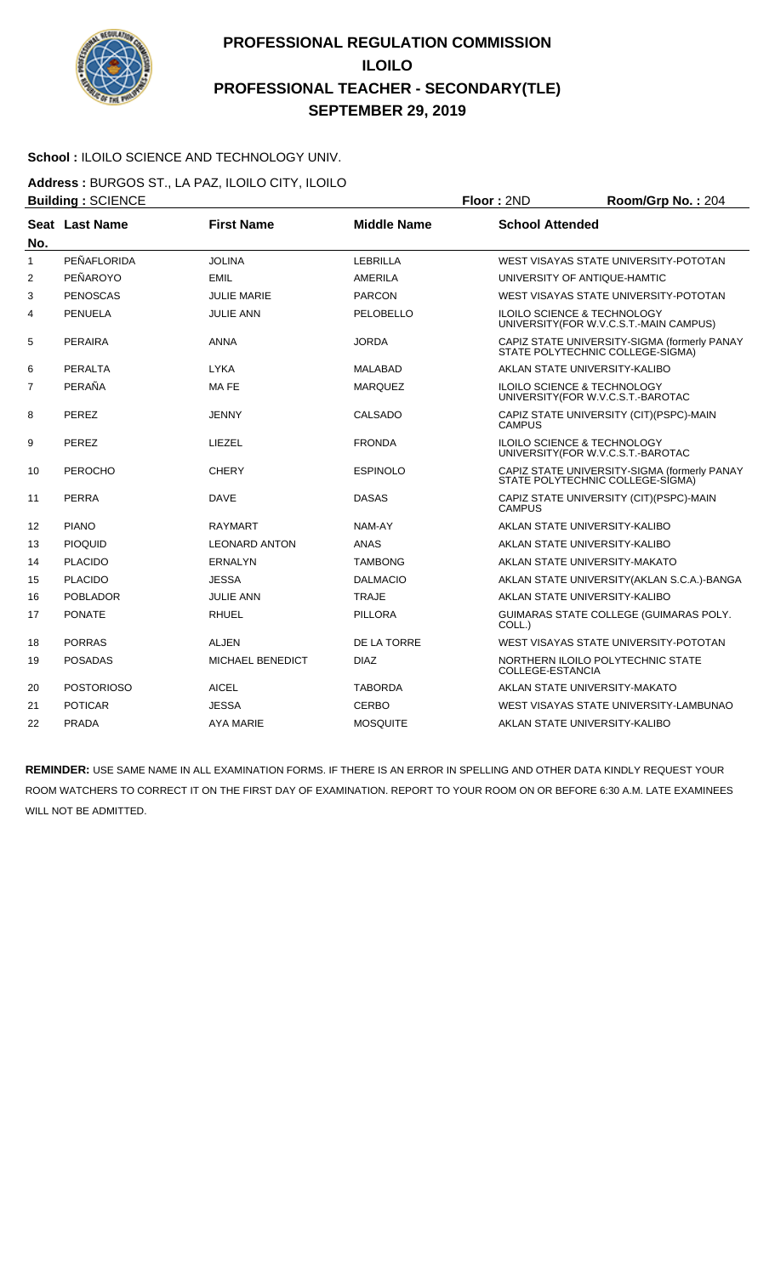

#### School : ILOILO SCIENCE AND TECHNOLOGY UNIV.

**Address :** BURGOS ST., LA PAZ, ILOILO CITY, ILOILO **Building :** SCIENCE **Floor :** 2ND **Room/Grp No. :** 204

| No.            | Seat Last Name    | <b>First Name</b>       | <b>Middle Name</b> | <b>School Attended</b>                                                            |  |
|----------------|-------------------|-------------------------|--------------------|-----------------------------------------------------------------------------------|--|
| 1              | PEÑAFLORIDA       | <b>JOLINA</b>           | LEBRILLA           | WEST VISAYAS STATE UNIVERSITY-POTOTAN                                             |  |
| $\overline{2}$ | PEÑAROYO          | <b>EMIL</b>             | <b>AMERILA</b>     | UNIVERSITY OF ANTIQUE-HAMTIC                                                      |  |
| 3              | <b>PENOSCAS</b>   | <b>JULIE MARIE</b>      | <b>PARCON</b>      | WEST VISAYAS STATE UNIVERSITY-POTOTAN                                             |  |
| 4              | PENUELA           | <b>JULIE ANN</b>        | PELOBELLO          | <b>ILOILO SCIENCE &amp; TECHNOLOGY</b><br>UNIVERSITY (FOR W.V.C.S.T.-MAIN CAMPUS) |  |
| 5              | <b>PERAIRA</b>    | <b>ANNA</b>             | <b>JORDA</b>       | CAPIZ STATE UNIVERSITY-SIGMA (formerly PANAY<br>STATE POLYTECHNIC COLLEGE-SIGMA)  |  |
| 6              | <b>PERALTA</b>    | <b>LYKA</b>             | <b>MALABAD</b>     | AKLAN STATE UNIVERSITY-KALIBO                                                     |  |
| $\overline{7}$ | PERAÑA            | MA FE                   | <b>MARQUEZ</b>     | <b>ILOILO SCIENCE &amp; TECHNOLOGY</b><br>UNIVERSITY(FOR W.V.C.S.T.-BAROTAC       |  |
| 8              | <b>PEREZ</b>      | <b>JENNY</b>            | <b>CALSADO</b>     | CAPIZ STATE UNIVERSITY (CIT)(PSPC)-MAIN<br><b>CAMPUS</b>                          |  |
| 9              | PEREZ             | LIEZEL                  | <b>FRONDA</b>      | <b>ILOILO SCIENCE &amp; TECHNOLOGY</b><br>UNIVERSITY (FOR W.V.C.S.T.-BAROTAC      |  |
| 10             | <b>PEROCHO</b>    | <b>CHERY</b>            | <b>ESPINOLO</b>    | CAPIZ STATE UNIVERSITY-SIGMA (formerly PANAY<br>STATE POLYTECHNIC COLLEGE-SIGMA)  |  |
| 11             | <b>PERRA</b>      | <b>DAVE</b>             | <b>DASAS</b>       | CAPIZ STATE UNIVERSITY (CIT) (PSPC)-MAIN<br><b>CAMPUS</b>                         |  |
| 12             | <b>PIANO</b>      | <b>RAYMART</b>          | NAM-AY             | AKLAN STATE UNIVERSITY-KALIBO                                                     |  |
| 13             | <b>PIOQUID</b>    | <b>LEONARD ANTON</b>    | <b>ANAS</b>        | AKLAN STATE UNIVERSITY-KALIBO                                                     |  |
| 14             | <b>PLACIDO</b>    | <b>ERNALYN</b>          | <b>TAMBONG</b>     | AKLAN STATE UNIVERSITY-MAKATO                                                     |  |
| 15             | <b>PLACIDO</b>    | <b>JESSA</b>            | <b>DALMACIO</b>    | AKLAN STATE UNIVERSITY (AKLAN S.C.A.)-BANGA                                       |  |
| 16             | <b>POBLADOR</b>   | <b>JULIE ANN</b>        | <b>TRAJE</b>       | AKLAN STATE UNIVERSITY-KALIBO                                                     |  |
| 17             | <b>PONATE</b>     | <b>RHUEL</b>            | <b>PILLORA</b>     | GUIMARAS STATE COLLEGE (GUIMARAS POLY.<br>COLL.)                                  |  |
| 18             | <b>PORRAS</b>     | <b>ALJEN</b>            | DE LA TORRE        | WEST VISAYAS STATE UNIVERSITY-POTOTAN                                             |  |
| 19             | <b>POSADAS</b>    | <b>MICHAEL BENEDICT</b> | <b>DIAZ</b>        | NORTHERN ILOILO POLYTECHNIC STATE<br>COLLEGE-ESTANCIA                             |  |
| 20             | <b>POSTORIOSO</b> | <b>AICEL</b>            | <b>TABORDA</b>     | AKLAN STATE UNIVERSITY-MAKATO                                                     |  |
| 21             | <b>POTICAR</b>    | <b>JESSA</b>            | <b>CERBO</b>       | WEST VISAYAS STATE UNIVERSITY-LAMBUNAO                                            |  |
| 22             | <b>PRADA</b>      | <b>AYA MARIE</b>        | <b>MOSQUITE</b>    | AKLAN STATE UNIVERSITY-KALIBO                                                     |  |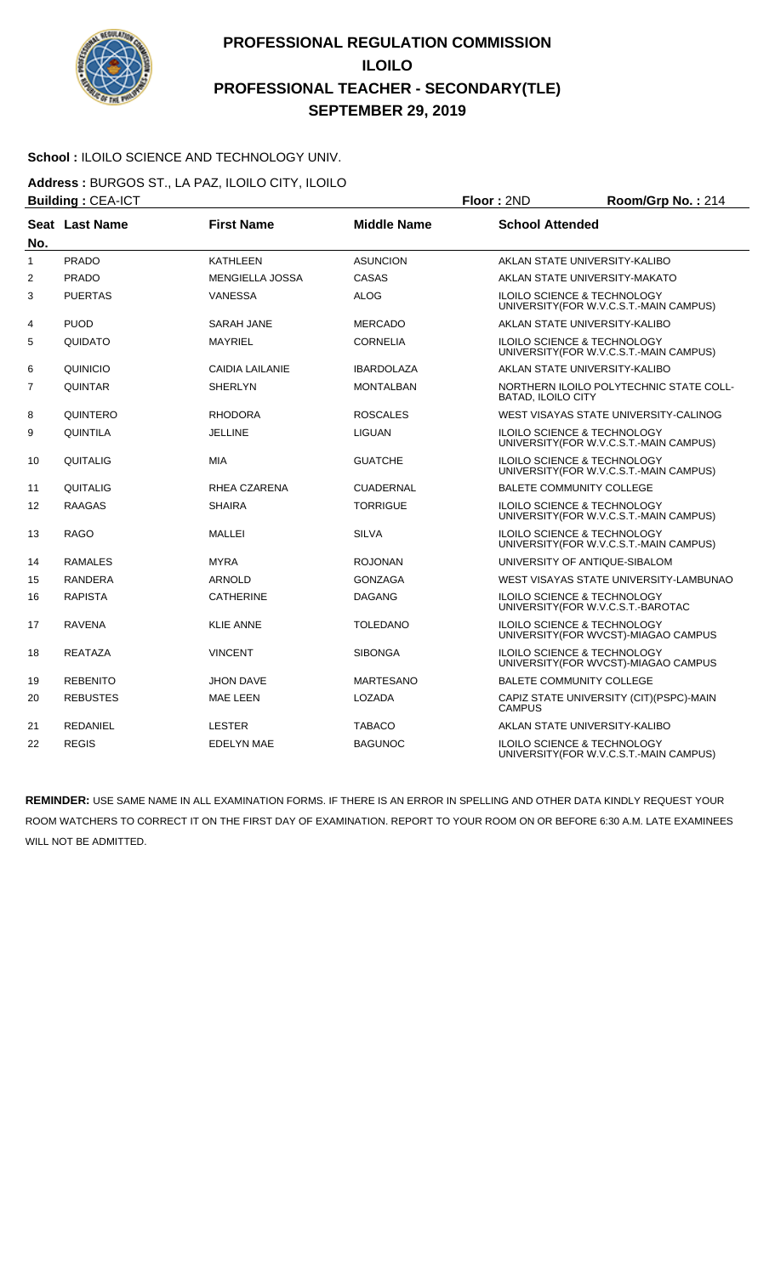

#### School : ILOILO SCIENCE AND TECHNOLOGY UNIV.

**Address :** BURGOS ST., LA PAZ, ILOILO CITY, ILOILO **Building : CEA-ICT Floor : 2ND Room/Grp No. : 214** 

| No.               | Seat Last Name  | <b>First Name</b>      | <b>Middle Name</b> | <b>School Attended</b>                                                            |
|-------------------|-----------------|------------------------|--------------------|-----------------------------------------------------------------------------------|
| 1                 | <b>PRADO</b>    | <b>KATHLEEN</b>        | <b>ASUNCION</b>    | AKLAN STATE UNIVERSITY-KALIBO                                                     |
| 2                 | <b>PRADO</b>    | <b>MENGIELLA JOSSA</b> | CASAS              | AKLAN STATE UNIVERSITY-MAKATO                                                     |
| 3                 | <b>PUERTAS</b>  | <b>VANESSA</b>         | ALOG               | ILOILO SCIENCE & TECHNOLOGY<br>UNIVERSITY (FOR W.V.C.S.T.-MAIN CAMPUS)            |
| 4                 | <b>PUOD</b>     | SARAH JANE             | <b>MERCADO</b>     | AKLAN STATE UNIVERSITY-KALIBO                                                     |
| 5                 | QUIDATO         | <b>MAYRIEL</b>         | <b>CORNELIA</b>    | ILOILO SCIENCE & TECHNOLOGY<br>UNIVERSITY (FOR W.V.C.S.T.-MAIN CAMPUS)            |
| 6                 | QUINICIO        | CAIDIA LAILANIE        | <b>IBARDOLAZA</b>  | AKLAN STATE UNIVERSITY-KALIBO                                                     |
| $\overline{7}$    | <b>QUINTAR</b>  | <b>SHERLYN</b>         | <b>MONTALBAN</b>   | NORTHERN ILOILO POLYTECHNIC STATE COLL-<br><b>BATAD, ILOILO CITY</b>              |
| 8                 | QUINTERO        | <b>RHODORA</b>         | <b>ROSCALES</b>    | WEST VISAYAS STATE UNIVERSITY-CALINOG                                             |
| 9                 | QUINTILA        | <b>JELLINE</b>         | <b>LIGUAN</b>      | ILOILO SCIENCE & TECHNOLOGY<br>UNIVERSITY (FOR W.V.C.S.T.-MAIN CAMPUS)            |
| 10                | QUITALIG        | <b>MIA</b>             | <b>GUATCHE</b>     | ILOILO SCIENCE & TECHNOLOGY<br>UNIVERSITY (FOR W.V.C.S.T.-MAIN CAMPUS)            |
| 11                | QUITALIG        | RHEA CZARENA           | <b>CUADERNAL</b>   | <b>BALETE COMMUNITY COLLEGE</b>                                                   |
| $12 \overline{ }$ | <b>RAAGAS</b>   | <b>SHAIRA</b>          | <b>TORRIGUE</b>    | <b>ILOILO SCIENCE &amp; TECHNOLOGY</b><br>UNIVERSITY(FOR W.V.C.S.T.-MAIN CAMPUS)  |
| 13                | <b>RAGO</b>     | MALLEI                 | <b>SILVA</b>       | <b>ILOILO SCIENCE &amp; TECHNOLOGY</b><br>UNIVERSITY (FOR W.V.C.S.T.-MAIN CAMPUS) |
| 14                | <b>RAMALES</b>  | <b>MYRA</b>            | <b>ROJONAN</b>     | UNIVERSITY OF ANTIQUE-SIBALOM                                                     |
| 15                | <b>RANDERA</b>  | <b>ARNOLD</b>          | <b>GONZAGA</b>     | WEST VISAYAS STATE UNIVERSITY-LAMBUNAO                                            |
| 16                | <b>RAPISTA</b>  | <b>CATHERINE</b>       | <b>DAGANG</b>      | <b>ILOILO SCIENCE &amp; TECHNOLOGY</b><br>UNIVERSITY(FOR W.V.C.S.T.-BAROTAC       |
| 17                | <b>RAVENA</b>   | <b>KLIE ANNE</b>       | <b>TOLEDANO</b>    | <b>ILOILO SCIENCE &amp; TECHNOLOGY</b><br>UNIVERSITY(FOR WVCST)-MIAGAO CAMPUS     |
| 18                | <b>REATAZA</b>  | <b>VINCENT</b>         | <b>SIBONGA</b>     | <b>ILOILO SCIENCE &amp; TECHNOLOGY</b><br>UNIVERSITY (FOR WVCST)-MIAGAO CAMPUS    |
| 19                | <b>REBENITO</b> | <b>JHON DAVE</b>       | <b>MARTESANO</b>   | <b>BALETE COMMUNITY COLLEGE</b>                                                   |
| 20                | <b>REBUSTES</b> | <b>MAE LEEN</b>        | <b>LOZADA</b>      | CAPIZ STATE UNIVERSITY (CIT)(PSPC)-MAIN<br><b>CAMPUS</b>                          |
| 21                | <b>REDANIEL</b> | <b>LESTER</b>          | <b>TABACO</b>      | AKLAN STATE UNIVERSITY-KALIBO                                                     |
| 22                | <b>REGIS</b>    | <b>EDELYN MAE</b>      | <b>BAGUNOC</b>     | <b>ILOILO SCIENCE &amp; TECHNOLOGY</b><br>UNIVERSITY(FOR W.V.C.S.T.-MAIN CAMPUS)  |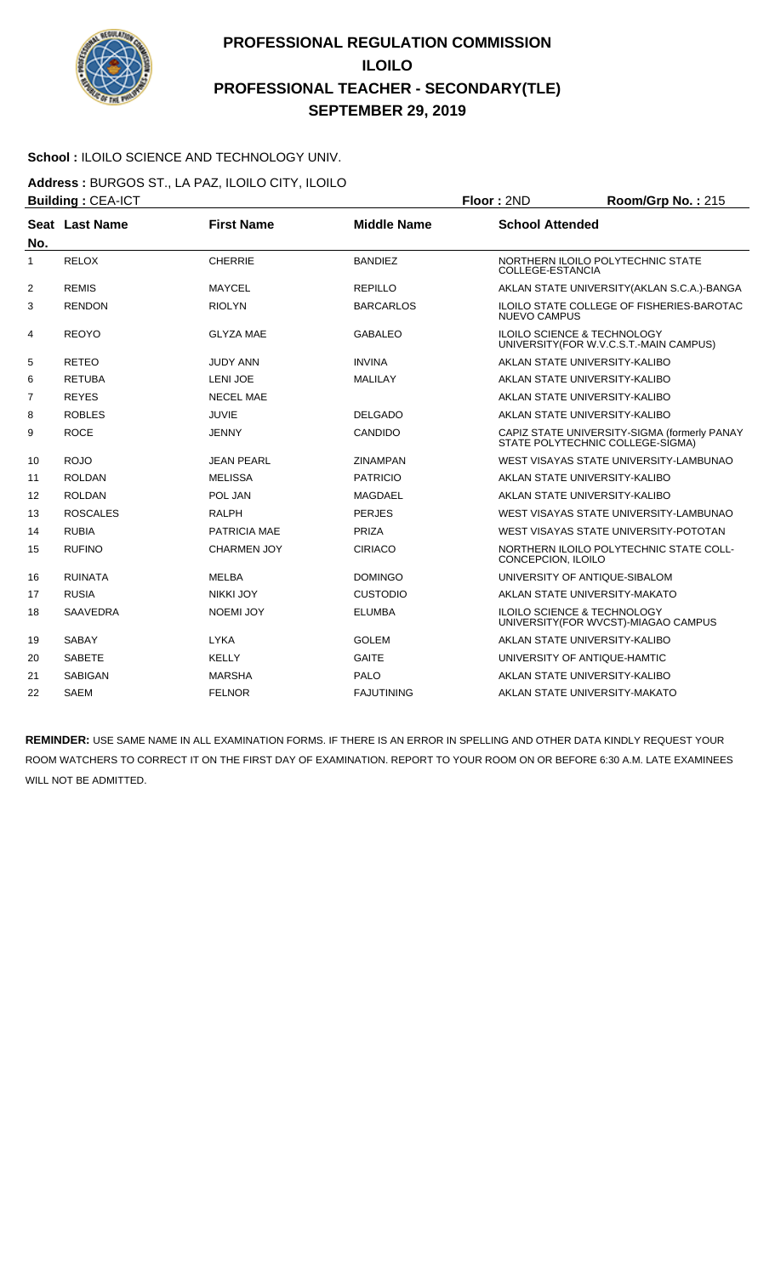

#### School : ILOILO SCIENCE AND TECHNOLOGY UNIV.

**Address :** BURGOS ST., LA PAZ, ILOILO CITY, ILOILO **Building : CEA-ICT Floor : 2ND Room/Grp No. : 215** 

|                | .               |                    |                    |                                                                                   |  |
|----------------|-----------------|--------------------|--------------------|-----------------------------------------------------------------------------------|--|
| No.            | Seat Last Name  | <b>First Name</b>  | <b>Middle Name</b> | <b>School Attended</b>                                                            |  |
| 1              | <b>RELOX</b>    | <b>CHERRIE</b>     | <b>BANDIEZ</b>     | NORTHERN ILOILO POLYTECHNIC STATE<br>COLLEGE-ESTANCIA                             |  |
| 2              | <b>REMIS</b>    | <b>MAYCEL</b>      | <b>REPILLO</b>     | AKLAN STATE UNIVERSITY (AKLAN S.C.A.)-BANGA                                       |  |
| 3              | <b>RENDON</b>   | <b>RIOLYN</b>      | <b>BARCARLOS</b>   | ILOILO STATE COLLEGE OF FISHERIES-BAROTAC<br><b>NUEVO CAMPUS</b>                  |  |
| 4              | <b>REOYO</b>    | <b>GLYZA MAE</b>   | <b>GABALEO</b>     | <b>ILOILO SCIENCE &amp; TECHNOLOGY</b><br>UNIVERSITY (FOR W.V.C.S.T.-MAIN CAMPUS) |  |
| 5              | <b>RETEO</b>    | <b>JUDY ANN</b>    | <b>INVINA</b>      | AKLAN STATE UNIVERSITY-KALIBO                                                     |  |
| 6              | <b>RETUBA</b>   | <b>LENI JOE</b>    | <b>MALILAY</b>     | AKLAN STATE UNIVERSITY-KALIBO                                                     |  |
| $\overline{7}$ | <b>REYES</b>    | <b>NECEL MAE</b>   |                    | AKLAN STATE UNIVERSITY-KALIBO                                                     |  |
| 8              | <b>ROBLES</b>   | <b>JUVIE</b>       | <b>DELGADO</b>     | AKLAN STATE UNIVERSITY-KALIBO                                                     |  |
| 9              | <b>ROCE</b>     | <b>JENNY</b>       | CANDIDO            | CAPIZ STATE UNIVERSITY-SIGMA (formerly PANAY<br>STATE POLYTECHNIC COLLEGE-SIGMA)  |  |
| 10             | <b>ROJO</b>     | <b>JEAN PEARL</b>  | <b>ZINAMPAN</b>    | WEST VISAYAS STATE UNIVERSITY-LAMBUNAO                                            |  |
| 11             | <b>ROLDAN</b>   | <b>MELISSA</b>     | <b>PATRICIO</b>    | AKLAN STATE UNIVERSITY-KALIBO                                                     |  |
| 12             | <b>ROLDAN</b>   | POL JAN            | <b>MAGDAEL</b>     | AKLAN STATE UNIVERSITY-KALIBO                                                     |  |
| 13             | <b>ROSCALES</b> | <b>RALPH</b>       | <b>PERJES</b>      | WEST VISAYAS STATE UNIVERSITY-LAMBUNAO                                            |  |
| 14             | <b>RUBIA</b>    | PATRICIA MAE       | PRIZA              | WEST VISAYAS STATE UNIVERSITY-POTOTAN                                             |  |
| 15             | <b>RUFINO</b>   | <b>CHARMEN JOY</b> | <b>CIRIACO</b>     | NORTHERN ILOILO POLYTECHNIC STATE COLL-<br>CONCEPCION, ILOILO                     |  |
| 16             | <b>RUINATA</b>  | MELBA              | <b>DOMINGO</b>     | UNIVERSITY OF ANTIQUE-SIBALOM                                                     |  |
| 17             | <b>RUSIA</b>    | NIKKI JOY          | <b>CUSTODIO</b>    | AKLAN STATE UNIVERSITY-MAKATO                                                     |  |
| 18             | <b>SAAVEDRA</b> | <b>NOEMI JOY</b>   | <b>ELUMBA</b>      | <b>ILOILO SCIENCE &amp; TECHNOLOGY</b><br>UNIVERSITY (FOR WVCST)-MIAGAO CAMPUS    |  |
| 19             | <b>SABAY</b>    | <b>LYKA</b>        | <b>GOLEM</b>       | AKLAN STATE UNIVERSITY-KALIBO                                                     |  |
| 20             | <b>SABETE</b>   | <b>KELLY</b>       | <b>GAITE</b>       | UNIVERSITY OF ANTIQUE-HAMTIC                                                      |  |
| 21             | <b>SABIGAN</b>  | <b>MARSHA</b>      | PALO               | AKLAN STATE UNIVERSITY-KALIBO                                                     |  |
| 22             | <b>SAEM</b>     | <b>FELNOR</b>      | <b>FAJUTINING</b>  | AKLAN STATE UNIVERSITY-MAKATO                                                     |  |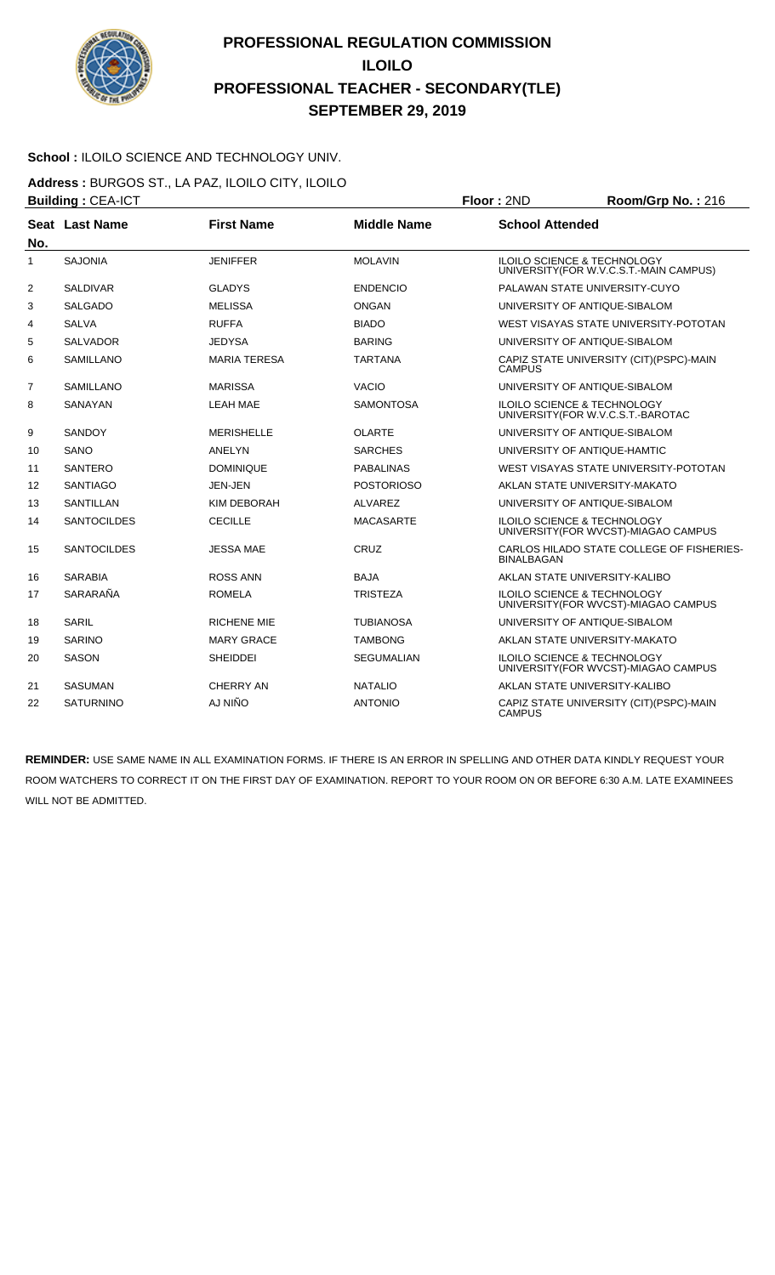

#### School : ILOILO SCIENCE AND TECHNOLOGY UNIV.

**Address :** BURGOS ST., LA PAZ, ILOILO CITY, ILOILO **Building : CEA-ICT Floor : 2ND Room/Grp No. : 216** 

| No.            | Seat Last Name     | <b>First Name</b>   | <b>Middle Name</b> | <b>School Attended</b>                                                            |
|----------------|--------------------|---------------------|--------------------|-----------------------------------------------------------------------------------|
| 1              | <b>SAJONIA</b>     | <b>JENIFFER</b>     | <b>MOLAVIN</b>     | <b>ILOILO SCIENCE &amp; TECHNOLOGY</b><br>UNIVERSITY (FOR W.V.C.S.T.-MAIN CAMPUS) |
| 2              | <b>SALDIVAR</b>    | <b>GLADYS</b>       | <b>ENDENCIO</b>    | PALAWAN STATE UNIVERSITY-CUYO                                                     |
| 3              | <b>SALGADO</b>     | <b>MELISSA</b>      | <b>ONGAN</b>       | UNIVERSITY OF ANTIQUE-SIBALOM                                                     |
| 4              | <b>SALVA</b>       | <b>RUFFA</b>        | <b>BIADO</b>       | WEST VISAYAS STATE UNIVERSITY-POTOTAN                                             |
| 5              | <b>SALVADOR</b>    | <b>JEDYSA</b>       | <b>BARING</b>      | UNIVERSITY OF ANTIQUE-SIBALOM                                                     |
| 6              | <b>SAMILLANO</b>   | <b>MARIA TERESA</b> | <b>TARTANA</b>     | CAPIZ STATE UNIVERSITY (CIT) (PSPC)-MAIN<br><b>CAMPUS</b>                         |
| $\overline{7}$ | <b>SAMILLANO</b>   | <b>MARISSA</b>      | <b>VACIO</b>       | UNIVERSITY OF ANTIQUE-SIBALOM                                                     |
| 8              | SANAYAN            | <b>LEAH MAE</b>     | SAMONTOSA          | <b>ILOILO SCIENCE &amp; TECHNOLOGY</b><br>UNIVERSITY(FOR W.V.C.S.T.-BAROTAC       |
| 9              | SANDOY             | <b>MERISHELLE</b>   | OLARTE             | UNIVERSITY OF ANTIQUE-SIBALOM                                                     |
| 10             | SANO               | ANELYN              | <b>SARCHES</b>     | UNIVERSITY OF ANTIQUE-HAMTIC                                                      |
| 11             | <b>SANTERO</b>     | <b>DOMINIQUE</b>    | <b>PABALINAS</b>   | WEST VISAYAS STATE UNIVERSITY-POTOTAN                                             |
| 12             | <b>SANTIAGO</b>    | JEN-JEN             | <b>POSTORIOSO</b>  | AKLAN STATE UNIVERSITY-MAKATO                                                     |
| 13             | <b>SANTILLAN</b>   | KIM DEBORAH         | <b>ALVAREZ</b>     | UNIVERSITY OF ANTIQUE-SIBALOM                                                     |
| 14             | <b>SANTOCILDES</b> | <b>CECILLE</b>      | <b>MACASARTE</b>   | <b>ILOILO SCIENCE &amp; TECHNOLOGY</b><br>UNIVERSITY (FOR WVCST)-MIAGAO CAMPUS    |
| 15             | <b>SANTOCILDES</b> | <b>JESSA MAE</b>    | CRUZ               | CARLOS HILADO STATE COLLEGE OF FISHERIES-<br><b>BINALBAGAN</b>                    |
| 16             | <b>SARABIA</b>     | <b>ROSS ANN</b>     | <b>BAJA</b>        | AKLAN STATE UNIVERSITY-KALIBO                                                     |
| 17             | SARARAÑA           | <b>ROMELA</b>       | <b>TRISTEZA</b>    | <b>ILOILO SCIENCE &amp; TECHNOLOGY</b><br>UNIVERSITY(FOR WVCST)-MIAGAO CAMPUS     |
| 18             | SARIL              | <b>RICHENE MIE</b>  | TUBIANOSA          | UNIVERSITY OF ANTIQUE-SIBALOM                                                     |
| 19             | <b>SARINO</b>      | <b>MARY GRACE</b>   | <b>TAMBONG</b>     | AKLAN STATE UNIVERSITY-MAKATO                                                     |
| 20             | <b>SASON</b>       | <b>SHEIDDEI</b>     | <b>SEGUMALIAN</b>  | <b>ILOILO SCIENCE &amp; TECHNOLOGY</b><br>UNIVERSITY (FOR WVCST)-MIAGAO CAMPUS    |
| 21             | <b>SASUMAN</b>     | CHERRY AN           | <b>NATALIO</b>     | AKLAN STATE UNIVERSITY-KALIBO                                                     |
| 22             | <b>SATURNINO</b>   | AJ NIÑO             | <b>ANTONIO</b>     | CAPIZ STATE UNIVERSITY (CIT)(PSPC)-MAIN<br><b>CAMPUS</b>                          |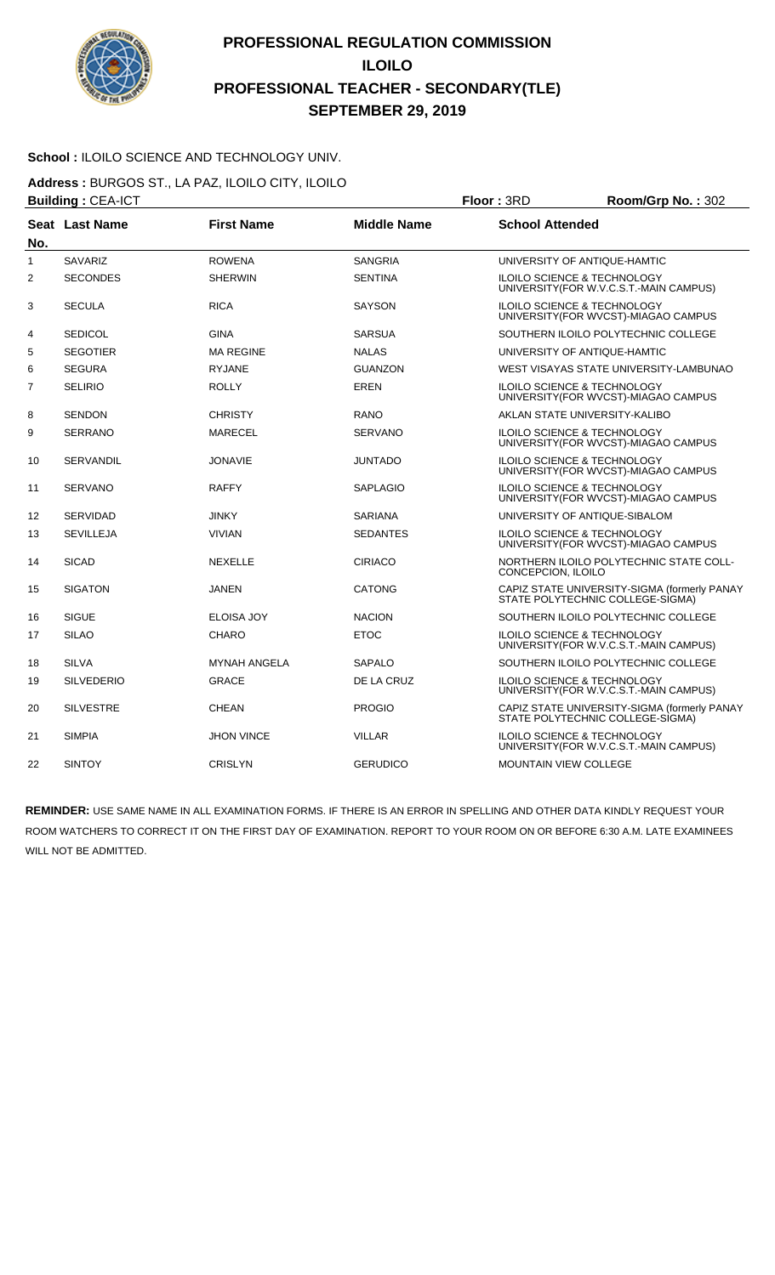

#### **School :** ILOILO SCIENCE AND TECHNOLOGY UNIV.

**Address :** BURGOS ST., LA PAZ, ILOILO CITY, ILOILO **Building : CEA-ICT Floor : 3RD Room/Grp No. : 302** 

| No.          | Seat Last Name    | <b>First Name</b>   | <b>Middle Name</b> | <b>School Attended</b>                                                            |  |
|--------------|-------------------|---------------------|--------------------|-----------------------------------------------------------------------------------|--|
| $\mathbf{1}$ | <b>SAVARIZ</b>    | <b>ROWENA</b>       | <b>SANGRIA</b>     | UNIVERSITY OF ANTIQUE-HAMTIC                                                      |  |
| 2            | <b>SECONDES</b>   | <b>SHERWIN</b>      | <b>SENTINA</b>     | <b>ILOILO SCIENCE &amp; TECHNOLOGY</b><br>UNIVERSITY (FOR W.V.C.S.T.-MAIN CAMPUS) |  |
| 3            | <b>SECULA</b>     | <b>RICA</b>         | <b>SAYSON</b>      | <b>ILOILO SCIENCE &amp; TECHNOLOGY</b><br>UNIVERSITY(FOR WVCST)-MIAGAO CAMPUS     |  |
| 4            | <b>SEDICOL</b>    | <b>GINA</b>         | <b>SARSUA</b>      | SOUTHERN ILOILO POLYTECHNIC COLLEGE                                               |  |
| 5            | <b>SEGOTIER</b>   | <b>MA REGINE</b>    | <b>NALAS</b>       | UNIVERSITY OF ANTIQUE-HAMTIC                                                      |  |
| 6            | <b>SEGURA</b>     | <b>RYJANE</b>       | <b>GUANZON</b>     | WEST VISAYAS STATE UNIVERSITY-LAMBUNAO                                            |  |
| 7            | <b>SELIRIO</b>    | <b>ROLLY</b>        | <b>EREN</b>        | <b>ILOILO SCIENCE &amp; TECHNOLOGY</b><br>UNIVERSITY (FOR WVCST)-MIAGAO CAMPUS    |  |
| 8            | <b>SENDON</b>     | <b>CHRISTY</b>      | <b>RANO</b>        | AKLAN STATE UNIVERSITY-KALIBO                                                     |  |
| 9            | <b>SERRANO</b>    | <b>MARECEL</b>      | <b>SERVANO</b>     | ILOILO SCIENCE & TECHNOLOGY<br>UNIVERSITY (FOR WVCST)-MIAGAO CAMPUS               |  |
| 10           | <b>SERVANDIL</b>  | <b>JONAVIE</b>      | JUNTADO            | ILOILO SCIENCE & TECHNOLOGY<br>UNIVERSITY (FOR WVCST)-MIAGAO CAMPUS               |  |
| 11           | <b>SERVANO</b>    | <b>RAFFY</b>        | <b>SAPLAGIO</b>    | <b>ILOILO SCIENCE &amp; TECHNOLOGY</b><br>UNIVERSITY(FOR WVCST)-MIAGAO CAMPUS     |  |
| 12           | <b>SERVIDAD</b>   | <b>JINKY</b>        | <b>SARIANA</b>     | UNIVERSITY OF ANTIQUE-SIBALOM                                                     |  |
| 13           | <b>SEVILLEJA</b>  | <b>VIVIAN</b>       | <b>SEDANTES</b>    | <b>ILOILO SCIENCE &amp; TECHNOLOGY</b><br>UNIVERSITY(FOR WVCST)-MIAGAO CAMPUS     |  |
| 14           | <b>SICAD</b>      | <b>NEXELLE</b>      | <b>CIRIACO</b>     | NORTHERN ILOILO POLYTECHNIC STATE COLL-<br>CONCEPCION, ILOILO                     |  |
| 15           | <b>SIGATON</b>    | <b>JANEN</b>        | <b>CATONG</b>      | CAPIZ STATE UNIVERSITY-SIGMA (formerly PANAY<br>STATE POLYTECHNIC COLLEGE-SIGMA)  |  |
| 16           | <b>SIGUE</b>      | <b>ELOISA JOY</b>   | <b>NACION</b>      | SOUTHERN ILOILO POLYTECHNIC COLLEGE                                               |  |
| 17           | <b>SILAO</b>      | <b>CHARO</b>        | <b>ETOC</b>        | <b>ILOILO SCIENCE &amp; TECHNOLOGY</b><br>UNIVERSITY(FOR W.V.C.S.T.-MAIN CAMPUS)  |  |
| 18           | <b>SILVA</b>      | <b>MYNAH ANGELA</b> | <b>SAPALO</b>      | SOUTHERN ILOILO POLYTECHNIC COLLEGE                                               |  |
| 19           | <b>SILVEDERIO</b> | <b>GRACE</b>        | DE LA CRUZ         | <b>ILOILO SCIENCE &amp; TECHNOLOGY</b><br>UNIVERSITY (FOR W.V.C.S.T.-MAIN CAMPUS) |  |
| 20           | <b>SILVESTRE</b>  | <b>CHEAN</b>        | <b>PROGIO</b>      | CAPIZ STATE UNIVERSITY-SIGMA (formerly PANAY<br>STATE POLYTECHNIC COLLEGE-SIGMA)  |  |
| 21           | <b>SIMPIA</b>     | <b>JHON VINCE</b>   | <b>VILLAR</b>      | ILOILO SCIENCE & TECHNOLOGY<br>UNIVERSITY (FOR W.V.C.S.T.-MAIN CAMPUS)            |  |
| 22           | <b>SINTOY</b>     | <b>CRISLYN</b>      | <b>GERUDICO</b>    | MOUNTAIN VIEW COLLEGE                                                             |  |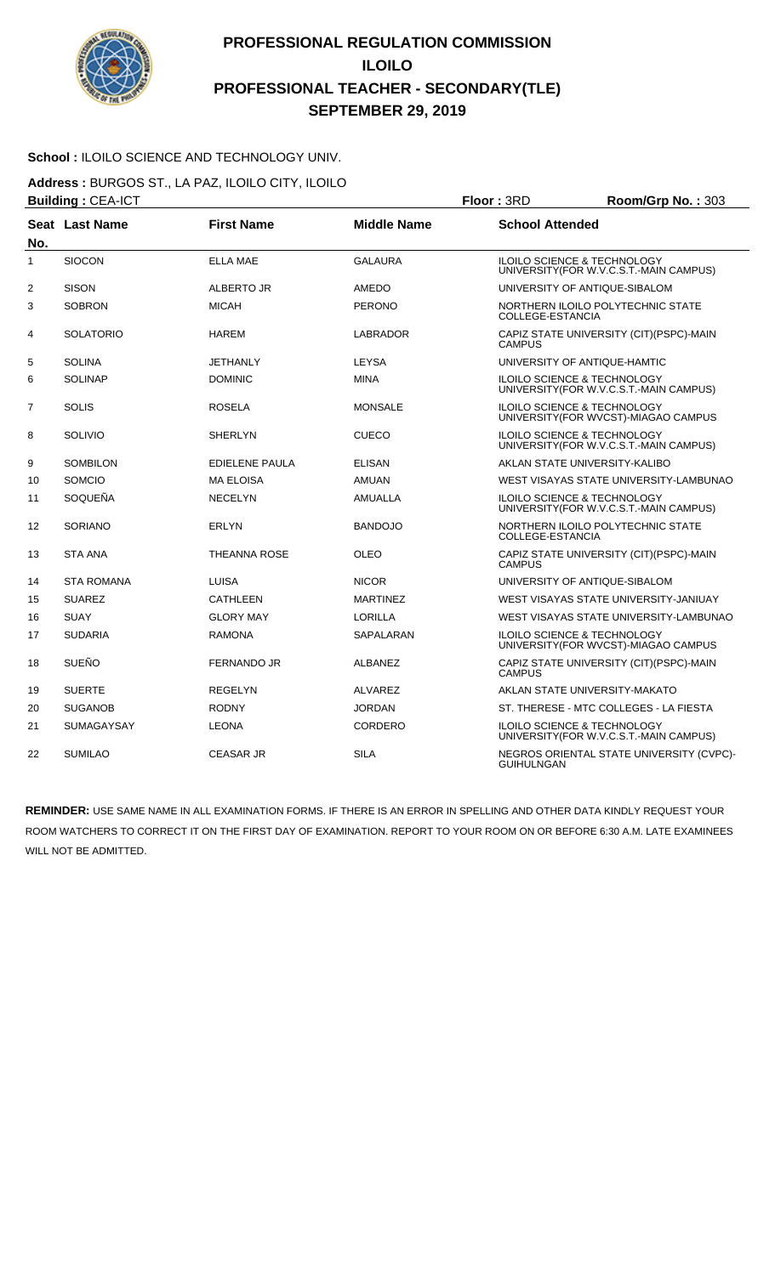

#### School : ILOILO SCIENCE AND TECHNOLOGY UNIV.

**Address :** BURGOS ST., LA PAZ, ILOILO CITY, ILOILO **Building : CEA-ICT Floor : 3RD Room/Grp No. : 303** 

| No.            | <b>Seat Last Name</b> | <b>First Name</b>     | <b>Middle Name</b> | <b>School Attended</b>                                                            |
|----------------|-----------------------|-----------------------|--------------------|-----------------------------------------------------------------------------------|
| 1              | <b>SIOCON</b>         | <b>ELLA MAE</b>       | <b>GALAURA</b>     | <b>ILOILO SCIENCE &amp; TECHNOLOGY</b><br>UNIVERSITY (FOR W.V.C.S.T.-MAIN CAMPUS) |
| $\overline{2}$ | <b>SISON</b>          | ALBERTO JR            | AMEDO              | UNIVERSITY OF ANTIQUE-SIBALOM                                                     |
| 3              | <b>SOBRON</b>         | <b>MICAH</b>          | <b>PERONO</b>      | NORTHERN ILOILO POLYTECHNIC STATE<br>COLLEGE-ESTANCIA                             |
| 4              | <b>SOLATORIO</b>      | <b>HAREM</b>          | LABRADOR           | CAPIZ STATE UNIVERSITY (CIT)(PSPC)-MAIN<br><b>CAMPUS</b>                          |
| 5              | <b>SOLINA</b>         | <b>JETHANLY</b>       | <b>LEYSA</b>       | UNIVERSITY OF ANTIQUE-HAMTIC                                                      |
| 6              | <b>SOLINAP</b>        | <b>DOMINIC</b>        | <b>MINA</b>        | ILOILO SCIENCE & TECHNOLOGY<br>UNIVERSITY (FOR W.V.C.S.T.-MAIN CAMPUS)            |
| 7              | <b>SOLIS</b>          | <b>ROSELA</b>         | <b>MONSALE</b>     | <b>ILOILO SCIENCE &amp; TECHNOLOGY</b><br>UNIVERSITY (FOR WVCST)-MIAGAO CAMPUS    |
| 8              | <b>SOLIVIO</b>        | <b>SHERLYN</b>        | <b>CUECO</b>       | <b>ILOILO SCIENCE &amp; TECHNOLOGY</b><br>UNIVERSITY(FOR W.V.C.S.T.-MAIN CAMPUS)  |
| 9              | <b>SOMBILON</b>       | <b>EDIELENE PAULA</b> | <b>ELISAN</b>      | AKLAN STATE UNIVERSITY-KALIBO                                                     |
| 10             | <b>SOMCIO</b>         | <b>MA ELOISA</b>      | <b>AMUAN</b>       | WEST VISAYAS STATE UNIVERSITY-LAMBUNAO                                            |
| 11             | SOQUEÑA               | <b>NECELYN</b>        | <b>AMUALLA</b>     | ILOILO SCIENCE & TECHNOLOGY<br>UNIVERSITY (FOR W.V.C.S.T.-MAIN CAMPUS)            |
| 12             | <b>SORIANO</b>        | <b>ERLYN</b>          | <b>BANDOJO</b>     | NORTHERN ILOILO POLYTECHNIC STATE<br>COLLEGE-ESTANCIA                             |
| 13             | <b>STA ANA</b>        | <b>THEANNA ROSE</b>   | OLEO               | CAPIZ STATE UNIVERSITY (CIT)(PSPC)-MAIN<br><b>CAMPUS</b>                          |
| 14             | <b>STA ROMANA</b>     | LUISA                 | <b>NICOR</b>       | UNIVERSITY OF ANTIQUE-SIBALOM                                                     |
| 15             | <b>SUAREZ</b>         | CATHLEEN              | <b>MARTINEZ</b>    | WEST VISAYAS STATE UNIVERSITY-JANIUAY                                             |
| 16             | <b>SUAY</b>           | <b>GLORY MAY</b>      | <b>LORILLA</b>     | WEST VISAYAS STATE UNIVERSITY-LAMBUNAO                                            |
| 17             | <b>SUDARIA</b>        | <b>RAMONA</b>         | SAPALARAN          | <b>ILOILO SCIENCE &amp; TECHNOLOGY</b><br>UNIVERSITY (FOR WVCST)-MIAGAO CAMPUS    |
| 18             | <b>SUEÑO</b>          | <b>FERNANDO JR</b>    | <b>ALBANEZ</b>     | CAPIZ STATE UNIVERSITY (CIT)(PSPC)-MAIN<br><b>CAMPUS</b>                          |
| 19             | <b>SUERTE</b>         | <b>REGELYN</b>        | ALVAREZ            | AKLAN STATE UNIVERSITY-MAKATO                                                     |
| 20             | <b>SUGANOB</b>        | <b>RODNY</b>          | <b>JORDAN</b>      | ST. THERESE - MTC COLLEGES - LA FIESTA                                            |
| 21             | <b>SUMAGAYSAY</b>     | <b>LEONA</b>          | <b>CORDERO</b>     | <b>ILOILO SCIENCE &amp; TECHNOLOGY</b><br>UNIVERSITY (FOR W.V.C.S.T.-MAIN CAMPUS) |
| 22             | <b>SUMILAO</b>        | <b>CEASAR JR</b>      | <b>SILA</b>        | NEGROS ORIENTAL STATE UNIVERSITY (CVPC)-<br><b>GUIHULNGAN</b>                     |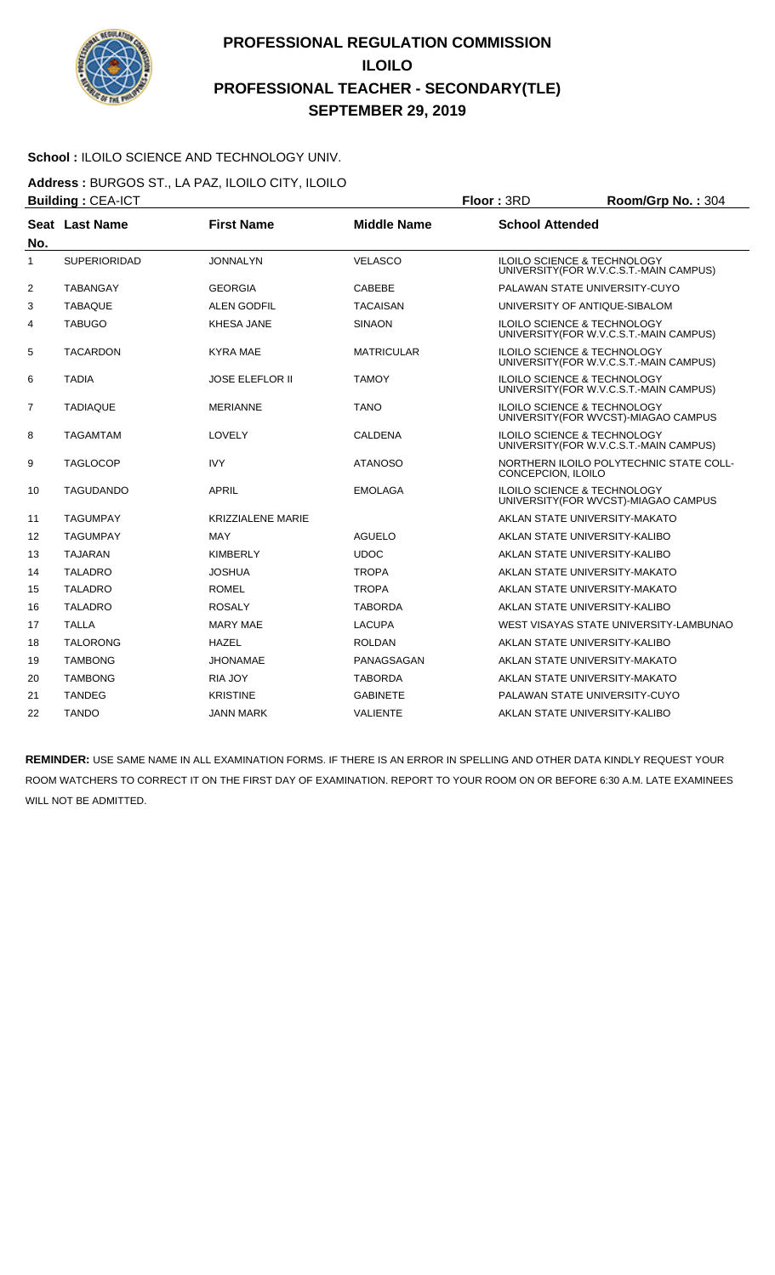

#### School : ILOILO SCIENCE AND TECHNOLOGY UNIV.

**Address :** BURGOS ST., LA PAZ, ILOILO CITY, ILOILO **Building : CEA-ICT Floor : 3RD Room/Grp No. : 304** 

| No.            | Seat Last Name      | <b>First Name</b>        | <b>Middle Name</b> | <b>School Attended</b>                                                            |
|----------------|---------------------|--------------------------|--------------------|-----------------------------------------------------------------------------------|
| 1              | <b>SUPERIORIDAD</b> | <b>JONNALYN</b>          | <b>VELASCO</b>     | <b>ILOILO SCIENCE &amp; TECHNOLOGY</b><br>UNIVERSITY (FOR W.V.C.S.T.-MAIN CAMPUS) |
| 2              | <b>TABANGAY</b>     | <b>GEORGIA</b>           | <b>CABEBE</b>      | PALAWAN STATE UNIVERSITY-CUYO                                                     |
| 3              | <b>TABAQUE</b>      | <b>ALEN GODFIL</b>       | <b>TACAISAN</b>    | UNIVERSITY OF ANTIQUE-SIBALOM                                                     |
| 4              | <b>TABUGO</b>       | <b>KHESA JANE</b>        | <b>SINAON</b>      | ILOILO SCIENCE & TECHNOLOGY<br>UNIVERSITY (FOR W.V.C.S.T.-MAIN CAMPUS)            |
| 5              | <b>TACARDON</b>     | <b>KYRA MAE</b>          | <b>MATRICULAR</b>  | <b>ILOILO SCIENCE &amp; TECHNOLOGY</b><br>UNIVERSITY (FOR W.V.C.S.T.-MAIN CAMPUS) |
| 6              | <b>TADIA</b>        | <b>JOSE ELEFLOR II</b>   | <b>TAMOY</b>       | <b>ILOILO SCIENCE &amp; TECHNOLOGY</b><br>UNIVERSITY (FOR W.V.C.S.T.-MAIN CAMPUS) |
| $\overline{7}$ | <b>TADIAQUE</b>     | <b>MERIANNE</b>          | <b>TANO</b>        | <b>ILOILO SCIENCE &amp; TECHNOLOGY</b><br>UNIVERSITY (FOR WVCST)-MIAGAO CAMPUS    |
| 8              | <b>TAGAMTAM</b>     | LOVELY                   | <b>CALDENA</b>     | <b>ILOILO SCIENCE &amp; TECHNOLOGY</b><br>UNIVERSITY (FOR W.V.C.S.T.-MAIN CAMPUS) |
| 9              | <b>TAGLOCOP</b>     | <b>IVY</b>               | <b>ATANOSO</b>     | NORTHERN ILOILO POLYTECHNIC STATE COLL-<br>CONCEPCION, ILOILO                     |
| 10             | <b>TAGUDANDO</b>    | <b>APRIL</b>             | <b>EMOLAGA</b>     | <b>ILOILO SCIENCE &amp; TECHNOLOGY</b><br>UNIVERSITY (FOR WVCST)-MIAGAO CAMPUS    |
| 11             | <b>TAGUMPAY</b>     | <b>KRIZZIALENE MARIE</b> |                    | AKLAN STATE UNIVERSITY-MAKATO                                                     |
| 12             | <b>TAGUMPAY</b>     | <b>MAY</b>               | <b>AGUELO</b>      | AKLAN STATE UNIVERSITY-KALIBO                                                     |
| 13             | <b>TAJARAN</b>      | <b>KIMBERLY</b>          | <b>UDOC</b>        | AKLAN STATE UNIVERSITY-KALIBO                                                     |
| 14             | <b>TALADRO</b>      | <b>JOSHUA</b>            | <b>TROPA</b>       | AKLAN STATE UNIVERSITY-MAKATO                                                     |
| 15             | <b>TALADRO</b>      | <b>ROMEL</b>             | <b>TROPA</b>       | AKLAN STATE UNIVERSITY-MAKATO                                                     |
| 16             | <b>TALADRO</b>      | <b>ROSALY</b>            | <b>TABORDA</b>     | AKLAN STATE UNIVERSITY-KALIBO                                                     |
| 17             | <b>TALLA</b>        | <b>MARY MAE</b>          | <b>LACUPA</b>      | WEST VISAYAS STATE UNIVERSITY-LAMBUNAO                                            |
| 18             | <b>TALORONG</b>     | <b>HAZEL</b>             | <b>ROLDAN</b>      | AKLAN STATE UNIVERSITY-KALIBO                                                     |
| 19             | <b>TAMBONG</b>      | <b>JHONAMAE</b>          | PANAGSAGAN         | AKLAN STATE UNIVERSITY-MAKATO                                                     |
| 20             | <b>TAMBONG</b>      | <b>RIA JOY</b>           | <b>TABORDA</b>     | AKLAN STATE UNIVERSITY-MAKATO                                                     |
| 21             | <b>TANDEG</b>       | <b>KRISTINE</b>          | <b>GABINETE</b>    | PALAWAN STATE UNIVERSITY-CUYO                                                     |
| 22             | <b>TANDO</b>        | JANN MARK                | <b>VALIENTE</b>    | AKLAN STATE UNIVERSITY-KALIBO                                                     |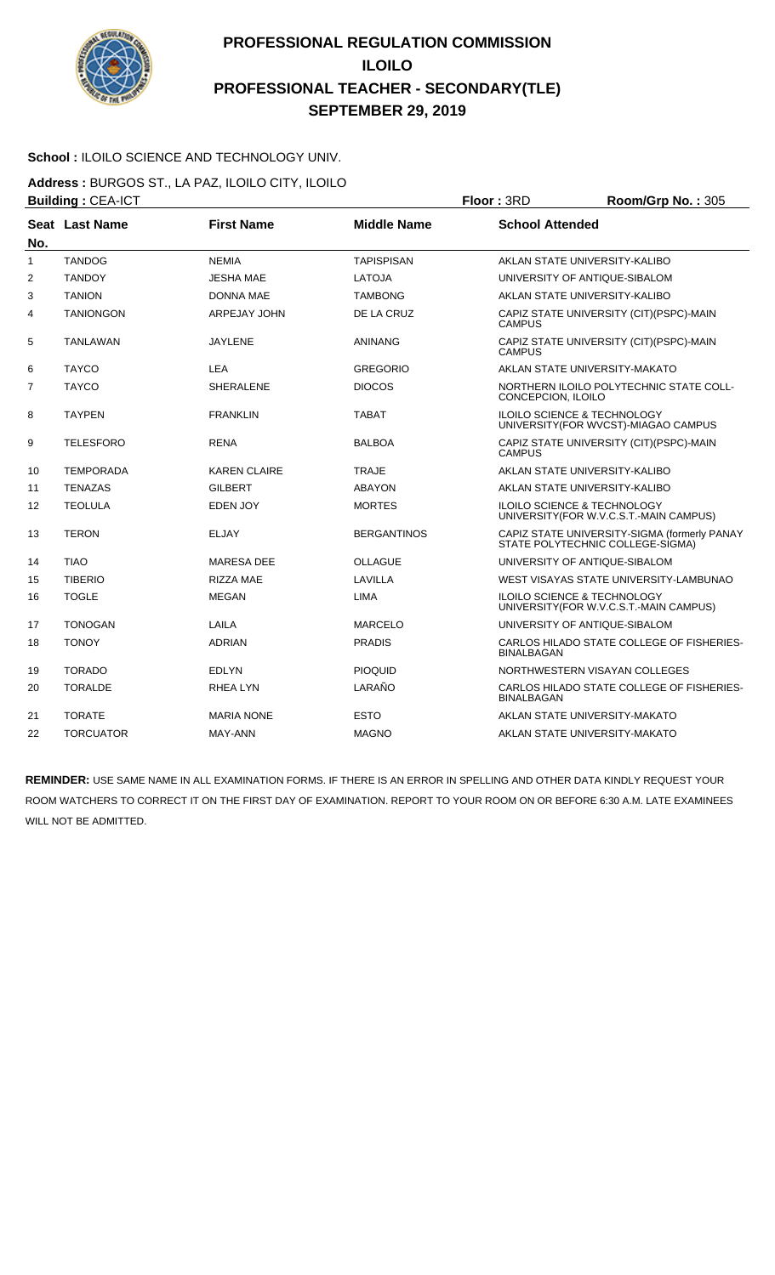

#### School : ILOILO SCIENCE AND TECHNOLOGY UNIV.

**Address :** BURGOS ST., LA PAZ, ILOILO CITY, ILOILO **Building : CEA-ICT Floor : 3RD Room/Grp No. : 305** 

| No. | Seat Last Name   | <b>First Name</b>   | <b>Middle Name</b> | <b>School Attended</b>                                                            |  |
|-----|------------------|---------------------|--------------------|-----------------------------------------------------------------------------------|--|
| 1   | <b>TANDOG</b>    | <b>NEMIA</b>        | <b>TAPISPISAN</b>  | AKLAN STATE UNIVERSITY-KALIBO                                                     |  |
| 2   | <b>TANDOY</b>    | <b>JESHA MAE</b>    | <b>LATOJA</b>      | UNIVERSITY OF ANTIQUE-SIBALOM                                                     |  |
| 3   | <b>TANION</b>    | <b>DONNA MAE</b>    | <b>TAMBONG</b>     | AKLAN STATE UNIVERSITY-KALIBO                                                     |  |
| 4   | <b>TANIONGON</b> | ARPEJAY JOHN        | DE LA CRUZ         | CAPIZ STATE UNIVERSITY (CIT)(PSPC)-MAIN<br><b>CAMPUS</b>                          |  |
| 5   | <b>TANLAWAN</b>  | <b>JAYLENE</b>      | ANINANG            | CAPIZ STATE UNIVERSITY (CIT) (PSPC)-MAIN<br><b>CAMPUS</b>                         |  |
| 6   | <b>TAYCO</b>     | LEA                 | <b>GREGORIO</b>    | AKLAN STATE UNIVERSITY-MAKATO                                                     |  |
| 7   | <b>TAYCO</b>     | <b>SHERALENE</b>    | <b>DIOCOS</b>      | NORTHERN ILOILO POLYTECHNIC STATE COLL-<br>CONCEPCION, ILOILO                     |  |
| 8   | <b>TAYPEN</b>    | <b>FRANKLIN</b>     | <b>TABAT</b>       | <b>ILOILO SCIENCE &amp; TECHNOLOGY</b><br>UNIVERSITY (FOR WVCST)-MIAGAO CAMPUS    |  |
| 9   | <b>TELESFORO</b> | <b>RENA</b>         | <b>BALBOA</b>      | CAPIZ STATE UNIVERSITY (CIT)(PSPC)-MAIN<br><b>CAMPUS</b>                          |  |
| 10  | <b>TEMPORADA</b> | <b>KAREN CLAIRE</b> | <b>TRAJE</b>       | AKLAN STATE UNIVERSITY-KALIBO                                                     |  |
| 11  | <b>TENAZAS</b>   | <b>GILBERT</b>      | <b>ABAYON</b>      | AKLAN STATE UNIVERSITY-KALIBO                                                     |  |
| 12  | <b>TEOLULA</b>   | EDEN JOY            | <b>MORTES</b>      | ILOILO SCIENCE & TECHNOLOGY<br>UNIVERSITY (FOR W.V.C.S.T.-MAIN CAMPUS)            |  |
| 13  | <b>TERON</b>     | ELJAY               | <b>BERGANTINOS</b> | CAPIZ STATE UNIVERSITY-SIGMA (formerly PANAY<br>STATE POLYTECHNIC COLLEGE-SIGMA)  |  |
| 14  | <b>TIAO</b>      | <b>MARESA DEE</b>   | <b>OLLAGUE</b>     | UNIVERSITY OF ANTIQUE-SIBALOM                                                     |  |
| 15  | <b>TIBERIO</b>   | <b>RIZZA MAE</b>    | LAVILLA            | WEST VISAYAS STATE UNIVERSITY-LAMBUNAO                                            |  |
| 16  | <b>TOGLE</b>     | <b>MEGAN</b>        | <b>LIMA</b>        | <b>ILOILO SCIENCE &amp; TECHNOLOGY</b><br>UNIVERSITY (FOR W.V.C.S.T.-MAIN CAMPUS) |  |
| 17  | <b>TONOGAN</b>   | LAILA               | <b>MARCELO</b>     | UNIVERSITY OF ANTIQUE-SIBALOM                                                     |  |
| 18  | <b>TONOY</b>     | <b>ADRIAN</b>       | <b>PRADIS</b>      | CARLOS HILADO STATE COLLEGE OF FISHERIES-<br><b>BINALBAGAN</b>                    |  |
| 19  | <b>TORADO</b>    | <b>EDLYN</b>        | <b>PIOQUID</b>     | NORTHWESTERN VISAYAN COLLEGES                                                     |  |
| 20  | <b>TORALDE</b>   | RHEA LYN            | LARAÑO             | CARLOS HILADO STATE COLLEGE OF FISHERIES-<br><b>BINALBAGAN</b>                    |  |
| 21  | <b>TORATE</b>    | <b>MARIA NONE</b>   | <b>ESTO</b>        | AKLAN STATE UNIVERSITY-MAKATO                                                     |  |
| 22  | <b>TORCUATOR</b> | MAY-ANN             | <b>MAGNO</b>       | AKLAN STATE UNIVERSITY-MAKATO                                                     |  |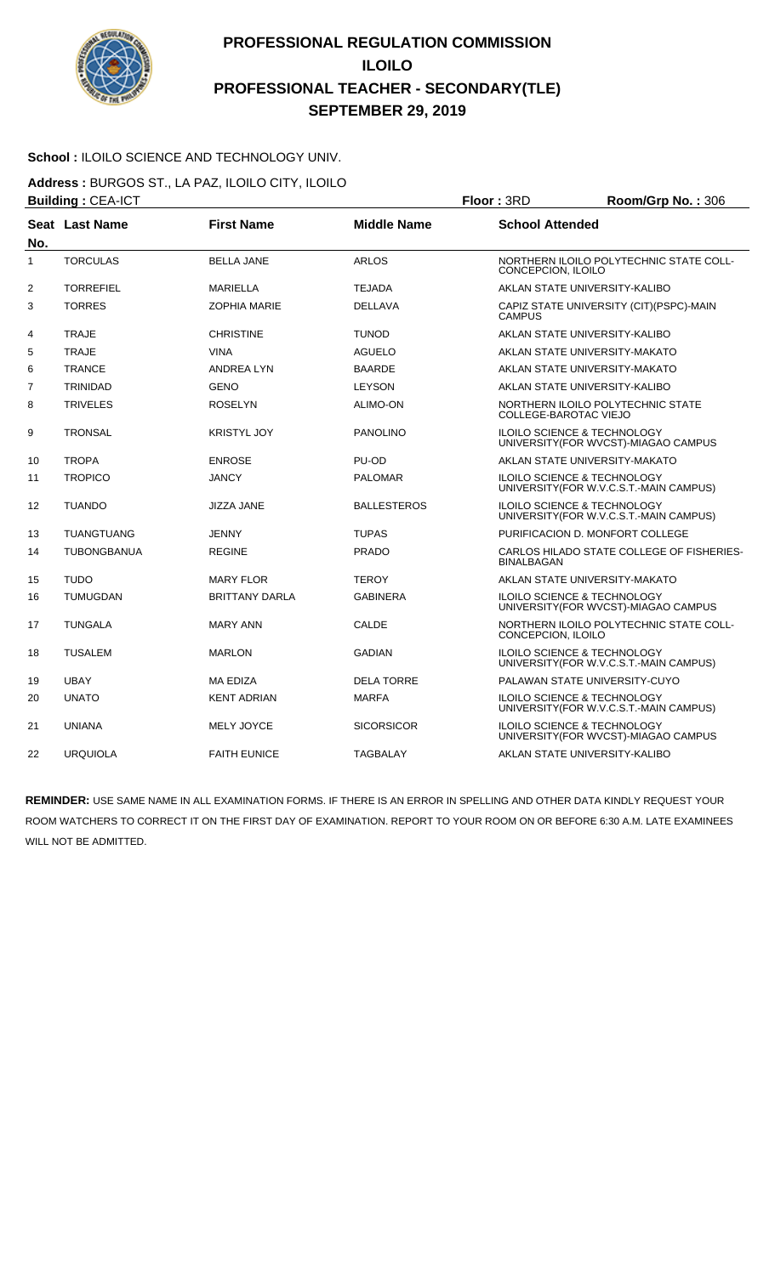

#### School : ILOILO SCIENCE AND TECHNOLOGY UNIV.

**Address :** BURGOS ST., LA PAZ, ILOILO CITY, ILOILO **Building : CEA-ICT Floor : 3RD Room/Grp No. : 306** 

| No. | Seat Last Name     | <b>First Name</b>     | <b>Middle Name</b> | <b>School Attended</b>                                                           |  |
|-----|--------------------|-----------------------|--------------------|----------------------------------------------------------------------------------|--|
| 1   | <b>TORCULAS</b>    | <b>BELLA JANE</b>     | <b>ARLOS</b>       | NORTHERN ILOILO POLYTECHNIC STATE COLL-<br>CONCEPCION, ILOILO                    |  |
| 2   | <b>TORREFIEL</b>   | <b>MARIELLA</b>       | <b>TEJADA</b>      | AKLAN STATE UNIVERSITY-KALIBO                                                    |  |
| 3   | <b>TORRES</b>      | <b>ZOPHIA MARIE</b>   | <b>DELLAVA</b>     | CAPIZ STATE UNIVERSITY (CIT)(PSPC)-MAIN<br><b>CAMPUS</b>                         |  |
| 4   | <b>TRAJE</b>       | <b>CHRISTINE</b>      | <b>TUNOD</b>       | AKLAN STATE UNIVERSITY-KALIBO                                                    |  |
| 5   | <b>TRAJE</b>       | <b>VINA</b>           | <b>AGUELO</b>      | AKLAN STATE UNIVERSITY-MAKATO                                                    |  |
| 6   | <b>TRANCE</b>      | <b>ANDREA LYN</b>     | <b>BAARDE</b>      | AKLAN STATE UNIVERSITY-MAKATO                                                    |  |
| 7   | <b>TRINIDAD</b>    | <b>GENO</b>           | <b>LEYSON</b>      | AKLAN STATE UNIVERSITY-KALIBO                                                    |  |
| 8   | <b>TRIVELES</b>    | <b>ROSELYN</b>        | <b>ALIMO-ON</b>    | NORTHERN ILOILO POLYTECHNIC STATE<br>COLLEGE-BAROTAC VIEJO                       |  |
| 9   | <b>TRONSAL</b>     | <b>KRISTYL JOY</b>    | <b>PANOLINO</b>    | <b>ILOILO SCIENCE &amp; TECHNOLOGY</b><br>UNIVERSITY(FOR WVCST)-MIAGAO CAMPUS    |  |
| 10  | <b>TROPA</b>       | <b>ENROSE</b>         | PU-OD              | AKLAN STATE UNIVERSITY-MAKATO                                                    |  |
| 11  | <b>TROPICO</b>     | <b>JANCY</b>          | <b>PALOMAR</b>     | ILOILO SCIENCE & TECHNOLOGY<br>UNIVERSITY(FOR W.V.C.S.T.-MAIN CAMPUS)            |  |
| 12  | <b>TUANDO</b>      | <b>JIZZA JANE</b>     | <b>BALLESTEROS</b> | <b>ILOILO SCIENCE &amp; TECHNOLOGY</b><br>UNIVERSITY(FOR W.V.C.S.T.-MAIN CAMPUS) |  |
| 13  | <b>TUANGTUANG</b>  | <b>JENNY</b>          | <b>TUPAS</b>       | PURIFICACION D. MONFORT COLLEGE                                                  |  |
| 14  | <b>TUBONGBANUA</b> | <b>REGINE</b>         | <b>PRADO</b>       | CARLOS HILADO STATE COLLEGE OF FISHERIES-<br><b>BINALBAGAN</b>                   |  |
| 15  | <b>TUDO</b>        | <b>MARY FLOR</b>      | <b>TEROY</b>       | AKLAN STATE UNIVERSITY-MAKATO                                                    |  |
| 16  | <b>TUMUGDAN</b>    | <b>BRITTANY DARLA</b> | <b>GABINERA</b>    | <b>ILOILO SCIENCE &amp; TECHNOLOGY</b><br>UNIVERSITY (FOR WVCST)-MIAGAO CAMPUS   |  |
| 17  | <b>TUNGALA</b>     | <b>MARY ANN</b>       | <b>CALDE</b>       | NORTHERN ILOILO POLYTECHNIC STATE COLL-<br>CONCEPCION, ILOILO                    |  |
| 18  | <b>TUSALEM</b>     | <b>MARLON</b>         | <b>GADIAN</b>      | ILOILO SCIENCE & TECHNOLOGY<br>UNIVERSITY (FOR W.V.C.S.T.-MAIN CAMPUS)           |  |
| 19  | <b>UBAY</b>        | <b>MA EDIZA</b>       | <b>DELA TORRE</b>  | PALAWAN STATE UNIVERSITY-CUYO                                                    |  |
| 20  | <b>UNATO</b>       | <b>KENT ADRIAN</b>    | <b>MARFA</b>       | ILOILO SCIENCE & TECHNOLOGY<br>UNIVERSITY (FOR W.V.C.S.T.-MAIN CAMPUS)           |  |
| 21  | <b>UNIANA</b>      | <b>MELY JOYCE</b>     | <b>SICORSICOR</b>  | ILOILO SCIENCE & TECHNOLOGY<br>UNIVERSITY (FOR WVCST)-MIAGAO CAMPUS              |  |
| 22  | <b>URQUIOLA</b>    | <b>FAITH EUNICE</b>   | <b>TAGBALAY</b>    | AKLAN STATE UNIVERSITY-KALIBO                                                    |  |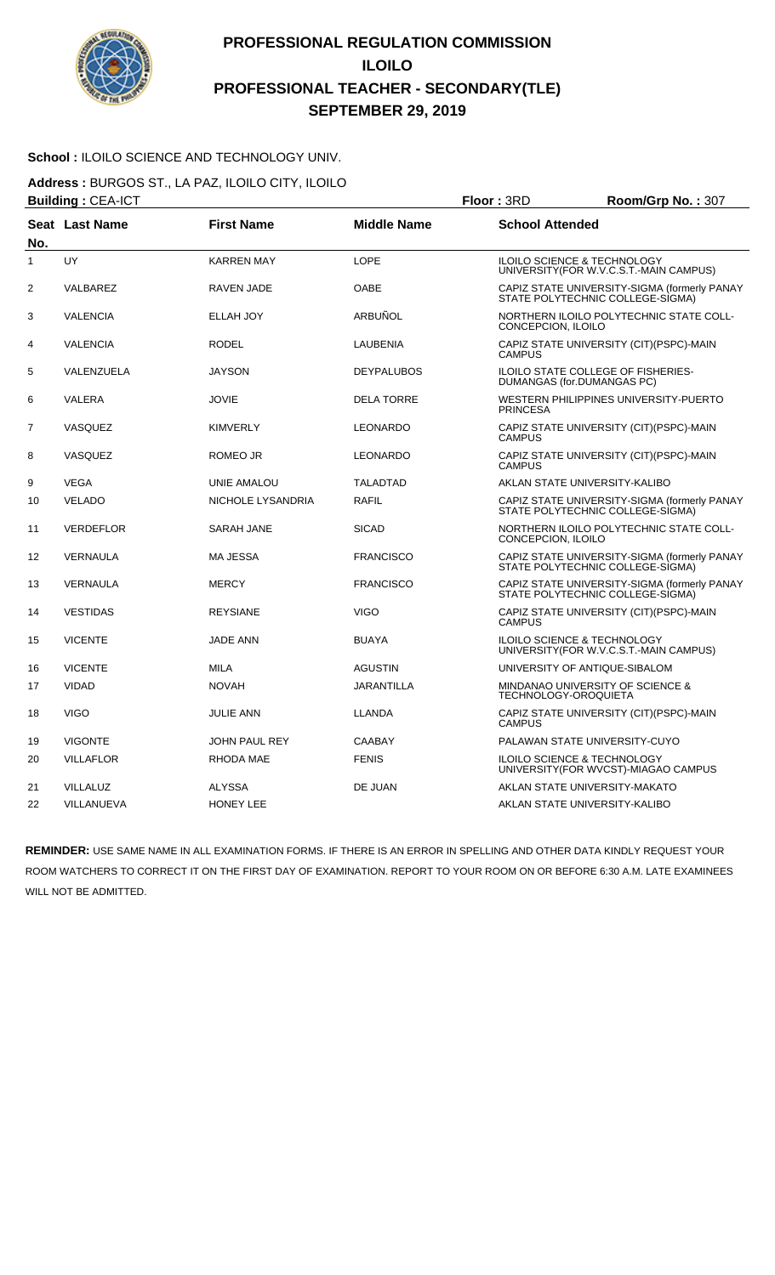

#### School : ILOILO SCIENCE AND TECHNOLOGY UNIV.

**Address :** BURGOS ST., LA PAZ, ILOILO CITY, ILOILO

|                | <b>Building: CEA-ICT</b> |                      |                    | Floor: 3RD                                                       | Room/Grp No.: 307                                                                |
|----------------|--------------------------|----------------------|--------------------|------------------------------------------------------------------|----------------------------------------------------------------------------------|
| No.            | Seat Last Name           | <b>First Name</b>    | <b>Middle Name</b> | <b>School Attended</b>                                           |                                                                                  |
| $\mathbf{1}$   | UY                       | <b>KARREN MAY</b>    | LOPE               | ILOILO SCIENCE & TECHNOLOGY                                      | UNIVERSITY(FOR W.V.C.S.T.-MAIN CAMPUS)                                           |
| $\overline{2}$ | VALBAREZ                 | RAVEN JADE           | <b>OABE</b>        |                                                                  | CAPIZ STATE UNIVERSITY-SIGMA (formerly PANAY<br>STATE POLYTECHNIC COLLEGE-SIGMA) |
| 3              | <b>VALENCIA</b>          | <b>ELLAH JOY</b>     | ARBUÑOL            | CONCEPCION, ILOILO                                               | NORTHERN ILOILO POLYTECHNIC STATE COLL-                                          |
| 4              | <b>VALENCIA</b>          | <b>RODEL</b>         | <b>LAUBENIA</b>    | <b>CAMPUS</b>                                                    | CAPIZ STATE UNIVERSITY (CIT)(PSPC)-MAIN                                          |
| 5              | VALENZUELA               | <b>JAYSON</b>        | <b>DEYPALUBOS</b>  | ILOILO STATE COLLEGE OF FISHERIES-<br>DUMANGAS (for.DUMANGAS PC) |                                                                                  |
| 6              | <b>VALERA</b>            | <b>JOVIE</b>         | <b>DELA TORRE</b>  | <b>PRINCESA</b>                                                  | WESTERN PHILIPPINES UNIVERSITY-PUERTO                                            |
| $\overline{7}$ | VASQUEZ                  | <b>KIMVERLY</b>      | <b>LEONARDO</b>    | <b>CAMPUS</b>                                                    | CAPIZ STATE UNIVERSITY (CIT)(PSPC)-MAIN                                          |
| 8              | <b>VASQUEZ</b>           | ROMEO JR             | <b>LEONARDO</b>    | <b>CAMPUS</b>                                                    | CAPIZ STATE UNIVERSITY (CIT)(PSPC)-MAIN                                          |
| 9              | <b>VEGA</b>              | UNIE AMALOU          | <b>TALADTAD</b>    | AKLAN STATE UNIVERSITY-KALIBO                                    |                                                                                  |
| 10             | <b>VELADO</b>            | NICHOLE LYSANDRIA    | <b>RAFIL</b>       |                                                                  | CAPIZ STATE UNIVERSITY-SIGMA (formerly PANAY<br>STATE POLYTECHNIC COLLEGE-SIGMA) |
| 11             | <b>VERDEFLOR</b>         | SARAH JANE           | <b>SICAD</b>       | CONCEPCION, ILOILO                                               | NORTHERN ILOILO POLYTECHNIC STATE COLL-                                          |
| 12             | <b>VERNAULA</b>          | <b>MA JESSA</b>      | <b>FRANCISCO</b>   |                                                                  | CAPIZ STATE UNIVERSITY-SIGMA (formerly PANAY<br>STATE POLYTECHNIC COLLEGE-SIGMA) |
| 13             | VERNAULA                 | <b>MERCY</b>         | <b>FRANCISCO</b>   |                                                                  | CAPIZ STATE UNIVERSITY-SIGMA (formerly PANAY<br>STATE POLYTECHNIC COLLEGE-SIGMA) |
| 14             | <b>VESTIDAS</b>          | <b>REYSIANE</b>      | <b>VIGO</b>        | <b>CAMPUS</b>                                                    | CAPIZ STATE UNIVERSITY (CIT)(PSPC)-MAIN                                          |
| 15             | <b>VICENTE</b>           | <b>JADE ANN</b>      | <b>BUAYA</b>       | <b>ILOILO SCIENCE &amp; TECHNOLOGY</b>                           | UNIVERSITY(FOR W.V.C.S.T.-MAIN CAMPUS)                                           |
| 16             | <b>VICENTE</b>           | <b>MILA</b>          | <b>AGUSTIN</b>     | UNIVERSITY OF ANTIQUE-SIBALOM                                    |                                                                                  |
| 17             | <b>VIDAD</b>             | <b>NOVAH</b>         | <b>JARANTILLA</b>  | MINDANAO UNIVERSITY OF SCIENCE &<br><b>TECHNOLOGY-OROQUIETA</b>  |                                                                                  |
| 18             | <b>VIGO</b>              | <b>JULIE ANN</b>     | <b>LLANDA</b>      | <b>CAMPUS</b>                                                    | CAPIZ STATE UNIVERSITY (CIT)(PSPC)-MAIN                                          |
| 19             | <b>VIGONTE</b>           | <b>JOHN PAUL REY</b> | <b>CAABAY</b>      | PALAWAN STATE UNIVERSITY-CUYO                                    |                                                                                  |
| 20             | <b>VILLAFLOR</b>         | <b>RHODA MAE</b>     | <b>FENIS</b>       | ILOILO SCIENCE & TECHNOLOGY                                      | UNIVERSITY(FOR WVCST)-MIAGAO CAMPUS                                              |
| 21             | <b>VILLALUZ</b>          | <b>ALYSSA</b>        | DE JUAN            | AKLAN STATE UNIVERSITY-MAKATO                                    |                                                                                  |
| 22             | VILLANUEVA               | <b>HONEY LEE</b>     |                    | AKLAN STATE UNIVERSITY-KALIBO                                    |                                                                                  |